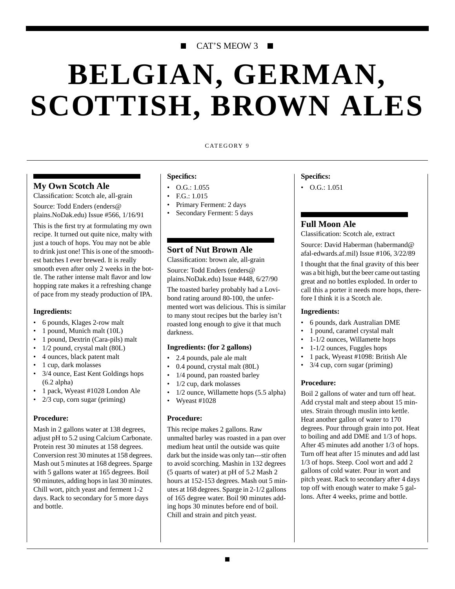# CAT'S MEOW 3 ■

# **BELGIAN, GERMAN, SCOTTISH, BROWN ALES**

#### CATEGORY 9

# **My Own Scotch Ale**

Classification: Scotch ale, all-grain

Source: Todd Enders (enders@ plains.NoDak.edu) Issue #566, 1/16/91

This is the first try at formulating my own recipe. It turned out quite nice, malty with just a touch of hops. You may not be able to drink just one! This is one of the smoothest batches I ever brewed. It is really smooth even after only 2 weeks in the bottle. The rather intense malt flavor and low hopping rate makes it a refreshing change of pace from my steady production of IPA.

### **Ingredients:**

- 6 pounds, Klages 2-row malt
- 1 pound, Munich malt (10L)
- 1 pound, Dextrin (Cara-pils) malt
- 1/2 pound, crystal malt (80L)
- 4 ounces, black patent malt
- 1 cup, dark molasses
- 3/4 ounce, East Kent Goldings hops (6.2 alpha)
- 1 pack, Wyeast #1028 London Ale
- 2/3 cup, corn sugar (priming)

### **Procedure:**

Mash in 2 gallons water at 138 degrees, adjust pH to 5.2 using Calcium Carbonate. Protein rest 30 minutes at 158 degrees. Conversion rest 30 minutes at 158 degrees. Mash out 5 minutes at 168 degrees. Sparge with 5 gallons water at 165 degrees. Boil 90 minutes, adding hops in last 30 minutes. Chill wort, pitch yeast and ferment 1-2 days. Rack to secondary for 5 more days and bottle.

# **Specifics:**

- $O.G.: 1.055$
- F.G.: 1.015
- Primary Ferment: 2 days
- Secondary Ferment: 5 days

# **Sort of Nut Brown Ale**

Classification: brown ale, all-grain

Source: Todd Enders (enders@ plains.NoDak.edu) Issue #448, 6/27/90

The toasted barley probably had a Lovibond rating around 80-100, the unfermented wort was delicious. This is similar to many stout recipes but the barley isn't roasted long enough to give it that much darkness.

# **Ingredients: (for 2 gallons)**

- 2.4 pounds, pale ale malt
- 0.4 pound, crystal malt (80L)
- 1/4 pound, pan roasted barley
- 1/2 cup, dark molasses
- 1/2 ounce, Willamette hops (5.5 alpha)
- Wyeast #1028

### **Procedure:**

This recipe makes 2 gallons. Raw unmalted barley was roasted in a pan over medium heat until the outside was quite dark but the inside was only tan---stir often to avoid scorching. Mashin in 132 degrees (5 quarts of water) at pH of 5.2 Mash 2 hours at 152-153 degrees. Mash out 5 minutes at 168 degrees. Sparge in 2-1/2 gallons of 165 degree water. Boil 90 minutes adding hops 30 minutes before end of boil. Chill and strain and pitch yeast.

#### **Specifics:**

 $\bullet$  O.G.: 1.051

# **Full Moon Ale**

Classification: Scotch ale, extract

Source: David Haberman (habermand@ afal-edwards.af.mil) Issue #106, 3/22/89

I thought that the final gravity of this beer was a bit high, but the beer came out tasting great and no bottles exploded. In order to call this a porter it needs more hops, therefore I think it is a Scotch ale.

#### **Ingredients:**

- 6 pounds, dark Australian DME
- 1 pound, caramel crystal malt
- 1-1/2 ounces, Willamette hops
- 1-1/2 ounces, Fuggles hops
- 1 pack, Wyeast #1098: British Ale
- 3/4 cup, corn sugar (priming)

### **Procedure:**

Boil 2 gallons of water and turn off heat. Add crystal malt and steep about 15 minutes. Strain through muslin into kettle. Heat another gallon of water to 170 degrees. Pour through grain into pot. Heat to boiling and add DME and 1/3 of hops. After 45 minutes add another 1/3 of hops. Turn off heat after 15 minutes and add last 1/3 of hops. Steep. Cool wort and add 2 gallons of cold water. Pour in wort and pitch yeast. Rack to secondary after 4 days top off with enough water to make 5 gallons. After 4 weeks, prime and bottle.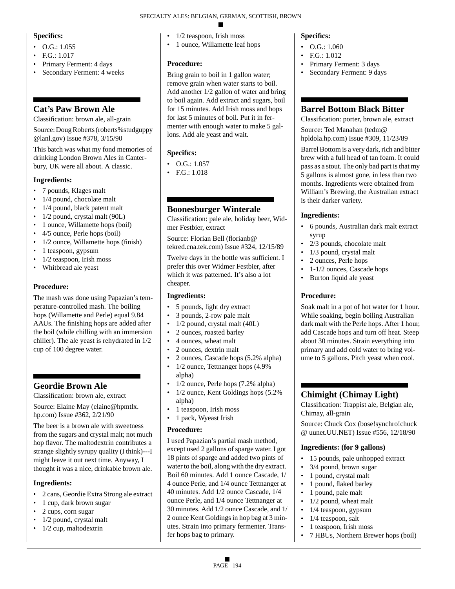# **Specifics:**

- $O.G.: 1.055$
- $EG: 1.017$
- Primary Ferment: 4 days
- Secondary Ferment: 4 weeks

# **Cat's Paw Brown Ale**

Classification: brown ale, all-grain

Source: Doug Roberts (roberts%studguppy @lanl.gov) Issue #378, 3/15/90

This batch was what my fond memories of drinking London Brown Ales in Canterbury, UK were all about. A classic.

# **Ingredients:**

- 7 pounds, Klages malt
- 1/4 pound, chocolate malt
- 1/4 pound, black patent malt
- 1/2 pound, crystal malt (90L)
- 1 ounce, Willamette hops (boil)
- 4/5 ounce, Perle hops (boil)
- 1/2 ounce, Willamette hops (finish)
- 1 teaspoon, gypsum
- $\cdot$  1/2 teaspoon, Irish moss
- Whitbread ale yeast

# **Procedure:**

The mash was done using Papazian's temperature-controlled mash. The boiling hops (Willamette and Perle) equal 9.84 AAUs. The finishing hops are added after the boil (while chilling with an immersion chiller). The ale yeast is rehydrated in 1/2 cup of 100 degree water.

# **Geordie Brown Ale**

Classification: brown ale, extract

Source: Elaine May (elaine@hpmtlx. hp.com) Issue #362, 2/21/90

The beer is a brown ale with sweetness from the sugars and crystal malt; not much hop flavor. The maltodextrin contributes a strange slightly syrupy quality (I think)---I might leave it out next time. Anyway, I thought it was a nice, drinkable brown ale.

# **Ingredients:**

- 2 cans, Geordie Extra Strong ale extract
- 1 cup, dark brown sugar
- 2 cups, corn sugar
- 1/2 pound, crystal malt
- 1/2 cup, maltodextrin
- 1/2 teaspoon, Irish moss
- 1 ounce, Willamette leaf hops

# **Procedure:**

Bring grain to boil in 1 gallon water; remove grain when water starts to boil. Add another 1/2 gallon of water and bring to boil again. Add extract and sugars, boil for 15 minutes. Add Irish moss and hops for last 5 minutes of boil. Put it in fermenter with enough water to make 5 gallons. Add ale yeast and wait.

# **Specifics:**

- O.G.: 1.057
- F.G.: 1.018

# **Boonesburger Winterale**

Classification: pale ale, holiday beer, Widmer Festbier, extract

Source: Florian Bell (florianb@ tekred.cna.tek.com) Issue #324, 12/15/89

Twelve days in the bottle was sufficient. I prefer this over Widmer Festbier, after which it was patterned. It's also a lot cheaper.

# **Ingredients:**

- 5 pounds, light dry extract
- 3 pounds, 2-row pale malt
- $1/2$  pound, crystal malt  $(40L)$
- 2 ounces, roasted barley
- 4 ounces, wheat malt
- 2 ounces, dextrin malt
- 2 ounces, Cascade hops (5.2% alpha)
- 1/2 ounce, Tettnanger hops  $(4.9\%$ alpha)
- 1/2 ounce, Perle hops (7.2% alpha)
- 1/2 ounce, Kent Goldings hops (5.2%) alpha)
- 1 teaspoon, Irish moss
- 1 pack, Wyeast Irish

# **Procedure:**

I used Papazian's partial mash method, except used 2 gallons of sparge water. I got 18 pints of sparge and added two pints of water to the boil, along with the dry extract. Boil 60 minutes. Add 1 ounce Cascade, 1/ 4 ounce Perle, and 1/4 ounce Tettnanger at 40 minutes. Add 1/2 ounce Cascade, 1/4 ounce Perle, and 1/4 ounce Tettnanger at 30 minutes. Add 1/2 ounce Cascade, and 1/ 2 ounce Kent Goldings in hop bag at 3 minutes. Strain into primary fermenter. Transfer hops bag to primary.

# **Specifics:**

- $\bullet$  O.G.: 1.060
- $FG: 1.012$
- Primary Ferment: 3 days
- Secondary Ferment: 9 days

# **Barrel Bottom Black Bitter**

Classification: porter, brown ale, extract

Source: Ted Manahan (tedm@ hpldola.hp.com) Issue #309, 11/23/89

Barrel Bottom is a very dark, rich and bitter brew with a full head of tan foam. It could pass as a stout. The only bad part is that my 5 gallons is almost gone, in less than two months. Ingredients were obtained from William's Brewing, the Australian extract is their darker variety.

# **Ingredients:**

- 6 pounds, Australian dark malt extract syrup
- 2/3 pounds, chocolate malt
- 1/3 pound, crystal malt
- 2 ounces, Perle hops
- 1-1/2 ounces, Cascade hops
- Burton liquid ale yeast

# **Procedure:**

Soak malt in a pot of hot water for 1 hour. While soaking, begin boiling Australian dark malt with the Perle hops. After 1 hour, add Cascade hops and turn off heat. Steep about 30 minutes. Strain everything into primary and add cold water to bring volume to 5 gallons. Pitch yeast when cool.

# **Chimight (Chimay Light)**

Classification: Trappist ale, Belgian ale, Chimay, all-grain

Source: Chuck Cox (bose!synchro!chuck @ uunet.UU.NET) Issue #556, 12/18/90

# **Ingredients: (for 9 gallons)**

- 15 pounds, pale unhopped extract
- 3/4 pound, brown sugar
- 1 pound, crystal malt
- 1 pound, flaked barley
- 1 pound, pale malt
- $1/2$  pound, wheat malt
- 1/4 teaspoon, gypsum
- 1/4 teaspoon, salt
- 1 teaspoon, Irish moss
- 7 HBUs, Northern Brewer hops (boil)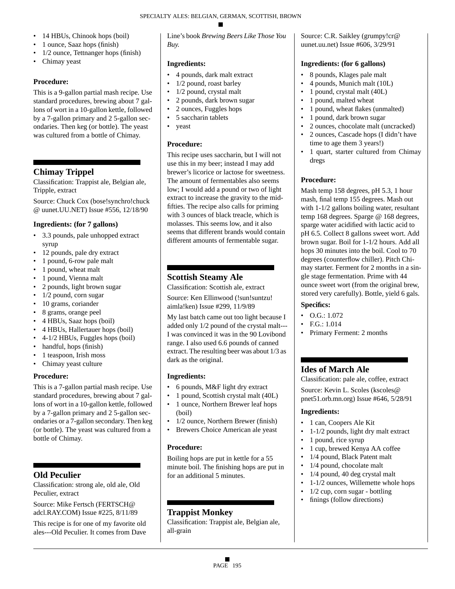- 14 HBUs, Chinook hops (boil)
- 1 ounce, Saaz hops (finish)
- 1/2 ounce, Tettnanger hops (finish)
- Chimay yeast

# **Procedure:**

This is a 9-gallon partial mash recipe. Use standard procedures, brewing about 7 gallons of wort in a 10-gallon kettle, followed by a 7-gallon primary and 2 5-gallon secondaries. Then keg (or bottle). The yeast was cultured from a bottle of Chimay.

# **Chimay Trippel**

Classification: Trappist ale, Belgian ale, Tripple, extract

Source: Chuck Cox (bose!synchro!chuck @ uunet.UU.NET) Issue #556, 12/18/90

# **Ingredients: (for 7 gallons)**

- 3.3 pounds, pale unhopped extract syrup
- 12 pounds, pale dry extract
- 1 pound, 6-row pale malt
- 1 pound, wheat malt
- 1 pound, Vienna malt
- 2 pounds, light brown sugar
- 1/2 pound, corn sugar
- 10 grams, coriander
- 8 grams, orange peel
- 4 HBUs, Saaz hops (boil)
- 4 HBUs, Hallertauer hops (boil)
- 4-1/2 HBUs, Fuggles hops (boil)
- handful, hops (finish)
- 1 teaspoon, Irish moss
- Chimay yeast culture

# **Procedure:**

This is a 7-gallon partial mash recipe. Use standard procedures, brewing about 7 gallons of wort in a 10-gallon kettle, followed by a 7-gallon primary and 2 5-gallon secondaries or a 7-gallon secondary. Then keg (or bottle). The yeast was cultured from a bottle of Chimay.

# **Old Peculier**

Classification: strong ale, old ale, Old Peculier, extract

Source: Mike Fertsch (FERTSCH@ adcl.RAY.COM) Issue #225, 8/11/89

This recipe is for one of my favorite old ales---Old Peculier. It comes from Dave Line's book *Brewing Beers Like Those You Buy.*

# **Ingredients:**

- 4 pounds, dark malt extract
- 1/2 pound, roast barley
- 1/2 pound, crystal malt
- 2 pounds, dark brown sugar
- 2 ounces, Fuggles hops
- 5 saccharin tablets
- yeast

# **Procedure:**

This recipe uses saccharin, but I will not use this in my beer; instead I may add brewer's licorice or lactose for sweetness. The amount of fermentables also seems low; I would add a pound or two of light extract to increase the gravity to the midfifties. The recipe also calls for priming with 3 ounces of black treacle, which is molasses. This seems low, and it also seems that different brands would contain different amounts of fermentable sugar.

# **Scottish Steamy Ale**

Classification: Scottish ale, extract Source: Ken Ellinwood (!sun!suntzu! aimla!ken) Issue #299, 11/9/89

My last batch came out too light because I added only 1/2 pound of the crystal malt--- I was convinced it was in the 90 Lovibond range. I also used 6.6 pounds of canned extract. The resulting beer was about 1/3 as dark as the original.

# **Ingredients:**

- 6 pounds, M&F light dry extract
- 1 pound, Scottish crystal malt (40L)
- 1 ounce, Northern Brewer leaf hops (boil)
- 1/2 ounce, Northern Brewer (finish)
- Brewers Choice American ale yeast

# **Procedure:**

Boiling hops are put in kettle for a 55 minute boil. The finishing hops are put in for an additional 5 minutes.

# **Trappist Monkey**

Classification: Trappist ale, Belgian ale, all-grain

Source: C.R. Saikley (grumpy!cr@ uunet.uu.net) Issue #606, 3/29/91

# **Ingredients: (for 6 gallons)**

- 8 pounds, Klages pale malt
- 4 pounds, Munich malt (10L)
- 1 pound, crystal malt (40L)
- 1 pound, malted wheat
- 1 pound, wheat flakes (unmalted)
- 1 pound, dark brown sugar
- 2 ounces, chocolate malt (uncracked)
- 2 ounces, Cascade hops (I didn't have time to age them 3 years!)
- 1 quart, starter cultured from Chimay dregs

# **Procedure:**

Mash temp 158 degrees, pH 5.3, 1 hour mash, final temp 155 degrees. Mash out with 1-1/2 gallons boiling water, resultant temp 168 degrees. Sparge @ 168 degrees, sparge water acidified with lactic acid to pH 6.5. Collect 8 gallons sweet wort. Add brown sugar. Boil for 1-1/2 hours. Add all hops 30 minutes into the boil. Cool to 70 degrees (counterflow chiller). Pitch Chimay starter. Ferment for 2 months in a single stage fermentation. Prime with 44 ounce sweet wort (from the original brew, stored very carefully). Bottle, yield 6 gals.

# **Specifics:**

- $\bullet$  O.G.: 1.072
- F.G.: 1.014
- Primary Ferment: 2 months

# **Ides of March Ale**

Classification: pale ale, coffee, extract Source: Kevin L. Scoles (kscoles@ pnet51.orb.mn.org) Issue #646, 5/28/91

- 1 can, Coopers Ale Kit
- 1-1/2 pounds, light dry malt extract
- 1 pound, rice syrup
- 1 cup, brewed Kenya AA coffee
- 1/4 pound, Black Patent malt
- 1/4 pound, chocolate malt
- 1/4 pound, 40 deg crystal malt
- 1-1/2 ounces, Willemette whole hops
- 1/2 cup, corn sugar bottling
- finings (follow directions)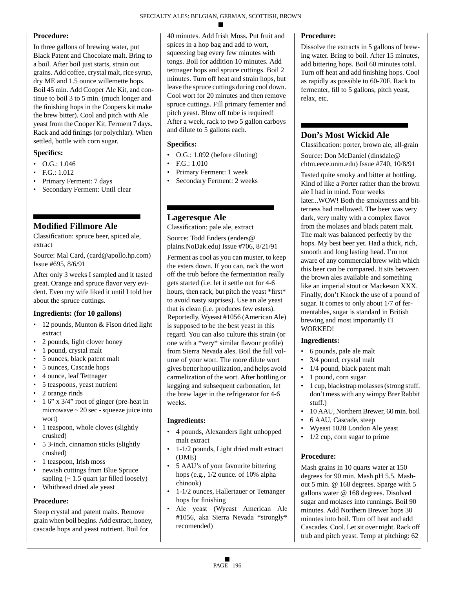# **Procedure:**

In three gallons of brewing water, put Black Patent and Chocolate malt. Bring to a boil. After boil just starts, strain out grains. Add coffee, crystal malt, rice syrup, dry ME and 1.5 ounce willemette hops. Boil 45 min. Add Cooper Ale Kit, and continue to boil 3 to 5 min. (much longer and the finishing hops in the Coopers kit make the brew bitter). Cool and pitch with Ale yeast from the Cooper Kit. Ferment 7 days. Rack and add finings (or polychlar). When settled, bottle with corn sugar.

# **Specifics:**

- O.G.: 1.046
- F.G.: 1.012
- Primary Ferment: 7 days
- Secondary Ferment: Until clear

# **Modified Fillmore Ale**

Classification: spruce beer, spiced ale, extract

Source: Mal Card, (card@apollo.hp.com) Issue #695, 8/6/91

After only 3 weeks I sampled and it tasted great. Orange and spruce flavor very evident. Even my wife liked it until I told her about the spruce cuttings.

# **Ingredients: (for 10 gallons)**

- 12 pounds, Munton & Fison dried light extract
- 2 pounds, light clover honey
- 1 pound, crystal malt
- 5 ounces, black patent malt
- 5 ounces, Cascade hops
- 4 ounce, leaf Tettnager
- 5 teaspoons, yeast nutrient
- 2 orange rinds
- 1 6" x 3/4" root of ginger (pre-heat in microwave ~ 20 sec - squeeze juice into wort)
- 1 teaspoon, whole cloves (slightly crushed)
- 5 3-inch, cinnamon sticks (slightly crushed)
- 1 teaspoon, Irish moss
- newish cuttings from Blue Spruce sapling  $($  - 1.5 quart jar filled loosely)
- Whitbread dried ale yeast

# **Procedure:**

Steep crystal and patent malts. Remove grain when boil begins. Add extract, honey, cascade hops and yeast nutrient. Boil for

40 minutes. Add Irish Moss. Put fruit and spices in a hop bag and add to wort, squeezing bag every few minutes with tongs. Boil for addition 10 minutes. Add tettnager hops and spruce cuttings. Boil 2 minutes. Turn off heat and strain hops, but leave the spruce cuttings during cool down. Cool wort for 20 minutes and then remove spruce cuttings. Fill primary fementer and pitch yeast. Blow off tube is required! After a week, rack to two 5 gallon carboys and dilute to 5 gallons each.

# **Specifics:**

- O.G.: 1.092 (before diluting)
- F.G.: 1.010
- Primary Ferment: 1 week
- Secondary Ferment: 2 weeks

# **Lageresque Ale**

Classification: pale ale, extract

Source: Todd Enders (enders@ plains.NoDak.edu) Issue #706, 8/21/91

Ferment as cool as you can muster, to keep the esters down. If you can, rack the wort off the trub before the fermentation really gets started (i.e. let it settle out for 4-6 hours, then rack, but pitch the yeast \*first\* to avoid nasty suprises). Use an ale yeast that is clean (i.e. produces few esters). Reportedly, Wyeast #1056 (American Ale) is supposed to be the best yeast in this regard. You can also culture this strain (or one with a \*very\* similar flavour profile) from Sierra Nevada ales. Boil the full volume of your wort. The more dilute wort gives better hop utilization, and helps avoid carmelization of the wort. After bottling or kegging and subsequent carbonation, let the brew lager in the refrigerator for 4-6 weeks.

# **Ingredients:**

- 4 pounds, Alexanders light unhopped malt extract
- 1-1/2 pounds, Light dried malt extract (DME)
- 5 AAU's of your favourite bittering hops (e.g., 1/2 ounce. of 10% alpha chinook)
- 1-1/2 ounces, Hallertauer or Tetnanger hops for finishing
- Ale yeast (Wyeast American Ale #1056, aka Sierra Nevada \*strongly\* recomended)

# **Procedure:**

Dissolve the extracts in 5 gallons of brewing water. Bring to boil. After 15 minutes, add bittering hops. Boil 60 minutes total. Turn off heat and add finishing hops. Cool as rapidly as possible to 60-70F. Rack to fermenter, fill to 5 gallons, pitch yeast, relax, etc.

# **Don's Most Wickid Ale**

Classification: porter, brown ale, all-grain Source: Don McDaniel (dinsdale@ chtm.eece.unm.edu) Issue #740, 10/8/91

Tasted quite smoky and bitter at bottling. Kind of like a Porter rather than the brown ale I had in mind. Four weeks later...WOW! Both the smokyness and bitterness had mellowed. The beer was very dark, very malty with a complex flavor from the molases and black patent malt. The malt was balanced perfectly by the hops. My best beer yet. Had a thick, rich, smooth and long lasting head. I'm not aware of any commercial brew with which this beer can be compared. It sits between the brown ales available and something like an imperial stout or Mackeson XXX. Finally, don't Knock the use of a pound of sugar. It comes to only about 1/7 of fermentables, sugar is standard in British brewing and most importantly IT WORKED!

# **Ingredients:**

- 6 pounds, pale ale malt
- 3/4 pound, crystal malt
- 1/4 pound, black patent malt
- 1 pound, corn sugar
- 1 cup, blackstrap molasses (strong stuff. don't mess with any wimpy Brer Rabbit stuff.)
- 10 AAU, Northern Brewer, 60 min. boil
- 6 AAU, Cascade, steep
- Wyeast 1028 London Ale yeast
- 1/2 cup, corn sugar to prime

# **Procedure:**

Mash grains in 10 quarts water at 150 degrees for 90 min. Mash pH 5.5. Mashout 5 min. @ 168 degrees. Sparge with 5 gallons water @ 168 degrees. Disolved sugar and molases into runnings. Boil 90 minutes. Add Northern Brewer hops 30 minutes into boil. Turn off heat and add Cascades. Cool. Let sit over night. Rack off trub and pitch yeast. Temp at pitching: 62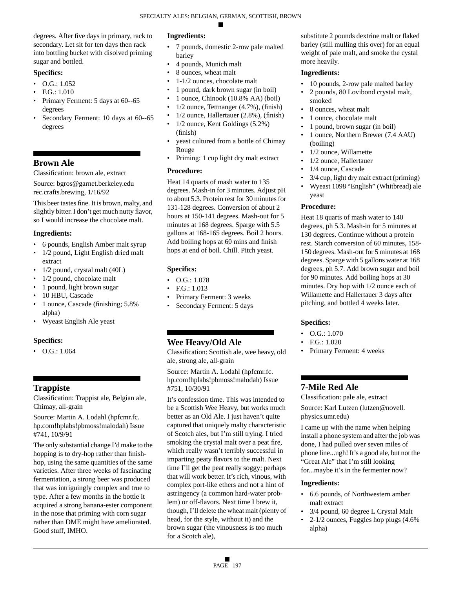degrees. After five days in primary, rack to secondary. Let sit for ten days then rack into bottling bucket with disolved priming sugar and bottled.

# **Specifics:**

- $\bullet$  O.G.: 1.052
- F.G.: 1.010
- Primary Ferment: 5 days at 60--65 degrees
- Secondary Ferment: 10 days at 60--65 degrees

# **Brown Ale**

Classification: brown ale, extract

Source: bgros@garnet.berkeley.edu rec.crafts.brewing, 1/16/92

This beer tastes fine. It is brown, malty, and slightly bitter. I don't get much nutty flavor, so I would increase the chocolate malt.

### **Ingredients:**

- 6 pounds, English Amber malt syrup
- 1/2 pound, Light English dried malt extract
- 1/2 pound, crystal malt (40L)
- 1/2 pound, chocolate malt
- 1 pound, light brown sugar
- 10 HBU, Cascade
- 1 ounce, Cascade (finishing; 5.8% alpha)
- Wyeast English Ale yeast

# **Specifics:**

• O.G.: 1.064

# **Trappiste**

Classification: Trappist ale, Belgian ale, Chimay, all-grain

Source: Martin A. Lodahl (hpfcmr.fc. hp.com!hplabs!pbmoss!malodah) Issue #741, 10/9/91

The only substantial change I'd make to the hopping is to dry-hop rather than finishhop, using the same quantities of the same varieties. After three weeks of fascinating fermentation, a strong beer was produced that was intriguingly complex and true to type. After a few months in the bottle it acquired a strong banana-ester component in the nose that priming with corn sugar rather than DME might have ameliorated. Good stuff, IMHO.

### **Ingredients:**

- 7 pounds, domestic 2-row pale malted barley
- 4 pounds, Munich malt
- 8 ounces, wheat malt
- 1-1/2 ounces, chocolate malt
- 1 pound, dark brown sugar (in boil)
- 1 ounce, Chinook (10.8% AA) (boil)
- 1/2 ounce, Tettnanger (4.7%), (finish)
- 1/2 ounce, Hallertauer (2.8%), (finish)
- 1/2 ounce, Kent Goldings (5.2%) (finish)
- yeast cultured from a bottle of Chimay Rouge
- Priming: 1 cup light dry malt extract

### **Procedure:**

Heat 14 quarts of mash water to 135 degrees. Mash-in for 3 minutes. Adjust pH to about 5.3. Protein rest for 30 minutes for 131-128 degrees. Conversion of about 2 hours at 150-141 degrees. Mash-out for 5 minutes at 168 degrees. Sparge with 5.5 gallons at 168-165 degrees. Boil 2 hours. Add boiling hops at 60 mins and finish hops at end of boil. Chill. Pitch yeast.

# **Specifics:**

- $\bullet$  O.G.: 1.078
- F.G.: 1.013
- Primary Ferment: 3 weeks
- Secondary Ferment: 5 days

# **Wee Heavy/Old Ale**

Classification: Scottish ale, wee heavy, old ale, strong ale, all-grain

Source: Martin A. Lodahl (hpfcmr.fc. hp.com!hplabs!pbmoss!malodah) Issue #751, 10/30/91

It's confession time. This was intended to be a Scottish Wee Heavy, but works much better as an Old Ale. I just haven't quite captured that uniquely malty characteristic of Scotch ales, but I'm still trying. I tried smoking the crystal malt over a peat fire, which really wasn't terribly successful in imparting peaty flavors to the malt. Next time I'll get the peat really soggy; perhaps that will work better. It's rich, vinous, with complex port-like ethers and not a hint of astringency (a common hard-water problem) or off-flavors. Next time I brew it, though, I'll delete the wheat malt (plenty of head, for the style, without it) and the brown sugar (the vinousness is too much for a Scotch ale),

substitute 2 pounds dextrine malt or flaked barley (still mulling this over) for an equal weight of pale malt, and smoke the cystal more heavily.

### **Ingredients:**

- 10 pounds, 2-row pale malted barley
- 2 pounds, 80 Lovibond crystal malt, smoked
- 8 ounces, wheat malt
- 1 ounce, chocolate malt
- 1 pound, brown sugar (in boil)
- 1 ounce, Northern Brewer (7.4 AAU) (boiling)
- 1/2 ounce, Willamette
- 1/2 ounce, Hallertauer
- 1/4 ounce, Cascade
- 3/4 cup, light dry malt extract (priming)
- Wyeast 1098 "English" (Whitbread) ale yeast

# **Procedure:**

Heat 18 quarts of mash water to 140 degrees, ph 5.3. Mash-in for 5 minutes at 130 degrees. Continue without a protein rest. Starch conversion of 60 minutes, 158- 150 degrees. Mash-out for 5 minutes at 168 degrees. Sparge with 5 gallons water at 168 degrees, ph 5.7. Add brown sugar and boil for 90 minutes. Add boiling hops at 30 minutes. Dry hop with 1/2 ounce each of Willamette and Hallertauer 3 days after pitching, and bottled 4 weeks later.

# **Specifics:**

- $O.G.: 1.070$
- F.G.: 1.020
- Primary Ferment: 4 weeks

# **7-Mile Red Ale**

Classification: pale ale, extract

Source: Karl Lutzen (lutzen@novell. physics.umr.edu)

I came up with the name when helping install a phone system and after the job was done, I had pulled over seven miles of phone line...ugh! It's a good ale, but not the "Great Ale" that I'm still looking for...maybe it's in the fermenter now?

- 6.6 pounds, of Northwestern amber malt extract
- 3/4 pound, 60 degree L Crystal Malt
- 2-1/2 ounces, Fuggles hop plugs (4.6% alpha)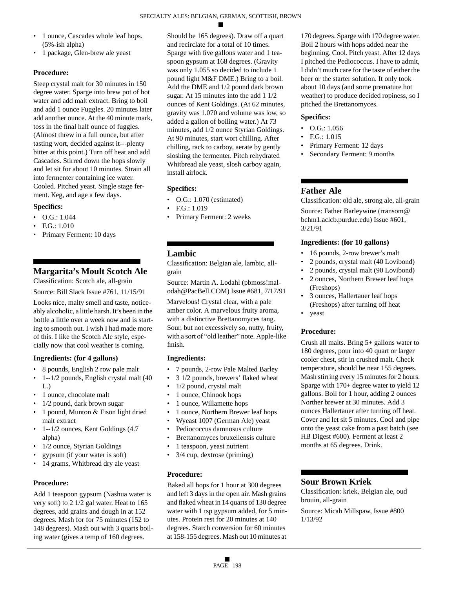- 1 ounce, Cascades whole leaf hops. (5%-ish alpha)
- 1 package, Glen-brew ale yeast

# **Procedure:**

Steep crystal malt for 30 minutes in 150 degree water. Sparge into brew pot of hot water and add malt extract. Bring to boil and add 1 ounce Fuggles. 20 minutes later add another ounce. At the 40 minute mark, toss in the final half ounce of fuggles. (Almost threw in a full ounce, but after tasting wort, decided against it---plenty bitter at this point.) Turn off heat and add Cascades. Stirred down the hops slowly and let sit for about 10 minutes. Strain all into fermenter containing ice water. Cooled. Pitched yeast. Single stage ferment. Keg, and age a few days.

# **Specifics:**

- O.G.: 1.044
- F.G.: 1.010
- Primary Ferment: 10 days

# **Margarita's Moult Scotch Ale**

Classification: Scotch ale, all-grain

Source: Bill Slack Issue #761, 11/15/91

Looks nice, malty smell and taste, noticeably alcoholic, a little harsh. It's been in the bottle a little over a week now and is starting to smooth out. I wish I had made more of this. I like the Scotch Ale style, especially now that cool weather is coming.

# **Ingredients: (for 4 gallons)**

- 8 pounds, English 2 row pale malt
- 1--1/2 pounds, English crystal malt (40 L.)
- 1 ounce, chocolate malt
- 1/2 pound, dark brown sugar
- 1 pound, Munton & Fison light dried malt extract
- 1--1/2 ounces, Kent Goldings (4.7 alpha)
- 1/2 ounce, Styrian Goldings
- gypsum (if your water is soft)
- 14 grams, Whitbread dry ale yeast

# **Procedure:**

Add 1 teaspoon gypsum (Nashua water is very soft) to 2 1/2 gal water. Heat to 165 degrees, add grains and dough in at 152 degrees. Mash for for 75 minutes (152 to 148 degrees). Mash out with 3 quarts boiling water (gives a temp of 160 degrees.

Should be 165 degrees). Draw off a quart and recirclate for a total of 10 times. Sparge with five gallons water and 1 teaspoon gypsum at 168 degrees. (Gravity was only 1.055 so decided to include 1 pound light M&F DME.) Bring to a boil. Add the DME and 1/2 pound dark brown sugar. At 15 minutes into the add 1 1/2 ounces of Kent Goldings. (At 62 minutes, gravity was 1.070 and volume was low, so added a gallon of boiling water.) At 73 minutes, add 1/2 ounce Styrian Goldings. At 90 minutes, start wort chilling. After chilling, rack to carboy, aerate by gently sloshing the fermenter. Pitch rehydrated Whitbread ale yeast, slosh carboy again, install airlock.

# **Specifics:**

- O.G.: 1.070 (estimated)
- F.G.: 1.019
- Primary Ferment: 2 weeks

# **Lambic**

Classification: Belgian ale, lambic, allgrain

Source: Martin A. Lodahl (pbmoss!malodah@PacBell.COM) Issue #681, 7/17/91

Marvelous! Crystal clear, with a pale amber color. A marvelous fruity aroma, with a distinctive Brettanomyces tang. Sour, but not excessively so, nutty, fruity, with a sort of "old leather" note. Apple-like finish.

# **Ingredients:**

- 7 pounds, 2-row Pale Malted Barley
- 3 1/2 pounds, brewers' flaked wheat
- 1/2 pound, crystal malt
- 1 ounce, Chinook hops
- 1 ounce, Willamette hops
- 1 ounce, Northern Brewer leaf hops
- Wyeast 1007 (German Ale) yeast
- Pediococcus damnosus culture
- Brettanomyces bruxellensis culture
- 1 teaspoon, yeast nutrient
- 3/4 cup, dextrose (priming)

# **Procedure:**

Baked all hops for 1 hour at 300 degrees and left 3 days in the open air. Mash grains and flaked wheat in 14 quarts of 130 degree water with 1 tsp gypsum added, for 5 minutes. Protein rest for 20 minutes at 140 degrees. Starch conversion for 60 minutes at 158-155 degrees. Mash out 10 minutes at

170 degrees. Sparge with 170 degree water. Boil 2 hours with hops added near the beginning. Cool. Pitch yeast. After 12 days I pitched the Pediococcus. I have to admit, I didn't much care for the taste of either the beer or the starter solution. It only took about 10 days (and some premature hot weather) to produce decided ropiness, so I pitched the Brettanomyces.

# **Specifics:**

- O.G.: 1.056
- F.G.: 1.015
- Primary Ferment: 12 days
- Secondary Ferment: 9 months

# **Father Ale**

Classification: old ale, strong ale, all-grain Source: Father Barleywine (rransom@ bchm1.aclcb.purdue.edu) Issue #601, 3/21/91

### **Ingredients: (for 10 gallons)**

- 16 pounds, 2-row brewer's malt
- 2 pounds, crystal malt (40 Lovibond)
- 2 pounds, crystal malt (90 Lovibond)
- 2 ounces, Northern Brewer leaf hops (Freshops)
- 3 ounces, Hallertauer leaf hops (Freshops) after turning off heat
- yeast

# **Procedure:**

Crush all malts. Bring 5+ gallons water to 180 degrees, pour into 40 quart or larger cooler chest, stir in crushed malt. Check temperature, should be near 155 degrees. Mash stirring every 15 minutes for 2 hours. Sparge with 170+ degree water to yield 12 gallons. Boil for 1 hour, adding 2 ounces Norther brewer at 30 minutes. Add 3 ounces Hallertauer after turning off heat. Cover and let sit 5 minutes. Cool and pipe onto the yeast cake from a past batch (see HB Digest #600). Ferment at least 2 months at 65 degrees. Drink.

# **Sour Brown Kriek**

Classification: kriek, Belgian ale, oud brouin, all-grain

Source: Micah Millspaw, Issue #800 1/13/92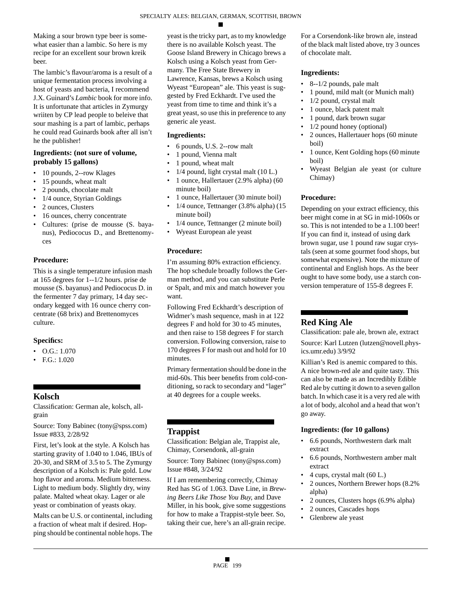Making a sour brown type beer is somewhat easier than a lambic. So here is my recipe for an excellent sour brown kreik beer.

The lambic's flavour/aroma is a result of a unique fermentation process involving a host of yeasts and bacteria, I recommend J.X. Guinard's *Lambic* book for more info. It is unfortunate that articles in Zymurgy wriiten by CP lead people to beleive that sour mashing is a part of lambic, perhaps he could read Guinards book after all isn't he the publisher!

### **Ingredients: (not sure of volume, probably 15 gallons)**

- 10 pounds, 2--row Klages
- 15 pounds, wheat malt
- 2 pounds, chocolate malt
- 1/4 ounce, Styrian Goldings
- 2 ounces, Clusters
- 16 ounces, cherry concentrate
- Cultures: (prise de mousse (S. bayanus), Pediococus D., and Brettenomyces

# **Procedure:**

This is a single temperature infusion mash at 165 degrees for 1--1/2 hours. prise de mousse (S. bayanus) and Pediococus D. in the fermenter 7 day primary, 14 day secondary kegged with 16 ounce cherry concentrate (68 brix) and Brettenomyces culture.

### **Specifics:**

- O.G.: 1.070
- F.G.: 1.020

# **Kolsch**

Classification: German ale, kolsch, allgrain

Source: Tony Babinec (tony@spss.com) Issue #833, 2/28/92

First, let's look at the style. A Kolsch has starting gravity of 1.040 to 1.046, IBUs of 20-30, and SRM of 3.5 to 5. The Zymurgy description of a Kolsch is: Pale gold. Low hop flavor and aroma. Medium bitterness. Light to medium body. Slightly dry, winy palate. Malted wheat okay. Lager or ale yeast or combination of yeasts okay.

Malts can be U.S. or continental, including a fraction of wheat malt if desired. Hopping should be continental noble hops. The yeast is the tricky part, as to my knowledge there is no available Kolsch yeast. The Goose Island Brewery in Chicago brews a Kolsch using a Kolsch yeast from Germany. The Free State Brewery in Lawrence, Kansas, brews a Kolsch using Wyeast "European" ale. This yeast is suggested by Fred Eckhardt. I've used the yeast from time to time and think it's a great yeast, so use this in preference to any generic ale yeast.

### **Ingredients:**

- 6 pounds, U.S. 2--row malt
- 1 pound, Vienna malt
- 1 pound, wheat malt
- 1/4 pound, light crystal malt (10 L.)
- 1 ounce, Hallertauer (2.9% alpha) (60 minute boil)
- 1 ounce, Hallertauer (30 minute boil)
- 1/4 ounce, Tettnanger (3.8% alpha) (15 minute boil)
- 1/4 ounce, Tettnanger (2 minute boil)
- Wyeast European ale yeast

### **Procedure:**

I'm assuming 80% extraction efficiency. The hop schedule broadly follows the German method, and you can substitute Perle or Spalt, and mix and match however you want.

Following Fred Eckhardt's description of Widmer's mash sequence, mash in at 122 degrees F and hold for 30 to 45 minutes, and then raise to 158 degrees F for starch conversion. Following conversion, raise to 170 degrees F for mash out and hold for 10 minutes.

Primary fermentation should be done in the mid-60s. This beer benefits from cold-conditioning, so rack to secondary and "lager" at 40 degrees for a couple weeks.

# **Trappist**

Classification: Belgian ale, Trappist ale, Chimay, Corsendonk, all-grain

Source: Tony Babinec (tony@spss.com) Issue #848, 3/24/92

If I am remembering correctly, Chimay Red has SG of 1.063. Dave Line, in *Brewing Beers Like Those You Buy*, and Dave Miller, in his book, give some suggestions for how to make a Trappist-style beer. So, taking their cue, here's an all-grain recipe.

For a Corsendonk-like brown ale, instead of the black malt listed above, try 3 ounces of chocolate malt.

### **Ingredients:**

- 8--1/2 pounds, pale malt
- 1 pound, mild malt (or Munich malt)
- 1/2 pound, crystal malt
- 1 ounce, black patent malt
- 1 pound, dark brown sugar
- 1/2 pound honey (optional)
- 2 ounces, Hallertauer hops (60 minute boil)
- 1 ounce, Kent Golding hops (60 minute) boil)
- Wyeast Belgian ale yeast (or culture Chimay)

### **Procedure:**

Depending on your extract efficiency, this beer might come in at SG in mid-1060s or so. This is not intended to be a 1.100 beer! If you can find it, instead of using dark brown sugar, use 1 pound raw sugar crystals (seen at some gourmet food shops, but somewhat expensive). Note the mixture of continental and English hops. As the beer ought to have some body, use a starch conversion temperature of 155-8 degrees F.

# **Red King Ale**

Classification: pale ale, brown ale, extract Source: Karl Lutzen (lutzen@novell.physics.umr.edu) 3/9/92

Killian's Red is anemic compared to this. A nice brown-red ale and quite tasty. This can also be made as an Incredibly Edible Red ale by cutting it down to a seven gallon batch. In which case it is a very red ale with a lot of body, alcohol and a head that won't go away.

# **Ingredients: (for 10 gallons)**

- 6.6 pounds, Northwestern dark malt extract
- 6.6 pounds, Northwestern amber malt extract
- 4 cups, crystal malt (60 L.)
- 2 ounces, Northern Brewer hops (8.2% alpha)
- 2 ounces, Clusters hops (6.9% alpha)
- 2 ounces, Cascades hops
- Glenbrew ale yeast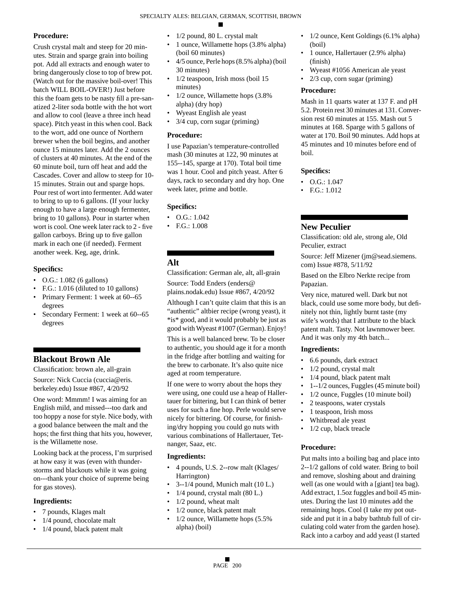### **Procedure:**

Crush crystal malt and steep for 20 minutes. Strain and sparge grain into boiling pot. Add all extracts and enough water to bring dangerously close to top of brew pot. (Watch out for the massive boil-over! This batch WILL BOIL-OVER!) Just before this the foam gets to be nasty fill a pre-sanatized 2-liter soda bottle with the hot wort and allow to cool (leave a three inch head space). Pitch yeast in this when cool. Back to the wort, add one ounce of Northern brewer when the boil begins, and another ounce 15 minutes later. Add the 2 ounces of clusters at 40 minutes. At the end of the 60 minute boil, turn off heat and add the Cascades. Cover and allow to steep for 10- 15 minutes. Strain out and sparge hops. Pour rest of wort into fermenter. Add water to bring to up to 6 gallons. (If your lucky enough to have a large enough fermenter, bring to 10 gallons). Pour in starter when wort is cool. One week later rack to 2 - five gallon carboys. Bring up to five gallon mark in each one (if needed). Ferment another week. Keg, age, drink.

### **Specifics:**

- O.G.: 1.082 (6 gallons)
- F.G.: 1.016 (diluted to 10 gallons)
- Primary Ferment: 1 week at 60--65 degrees
- Secondary Ferment: 1 week at 60--65 degrees

# **Blackout Brown Ale**

Classification: brown ale, all-grain

Source: Nick Cuccia (cuccia@eris. berkeley.edu) Issue #867, 4/20/92

One word: Mmmm! I was aiming for an English mild, and missed---too dark and too hoppy a nose for style. Nice body, with a good balance between the malt and the hops; the first thing that hits you, however, is the Willamette nose.

Looking back at the process, I'm surprised at how easy it was (even with thunderstorms and blackouts while it was going on---thank your choice of supreme being for gas stoves).

### **Ingredients:**

- 7 pounds, Klages malt
- 1/4 pound, chocolate malt
- 1/4 pound, black patent malt
- 1/2 pound, 80 L. crystal malt
- 1 ounce, Willamette hops (3.8% alpha) (boil 60 minutes)
- 4/5 ounce, Perle hops (8.5% alpha) (boil 30 minutes)
- 1/2 teaspoon, Irish moss (boil 15 minutes)
- 1/2 ounce, Willamette hops (3.8% alpha) (dry hop)
- Wyeast English ale yeast
- 3/4 cup, corn sugar (priming)

### **Procedure:**

I use Papazian's temperature-controlled mash (30 minutes at 122, 90 minutes at 155--145, sparge at 170). Total boil time was 1 hour. Cool and pitch yeast. After 6 days, rack to secondary and dry hop. One week later, prime and bottle.

### **Specifics:**

- O.G.: 1.042
- F.G.: 1.008

# **Alt**

Classification: German ale, alt, all-grain Source: Todd Enders (enders@ plains.nodak.edu) Issue #867, 4/20/92

Although I can't quite claim that this is an "authentic" altbier recipe (wrong yeast), it \*is\* good, and it would probably be just as good with Wyeast #1007 (German). Enjoy!

This is a well balanced brew. To be closer to authentic, you should age it for a month in the fridge after bottling and waiting for the brew to carbonate. It's also quite nice aged at room temperature.

If one were to worry about the hops they were using, one could use a heap of Hallertauer for bittering, but I can think of better uses for such a fine hop. Perle would serve nicely for bittering. Of course, for finishing/dry hopping you could go nuts with various combinations of Hallertauer, Tetnanger, Saaz, etc.

### **Ingredients:**

- 4 pounds, U.S. 2--row malt (Klages/ Harrington)
- 3--1/4 pound, Munich malt (10 L.)
- $1/4$  pound, crystal malt  $(80 L.)$
- 1/2 pound, wheat malt
- 1/2 ounce, black patent malt
- 1/2 ounce, Willamette hops (5.5% alpha) (boil)
- 1/2 ounce, Kent Goldings (6.1% alpha) (boil)
- 1 ounce, Hallertauer (2.9% alpha) (finish)
- Wyeast #1056 American ale yeast
- $2/3$  cup, corn sugar (priming)

### **Procedure:**

Mash in 11 quarts water at 137 F. and pH 5.2. Protein rest 30 minutes at 131. Conversion rest 60 minutes at 155. Mash out 5 minutes at 168. Sparge with 5 gallons of water at 170. Boil 90 minutes. Add hops at 45 minutes and 10 minutes before end of boil.

### **Specifics:**

- $\bullet$  O.G.: 1.047
- F.G.: 1.012

# **New Peculier**

Classification: old ale, strong ale, Old Peculier, extract

Source: Jeff Mizener (jm@sead.siemens. com) Issue #878, 5/11/92

Based on the Elbro Nerkte recipe from Papazian.

Very nice, matured well. Dark but not black, could use some more body, but definitely not thin, lightly burnt taste (my wife's words) that I attribute to the black patent malt. Tasty. Not lawnmower beer. And it was only my 4th batch...

### **Ingredients:**

- 6.6 pounds, dark extract
- 1/2 pound, crystal malt
- 1/4 pound, black patent malt
- 1--1/2 ounces, Fuggles (45 minute boil)
- 1/2 ounce, Fuggles (10 minute boil)
- 2 teaspoons, water crystals
- 1 teaspoon, Irish moss
- Whitbread ale yeast
- 1/2 cup, black treacle

# **Procedure:**

Put malts into a boiling bag and place into 2--1/2 gallons of cold water. Bring to boil and remove, sloshing about and draining well (as one would with a [giant] tea bag). Add extract, 1.5oz fuggles and boil 45 minutes. During the last 10 minutes add the remaining hops. Cool (I take my pot outside and put it in a baby bathtub full of circulating cold water from the garden hose). Rack into a carboy and add yeast (I started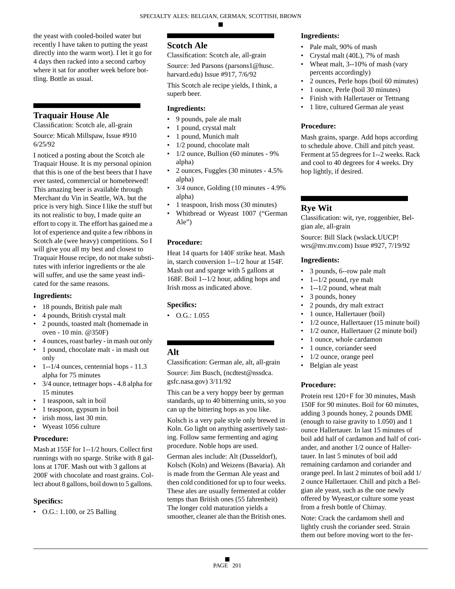the yeast with cooled-boiled water but recently I have taken to putting the yeast directly into the warm wort). I let it go for 4 days then racked into a second carboy where it sat for another week before bottling. Bottle as usual.

# **Traquair House Ale**

Classification: Scotch ale, all-grain

Source: Micah Millspaw, Issue #910 6/25/92

I noticed a posting about the Scotch ale Traquair House. It is my personal opinion that this is one of the best beers that I have ever tasted, commercial or homebrewed! This amazing beer is available through Merchant du Vin in Seattle, WA. but the price is very high. Since I like the stuff but its not realistic to buy, I made quite an effort to copy it. The effort has gained me a lot of experience and quite a few ribbons in Scotch ale (wee heavy) competitions. So I will give you all my best and closest to Traquair House recipe, do not make substitutes with inferior ingredients or the ale will suffer, and use the same yeast indicated for the same reasons.

### **Ingredients:**

- 18 pounds, British pale malt
- 4 pounds, British crystal malt
- 2 pounds, toasted malt (homemade in oven - 10 min. @350F)
- 4 ounces, roast barley in mash out only
- 1 pound, chocolate malt in mash out only
- 1--1/4 ounces, centennial hops 11.3 alpha for 75 minutes
- 3/4 ounce, tettnager hops 4.8 alpha for 15 minutes
- 1 teaspoon, salt in boil
- 1 teaspoon, gypsum in boil
- irish moss, last 30 min.
- Wyeast 1056 culture

# **Procedure:**

Mash at 155F for 1--1/2 hours. Collect first runnings with no sparge. Strike with 8 gallons at 170F. Mash out with 3 gallons at 200F with chocolate and roast grains. Collect about 8 gallons, boil down to 5 gallons.

# **Specifics:**

• O.G.: 1.100, or 25 Balling

# **Scotch Ale**

Classification: Scotch ale, all-grain

Source: Jed Parsons (parsons1@husc. harvard.edu) Issue #917, 7/6/92

This Scotch ale recipe yields, I think, a superb beer.

# **Ingredients:**

- 9 pounds, pale ale malt
- 1 pound, crystal malt
- 1 pound, Munich malt
- 1/2 pound, chocolate malt
- 1/2 ounce, Bullion (60 minutes 9% alpha)
- 2 ounces, Fuggles (30 minutes 4.5% alpha)
- 3/4 ounce, Golding (10 minutes 4.9% alpha)
- 1 teaspoon, Irish moss (30 minutes)
- Whitbread or Wyeast 1007 ("German Ale")

# **Procedure:**

Heat 14 quarts for 140F strike heat. Mash in, starch conversion 1--1/2 hour at 154F. Mash out and sparge with 5 gallons at 168F. Boil 1--1/2 hour, adding hops and Irish moss as indicated above.

# **Specifics:**

• O.G.: 1.055

# **Alt**

Classification: German ale, alt, all-grain Source: Jim Busch, (ncdtest@nssdca. gsfc.nasa.gov) 3/11/92

This can be a very hoppy beer by german standards, up to 40 bitterning units, so you can up the bittering hops as you like.

Kolsch is a very pale style only brewed in Koln. Go light on anything assertively tasting. Follow same fermenting and aging procedure. Noble hops are used.

German ales include: Alt (Dusseldorf), Kolsch (Koln) and Weizens (Bavaria). Alt is made from the German Ale yeast and then cold conditioned for up to four weeks. These ales are usually fermented at colder temps than British ones (55 fahrenheit) The longer cold maturation yields a smoother, cleaner ale than the British ones.

# **Ingredients:**

- Pale malt, 90% of mash
- Crystal malt (40L), 7% of mash
- Wheat malt, 3--10% of mash (vary percents accordingly)
- 2 ounces, Perle hops (boil 60 minutes)
- 1 ounce, Perle (boil 30 minutes)
- Finish with Hallertauer or Tettnang
- 1 litre, cultured German ale yeast

# **Procedure:**

Mash grains, sparge. Add hops according to schedule above. Chill and pitch yeast. Ferment at 55 degrees for 1--2 weeks. Rack and cool to 40 degrees for 4 weeks. Dry hop lightly, if desired.

# **Rye Wit**

Classification: wit, rye, roggenbier, Belgian ale, all-grain

Source: Bill Slack (wslack.UUCP! wrs@mv.mv.com) Issue #927, 7/19/92

# **Ingredients:**

- 3 pounds, 6--row pale malt
- $1 1/2$  pound, rye malt
- $1 1/2$  pound, wheat malt
- 3 pounds, honey
- 2 pounds, dry malt extract
- 1 ounce, Hallertauer (boil)
- 1/2 ounce, Hallertauer (15 minute boil)
- 1/2 ounce, Hallertauer (2 minute boil)
- 1 ounce, whole cardamon
- 1 ounce, coriander seed
- 1/2 ounce, orange peel
- Belgian ale yeast

# **Procedure:**

Protein rest 120+F for 30 minutes, Mash 150F for 90 minutes. Boil for 60 minutes, adding 3 pounds honey, 2 pounds DME (enough to raise gravity to 1.050) and 1 ounce Hallertauer. In last 15 minutes of boil add half of cardamon and half of coriander, and another 1/2 ounce of Hallertauer. In last 5 minutes of boil add remaining cardamon and coriander and orange peel. In last 2 minutes of boil add 1/ 2 ounce Hallertauer. Chill and pitch a Belgian ale yeast, such as the one newly offered by Wyeast,or culture some yeast from a fresh bottle of Chimay.

Note: Crack the cardamom shell and lightly crush the coriander seed. Strain them out before moving wort to the fer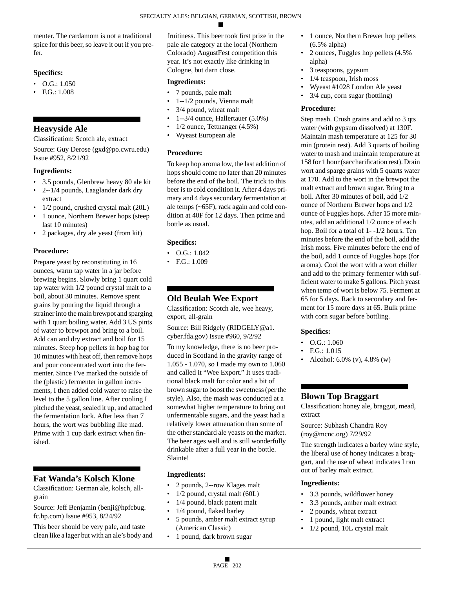menter. The cardamom is not a traditional spice for this beer, so leave it out if you prefer.

# **Specifics:**

- $\bullet$  O.G.: 1.050
- F.G.: 1.008

# **Heavyside Ale**

Classification: Scotch ale, extract

Source: Guy Derose (gxd@po.cwru.edu) Issue #952, 8/21/92

# **Ingredients:**

- 3.5 pounds, Glenbrew heavy 80 ale kit
- 2--1/4 pounds, Laaglander dark dry extract
- 1/2 pound, crushed crystal malt (20L)
- 1 ounce, Northern Brewer hops (steep last 10 minutes)
- 2 packages, dry ale yeast (from kit)

# **Procedure:**

Prepare yeast by reconstituting in 16 ounces, warm tap water in a jar before brewing begins. Slowly bring 1 quart cold tap water with 1/2 pound crystal malt to a boil, about 30 minutes. Remove spent grains by pouring the liquid through a strainer into the main brewpot and sparging with 1 quart boiling water. Add 3 US pints of water to brewpot and bring to a boil. Add can and dry extract and boil for 15 minutes. Steep hop pellets in hop bag for 10 minutes with heat off, then remove hops and pour concentrated wort into the fermenter. Since I've marked the outside of the (plastic) fermenter in gallon increments, I then added cold water to raise the level to the 5 gallon line. After cooling I pitched the yeast, sealed it up, and attached the fermentation lock. After less than 7 hours, the wort was bubbling like mad. Prime with 1 cup dark extract when finished.

# **Fat Wanda's Kolsch Klone**

Classification: German ale, kolsch, allgrain

Source: Jeff Benjamin (benji@hpfcbug. fc.hp.com) Issue #953, 8/24/92

This beer should be very pale, and taste clean like a lager but with an ale's body and fruitiness. This beer took first prize in the pale ale category at the local (Northern Colorado) AugustFest competition this year. It's not exactly like drinking in Cologne, but darn close.

### **Ingredients:**

- 7 pounds, pale malt
- 1--1/2 pounds, Vienna malt
- 3/4 pound, wheat malt
- 1--3/4 ounce, Hallertauer (5.0%)
- 1/2 ounce, Tettnanger (4.5%)
- Wyeast European ale

# **Procedure:**

To keep hop aroma low, the last addition of hops should come no later than 20 minutes before the end of the boil. The trick to this beer is to cold condition it. After 4 days primary and 4 days secondary fermentation at ale temps (~65F), rack again and cold condition at 40F for 12 days. Then prime and bottle as usual.

# **Specifics:**

- $\bullet$  O.G.: 1.042
- F.G.: 1.009

# **Old Beulah Wee Export**

Classification: Scotch ale, wee heavy, export, all-grain

Source: Bill Ridgely (RIDGELY@a1. cyber.fda.gov) Issue #960, 9/2/92

To my knowledge, there is no beer produced in Scotland in the gravity range of 1.055 - 1.070, so I made my own to 1.060 and called it "Wee Export." It uses traditional black malt for color and a bit of brown sugar to boost the sweetness (per the style). Also, the mash was conducted at a somewhat higher temperature to bring out unfermentable sugars, and the yeast had a relatively lower attneuation than some of the other standard ale yeasts on the market. The beer ages well and is still wonderfully drinkable after a full year in the bottle. Slainte!

# **Ingredients:**

- 2 pounds, 2--row Klages malt
- 1/2 pound, crystal malt (60L)
- 1/4 pound, black patent malt
- 1/4 pound, flaked barley
- 5 pounds, amber malt extract syrup (American Classic)
- 1 pound, dark brown sugar
- 1 ounce, Northern Brewer hop pellets (6.5% alpha)
- 2 ounces, Fuggles hop pellets (4.5% alpha)
- 3 teaspoons, gypsum
- 1/4 teaspoon, Irish moss
- Wyeast #1028 London Ale yeast
- 3/4 cup, corn sugar (bottling)

### **Procedure:**

Step mash. Crush grains and add to 3 qts water (with gypsum dissolved) at 130F. Maintain mash temperature at 125 for 30 min (protein rest). Add 3 quarts of boiling water to mash and maintain temperature at 158 for 1 hour (saccharification rest). Drain wort and sparge grains with 5 quarts water at 170. Add to the wort in the brewpot the malt extract and brown sugar. Bring to a boil. After 30 minutes of boil, add 1/2 ounce of Northern Brewer hops and 1/2 ounce of Fuggles hops. After 15 more minutes, add an additional 1/2 ounce of each hop. Boil for a total of 1--1/2 hours. Ten minutes before the end of the boil, add the Irish moss. Five minutes before the end of the boil, add 1 ounce of Fuggles hops (for aroma). Cool the wort with a wort chiller and add to the primary fermenter with sufficient water to make 5 gallons. Pitch yeast when temp of wort is below 75. Ferment at 65 for 5 days. Rack to secondary and ferment for 15 more days at 65. Bulk prime with corn sugar before bottling.

# **Specifics:**

- $\bullet$  O.G.: 1.060
- F.G.: 1.015
- Alcohol: 6.0% (v), 4.8% (w)

# **Blown Top Braggart**

Classification: honey ale, braggot, mead, extract

Source: Subhash Chandra Roy (roy@mcnc.org) 7/29/92

The strength indicates a barley wine style, the liberal use of honey indicates a braggart, and the use of wheat indicates I ran out of barley malt extract.

- 3.3 pounds, wildflower honey
- 3.3 pounds, amber malt extract
- 2 pounds, wheat extract
- 1 pound, light malt extract
- 1/2 pound, 10L crystal malt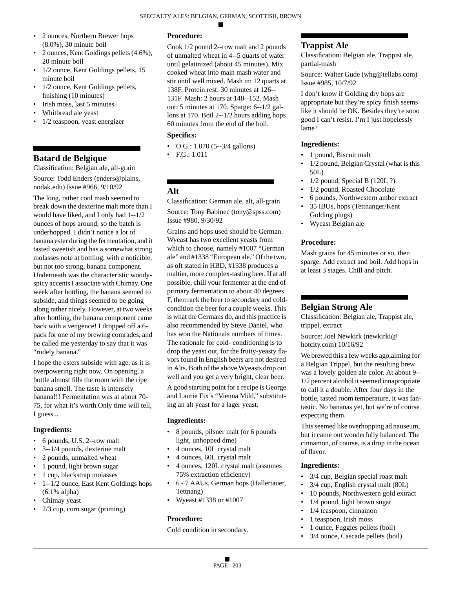- 2 ounces, Northern Brewer hops (8.0%), 30 minute boil
- 2 ounces, Kent Goldings pellets (4.6%), 20 minute boil
- 1/2 ounce, Kent Goldings pellets, 15 minute boil
- 1/2 ounce, Kent Goldings pellets, finishing (10 minutes)
- Irish moss, last 5 minutes
- Whitbread ale yeast
- 1/2 teaspoon, yeast energizer

# **Batard de Belgique**

Classification: Belgian ale, all-grain Source: Todd Enders (enders@plains. nodak.edu) Issue #966, 9/10/92

The long, rather cool mash seemed to break down the dexterine malt more than I would have liked, and I only had 1--1/2 ounces of hops around, so the batch is underhopped. I didn't notice a lot of banana ester during the fermentation, and it tasted sweetish and has a somewhat strong molasses note at bottling, with a noticible, but not too strong, banana component. Underneath was the characteristic woodyspicy accents I associate with Chimay. One week after bottling, the banana seemed to subside, and things seemed to be going along rather nicely. However, at two weeks after bottling, the banana component came back with a vengence! I dropped off a 6 pack for one of my brewing comrades, and he called me yesterday to say that it was "rudely banana."

I hope the esters subside with age, as it is overpowering right now. On opening, a bottle almost fills the room with the ripe banana smell. The taste is intensely banana!!! Fermentation was at about 70- 75, for what it's worth.Only time will tell, I guess...

# **Ingredients:**

- 6 pounds, U.S. 2--row malt
- 3--1/4 pounds, dexterine malt
- 2 pounds, unmalted wheat
- 1 pound, light brown sugar
- 1 cup, blackstrap molasses
- 1--1/2 ounce, East Kent Goldings hops (6.1% alpha)
- Chimay yeast
- 2/3 cup, corn sugar (priming)

# **Procedure:**

Cook 1/2 pound 2--row malt and 2 pounds of unmalted wheat in 4--5 quarts of water until gelatinized (about 45 minutes). Mix cooked wheat into main mash water and stir until well mixed. Mash in: 12 quarts at 138F. Protein rest: 30 minutes at 126-- 131F. Mash: 2 hours at 148--152. Mash out: 5 minutes at 170. Sparge: 6--1/2 gallons at 170. Boil 2--1/2 hours adding hops 60 minutes from the end of the boil.

# **Specifics:**

- O.G.: 1.070 (5--3/4 gallons)
- F.G.: 1.011

# **Alt**

Classification: German ale, alt, all-grain Source: Tony Babinec (tony@spss.com) Issue #980, 9/30/92

Grains and hops used should be German. Wyeast has two excellent yeasts from which to choose, namely #1007 "German ale" and #1338 "European ale." Of the two, as oft stated in HBD, #1338 produces a maltier, more complex-tasting beer. If at all possible, chill your fermenter at the end of primary fermentation to about 40 degrees F, then rack the beer to secondary and coldcondition the beer for a couple weeks. This is what the Germans do, and this practice is also recommended by Steve Daniel, who has won the Nationals numbers of times. The rationale for cold- conditioning is to drop the yeast out, for the fruity-yeasty flavors found in English beers are not desired in Alts. Both of the above Wyeasts drop out well and you get a very bright, clear beer.

A good starting point for a recipe is George and Laurie Fix's "Vienna Mild," substituting an alt yeast for a lager yeast.

### **Ingredients:**

- 8 pounds, pilsner malt (or 6 pounds light, unhopped dme)
- 4 ounces, 10L crystal malt
- 4 ounces, 60L crystal malt
- 4 ounces, 120L crystal malt (assumes 75% extraction efficiency)
- 6 7 AAUs, German hops (Hallertauer, Tettnang)
- Wyeast #1338 or #1007

# **Procedure:**

Cold condition in secondary.

# **Trappist Ale**

Classification: Belgian ale, Trappist ale, partial-mash

Source: Walter Gude (whg@tellabs.com) Issue #985, 10/7/92

I don't know if Golding dry hops are appropriate but they're spicy finish seems like it should be OK. Besides they're sooo good I can't resist. I'm I just hopelessly lame?

### **Ingredients:**

- 1 pound, Biscuit malt
- 1/2 pound, Belgian Crystal (what is this 50L)
- 1/2 pound, Special B (120L ?)
- 1/2 pound, Roasted Chocolate
- 6 pounds, Northwestern amber extract
- 35 IBUs, hops (Tettnanger/Kent Golding plugs)
- Wyeast Belgian ale

### **Procedure:**

Mash grains for 45 minutes or so, then sparge. Add extract and boil. Add hops in at least 3 stages. Chill and pitch.

# **Belgian Strong Ale**

Classification: Belgian ale, Trappist ale, trippel, extract

Source: Joel Newkirk (newkirki@ hotcity.com) 10/16/92

We brewed this a few weeks ago,aiming for a Belgian Trippel, but the resulting brew was a lovely golden ale color. At about 9-- 1/2 percent alcohol it seemed innapropriate to call it a double. After four days in the bottle, tasted room temperature, it was fantastic. No bananas yet, but we're of course expecting them.

This seemed like overhopping ad nauseum, but it came out wonderfully balanced. The cinnamon, of course, is a drop in the ocean of flavor.

- 3/4 cup, Belgian special roast malt
- 3/4 cup, English crystal malt (80L)
- 10 pounds, Northwestern gold extract
- 1/4 pound, light brown sugar
- 1/4 teaspoon, cinnamon
- 1 teaspoon, Irish moss
- 1 ounce, Fuggles pellets (boil)
- 3/4 ounce, Cascade pellets (boil)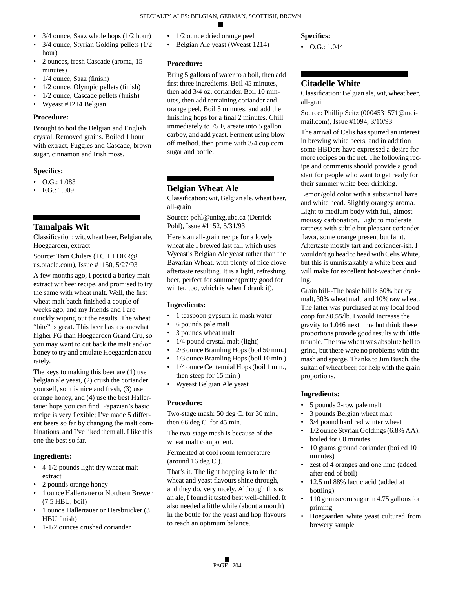- 3/4 ounce, Saaz whole hops (1/2 hour)
- 3/4 ounce, Styrian Golding pellets (1/2) hour)
- 2 ounces, fresh Cascade (aroma, 15 minutes)
- 1/4 ounce, Saaz (finish)
- 1/2 ounce, Olympic pellets (finish)
- 1/2 ounce, Cascade pellets (finish)
- Wyeast #1214 Belgian

# **Procedure:**

Brought to boil the Belgian and English crystal. Removed grains. Boiled 1 hour with extract, Fuggles and Cascade, brown sugar, cinnamon and Irish moss.

# **Specifics:**

- O.G.: 1.083
- F.G.: 1.009

# **Tamalpais Wit**

Classification: wit, wheat beer, Belgian ale, Hoegaarden, extract

Source: Tom Chilers (TCHILDER@ us.oracle.com), Issue #1150, 5/27/93

A few months ago, I posted a barley malt extract wit beer recipe, and promised to try the same with wheat malt. Well, the first wheat malt batch finished a couple of weeks ago, and my friends and I are quickly wiping out the results. The wheat "bite" is great. This beer has a somewhat higher FG than Hoegaarden Grand Cru, so you may want to cut back the malt and/or honey to try and emulate Hoegaarden accurately.

The keys to making this beer are (1) use belgian ale yeast, (2) crush the coriander yourself, so it is nice and fresh, (3) use orange honey, and (4) use the best Hallertauer hops you can find. Papazian's basic recipe is very flexible; I've made 5 different beers so far by changing the malt combinations, and I've liked them all. I like this one the best so far.

# **Ingredients:**

- 4-1/2 pounds light dry wheat malt extract
- 2 pounds orange honey
- 1 ounce Hallertauer or Northern Brewer (7.5 HBU, boil)
- 1 ounce Hallertauer or Hersbrucker (3 HBU finish)
- 1-1/2 ounces crushed coriander
- 1/2 ounce dried orange peel
- Belgian Ale yeast (Wyeast 1214)

# **Procedure:**

Bring 5 gallons of water to a boil, then add first three ingredients. Boil 45 minutes, then add 3/4 oz. coriander. Boil 10 minutes, then add remaining coriander and orange peel. Boil 5 minutes, and add the finishing hops for a final 2 minutes. Chill immediately to 75 F, areate into 5 gallon carboy, and add yeast. Ferment using blowoff method, then prime with 3/4 cup corn sugar and bottle.

# **Belgian Wheat Ale**

Classification: wit, Belgian ale, wheat beer, all-grain

Source: pohl@unixg.ubc.ca (Derrick Pohl), Issue #1152, 5/31/93

Here's an all-grain recipe for a lovely wheat ale I brewed last fall which uses Wyeast's Belgian Ale yeast rather than the Bavarian Wheat, with plenty of nice clove aftertaste resulting. It is a light, refreshing beer, perfect for summer (pretty good for winter, too, which is when I drank it).

# **Ingredients:**

- 1 teaspoon gypsum in mash water
- 6 pounds pale malt
- 3 pounds wheat malt
- 1/4 pound crystal malt (light)
- 2/3 ounce Bramling Hops (boil 50 min.)
- 1/3 ounce Bramling Hops (boil 10 min.)
- 1/4 ounce Centennial Hops (boil 1 min., then steep for 15 min.)
- Wyeast Belgian Ale yeast

# **Procedure:**

Two-stage mash: 50 deg C. for 30 min., then 66 deg C. for 45 min.

The two-stage mash is because of the wheat malt component.

Fermented at cool room temperature (around 16 deg C.).

That's it. The light hopping is to let the wheat and yeast flavours shine through, and they do, very nicely. Although this is an ale, I found it tasted best well-chilled. It also needed a little while (about a month) in the bottle for the yeast and hop flavours to reach an optimum balance.

# **Specifics:**

•  $O.G.: 1.044$ 

# **Citadelle White**

Classification: Belgian ale, wit, wheat beer, all-grain

Source: Phillip Seitz (0004531571@mcimail.com), Issue #1094, 3/10/93

The arrival of Celis has spurred an interest in brewing white beers, and in addition some HBDers have expressed a desire for more recipes on the net. The following recipe and comments should provide a good start for people who want to get ready for their summer white beer drinking.

Lemon/gold color with a substantial haze and white head. Slightly orangey aroma. Light to medium body with full, almost moussy carbonation. Light to moderate tartness with subtle but pleasant coriander flavor, some orange present but faint. Aftertaste mostly tart and coriander-ish. I wouldn't go head to head with Celis White, but this is unmistakably a white beer and will make for excellent hot-weather drinking.

Grain bill--The basic bill is 60% barley malt, 30% wheat malt, and 10% raw wheat. The latter was purchased at my local food coop for \$0.55/lb. I would increase the gravity to 1.046 next time but think these proportions provide good results with little trouble. The raw wheat was absolute hell to grind, but there were no problems with the mash and sparge. Thanks to Jim Busch, the sultan of wheat beer, for help with the grain proportions.

- 5 pounds 2-row pale malt
- 3 pounds Belgian wheat malt
- 3/4 pound hard red winter wheat
- 1/2 ounce Styrian Goldings (6.8% AA), boiled for 60 minutes
- 10 grams ground coriander (boiled 10 minutes)
- zest of 4 oranges and one lime (added after end of boil)
- 12.5 ml 88% lactic acid (added at bottling)
- 110 grams corn sugar in 4.75 gallons for priming
- Hoegaarden white yeast cultured from brewery sample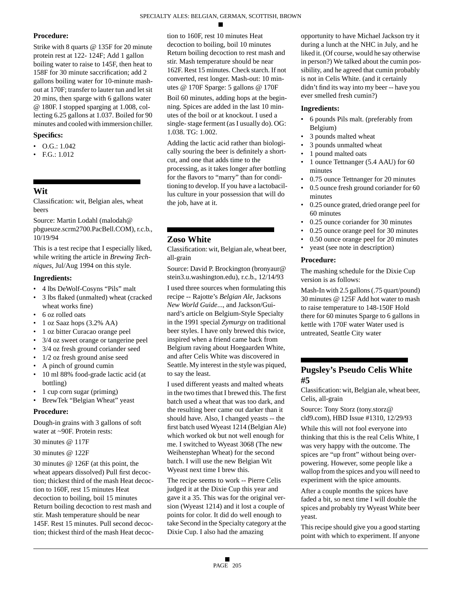### **Procedure:**

Strike with 8 quarts @ 135F for 20 minute protein rest at 122- 124F; Add 1 gallon boiling water to raise to 145F, then heat to 158F for 30 minute saccrification; add 2 gallons boiling water for 10-minute mashout at 170F; transfer to lauter tun and let sit 20 mins, then sparge with 6 gallons water @ 180F. I stopped sparging at 1.008, collecting 6.25 gallons at 1.037. Boiled for 90 minutes and cooled with immersion chiller.

# **Specifics:**

- O.G.: 1.042
- F.G.: 1.012

# **Wit**

Classification: wit, Belgian ales, wheat beers

Source: Martin Lodahl (malodah@ pbgueuze.scrm2700.PacBell.COM), r.c.b., 10/19/94

This is a test recipe that I especially liked, while writing the article in *Brewing Techniques*, Jul/Aug 1994 on this style.

### **Ingredients:**

- 4 lbs DeWolf-Cosyns "Pils" malt
- 3 lbs flaked (unmalted) wheat (cracked wheat works fine)
- 6 oz rolled oats
- 1 oz Saaz hops (3.2% AA)
- 1 oz bitter Curacao orange peel
- 3/4 oz sweet orange or tangerine peel
- 3/4 oz fresh ground coriander seed
- 1/2 oz fresh ground anise seed
- A pinch of ground cumin
- 10 ml 88% food-grade lactic acid (at bottling)
- 1 cup corn sugar (priming)
- BrewTek "Belgian Wheat" yeast

### **Procedure:**

Dough-in grains with 3 gallons of soft water at ~90F. Protein rests:

30 minutes @ 117F

30 minutes @ 122F

30 minutes @ 126F (at this point, the wheat appears dissolved) Pull first decoction; thickest third of the mash Heat decoction to 160F, rest 15 minutes Heat decoction to boiling, boil 15 minutes Return boiling decoction to rest mash and stir. Mash temperature should be near 145F. Rest 15 minutes. Pull second decoction; thickest third of the mash Heat decoction to 160F, rest 10 minutes Heat decoction to boiling, boil 10 minutes Return boiling decoction to rest mash and stir. Mash temperature should be near 162F. Rest 15 minutes. Check starch. If not converted, rest longer. Mash-out: 10 minutes @ 170F Sparge: 5 gallons @ 170F

Boil 60 minutes, adding hops at the beginning. Spices are added in the last 10 minutes of the boil or at knockout. I used a single- stage ferment (as I usually do). OG: 1.038. TG: 1.002.

Adding the lactic acid rather than biologically souring the beer is definitely a shortcut, and one that adds time to the processing, as it takes longer after bottling for the flavors to "marry" than for conditioning to develop. If you have a lactobacillus culture in your possession that will do the job, have at it.

# **Zoso White**

Classification: wit, Belgian ale, wheat beer, all-grain

Source: David P. Brockington (bronyaur@ stein3.u.washington.edu), r.c.b., 12/14/93

I used three sources when formulating this recipe -- Rajotte's *Belgian Ale*, Jacksons *New World Guide*..., and Jackson/Guinard's article on Belgium-Style Specialty in the 1991 special *Zymurgy* on traditional beer styles. I have only brewed this twice, inspired when a friend came back from Belgium raving about Hoegaarden White, and after Celis White was discovered in Seattle. My interest in the style was piqued, to say the least.

I used different yeasts and malted wheats in the two times that I brewed this. The first batch used a wheat that was too dark, and the resulting beer came out darker than it should have. Also, I changed yeasts -- the first batch used Wyeast 1214 (Belgian Ale) which worked ok but not well enough for me. I switched to Wyeast 3068 (The new Weihenstephan Wheat) for the second batch. I will use the new Belgian Wit Wyeast next time I brew this.

The recipe seems to work -- Pierre Celis judged it at the Dixie Cup this year and gave it a 35. This was for the original version (Wyeast 1214) and it lost a couple of points for color. It did do well enough to take Second in the Specialty category at the Dixie Cup. I also had the amazing

opportunity to have Michael Jackson try it during a lunch at the NHC in July, and he liked it. (Of course, would he say otherwise in person?) We talked about the cumin possibility, and he agreed that cumin probably is not in Celis White. (and it certainly didn't find its way into my beer -- have you ever smelled fresh cumin?)

### **Ingredients:**

- 6 pounds Pils malt. (preferably from Belgium)
- 3 pounds malted wheat
- 3 pounds unmalted wheat
- 1 pound malted oats
- 1 ounce Tettnanger (5.4 AAU) for 60 minutes
- 0.75 ounce Tettnanger for 20 minutes
- 0.5 ounce fresh ground coriander for 60 minutes
- 0.25 ounce grated, dried orange peel for 60 minutes
- 0.25 ounce coriander for 30 minutes
- 0.25 ounce orange peel for 30 minutes
- 0.50 ounce orange peel for 20 minutes
- yeast (see note in description)

### **Procedure:**

The mashing schedule for the Dixie Cup version is as follows:

Mash-In with 2.5 gallons (.75 quart/pound) 30 minutes @ 125F Add hot water to mash to raise temperature to 148-150F Hold there for 60 minutes Sparge to 6 gallons in kettle with 170F water Water used is untreated, Seattle City water

# **Pugsley's Pseudo Celis White #5**

Classification: wit, Belgian ale, wheat beer, Celis, all-grain

Source: Tony Storz (tony.storz@ cld9.com), HBD Issue #1310, 12/29/93

While this will not fool everyone into thinking that this is the real Celis White, I was very happy with the outcome. The spices are "up front" without being overpowering. However, some people like a wallop from the spices and you will need to experiment with the spice amounts.

After a couple months the spices have faded a bit, so next time I will double the spices and probably try Wyeast White beer yeast.

This recipe should give you a good starting point with which to experiment. If anyone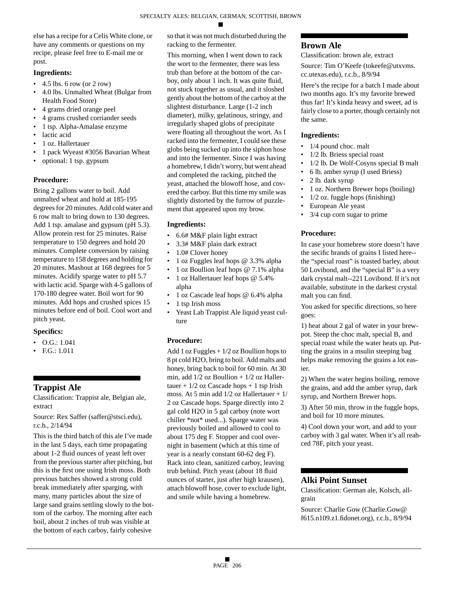else has a recipe for a Celis White clone, or have any comments or questions on my recipe, please feel free to E-mail me or post.

### **Ingredients:**

- $\cdot$  4.5 lbs. 6 row (or 2 row)
- 4.0 lbs. Unmalted Wheat (Bulgar from Health Food Store)
- 4 grams dried orange peel
- 4 grams crushed corriander seeds
- 1 tsp. Alpha-Amalase enzyme
- lactic acid
- 1 oz. Hallertauer
- 1 pack Wyeast #3056 Bavarian Wheat
- optional: 1 tsp. gypsum

### **Procedure:**

Bring 2 gallons water to boil. Add unmalted wheat and hold at 185-195 degrees for 20 minutes. Add cold water and 6 row malt to bring down to 130 degrees. Add 1 tsp. amalase and gypsum (pH 5.3). Allow protein rest for 25 minutes. Raise temperature to 150 degrees and hold 20 minutes. Complete conversion by raising temperature to 158 degrees and holding for 20 minutes. Mashout at 168 degrees for 5 minutes. Acidify sparge water to pH 5.7 with lactic acid. Sparge with 4-5 gallons of 170-180 degree water. Boil wort for 90 minutes. Add hops and crushed spices 15 minutes before end of boil. Cool wort and pitch yeast.

### **Specifics:**

- O.G.: 1.041
- F.G.: 1.011

# **Trappist Ale**

Classification: Trappist ale, Belgian ale, extract

Source: Rex Saffer (saffer@stsci.edu), r.c.b., 2/14/94

This is the third batch of this ale I've made in the last 5 days, each time propagating about 1-2 fluid ounces of yeast left over from the previous starter after pitching, but this is the first one using Irish moss. Both previous batches showed a strong cold break immediately after sparging, with many, many particles about the size of large sand grains settling slowly to the bottom of the carboy. The morning after each boil, about 2 inches of trub was visible at the bottom of each carboy, fairly cohesive

so that it was not much disturbed during the racking to the fermenter.

This morning, when I went down to rack the wort to the fermenter, there was less trub than before at the bottom of the carboy, only about 1 inch. It was quite fluid, not stuck together as usual, and it sloshed gently about the bottom of the carboy at the slightest disturbance. Large (1-2 inch diameter), milky, gelatinous, stringy, and irregularly shaped globs of precipitate were floating all throughout the wort. As I racked into the fermenter, I could see these globs being sucked up into the siphon hose and into the fermenter. Since I was having a homebrew, I didn't worry, but went ahead and completed the racking, pitched the yeast, attached the blowoff hose, and covered the carboy. But this time my smile was slightly distorted by the furrow of puzzlement that appeared upon my brow.

#### **Ingredients:**

- 6.6# M&F plain light extract
- 3.3# M&F plain dark extract
- 1.0# Clover honey
- 1 oz Fuggles leaf hops @ 3.3% alpha
- 1 oz Boullion leaf hops @ 7.1% alpha
- 1 oz Hallertauer leaf hops @ 5.4% alpha
- 1 oz Cascade leaf hops @ 6.4% alpha
- 1 tsp Irish moss
- Yeast Lab Trappist Ale liquid yeast culture

### **Procedure:**

Add 1 oz Fuggles + 1/2 oz Boullion hops to 8 pt cold H2O, bring to boil. Add malts and honey, bring back to boil for 60 min. At 30 min, add 1/2 oz Boullion + 1/2 oz Hallertauer +  $1/2$  oz Cascade hops + 1 tsp Irish moss. At 5 min add 1/2 oz Hallertauer + 1/ 2 oz Cascade hops. Sparge directly into 2 gal cold H2O in 5 gal carboy (note wort chiller \*not\* used...). Sparge water was previously boiled and allowed to cool to about 175 deg F. Stopper and cool overnight in basement (which at this time of year is a nearly constant 60-62 deg F). Rack into clean, sanitized carboy, leaving trub behind. Pitch yeast (about 18 fluid ounces of starter, just after high krausen), attach blowoff hose, cover to exclude light, and smile while having a homebrew.

# **Brown Ale**

Classification: brown ale, extract

Source: Tim O'Keefe (tokeefe@utxvms. cc.utexas.edu), r.c.b., 8/9/94

Here's the recipe for a batch I made about two months ago. It's my favorite brewed thus far! It's kinda heavy and sweet, ad is fairly close to a porter, though certainly not the same.

#### **Ingredients:**

- 1/4 pound choc. malt
- 1/2 lb. Briess special roast
- 1/2 lb. De Wolf-Cosyns special B malt
- 6 lb. amber syrup (I used Briess)
- 2 lb. dark syrup
- 1 oz. Northern Brewer hops (boiling)
- $1/2$  oz. fuggle hops (finishing)
- European Ale yeast
- 3/4 cup corn sugar to prime

### **Procedure:**

In case your homebrew store doesn't have the secific brands of grains I listed here- the "special roast" is toasted barley, about 50 Lovibond, and the "special B" is a very dark crystal malt--221 Lovibond. If it's not available, substitute in the darkest crystal malt you can find.

You asked for specific directions, so here goes:

1) heat about 2 gal of water in your brewpot. Steep the choc malt, special B, and special roast while the water heats up. Putting the grains in a msulin steeping bag helps make removing the grains a lot easier.

2) When the water begins boiling, remove the grains, and add the amber syrup, dark syrup, and Northern Brewer hops.

3) After 50 min, throw in the fuggle hops, and boil for 10 more minutes.

4) Cool down your wort, and add to your carboy with 3 gal water. When it's all reahced 78F, pitch your yeast.

### **Alki Point Sunset**

Classification: German ale, Kolsch, allgrain

Source: Charlie Gow (Charlie.Gow@ f615.n109.z1.fidonet.org), r.c.b., 8/9/94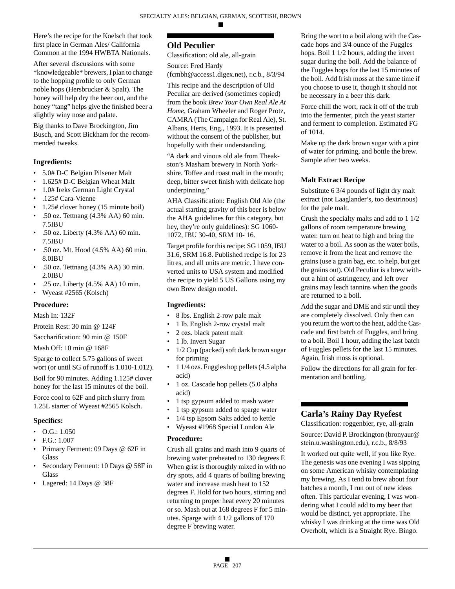Here's the recipe for the Koelsch that took first place in German Ales/ California Common at the 1994 HWBTA Nationals.

After several discussions with some \*knowledgeable\* brewers, I plan to change to the hopping profile to only German noble hops (Hersbrucker & Spalt). The honey will help dry the beer out, and the honey "tang" helps give the finished beer a slightly winy nose and palate.

Big thanks to Dave Brockington, Jim Busch, and Scott Bickham for the recommended tweaks.

### **Ingredients:**

- 5.0# D-C Belgian Pilsener Malt
- 1.625# D-C Belgian Wheat Malt
- 1.0# Ireks German Light Crystal
- .125# Cara-Vienne
- 1.25# clover honey (15 minute boil)
- .50 oz. Tettnang (4.3% AA) 60 min. 7.5IBU
- .50 oz. Liberty (4.3% AA) 60 min. 7.5IBU
- .50 oz. Mt. Hood (4.5% AA) 60 min. 8.0IBU
- .50 oz. Tettnang (4.3% AA) 30 min. 2.0IBU
- .25 oz. Liberty (4.5% AA) 10 min.
- Wyeast #2565 (Kolsch)

# **Procedure:**

Mash In: 132F

Protein Rest: 30 min @ 124F

Saccharification: 90 min @ 150F

Mash Off: 10 min @ 168F

Sparge to collect 5.75 gallons of sweet wort (or until SG of runoff is 1.010-1.012).

Boil for 90 minutes. Adding 1.125# clover honey for the last 15 minutes of the boil.

Force cool to 62F and pitch slurry from 1.25L starter of Wyeast #2565 Kolsch.

# **Specifics:**

- O.G.: 1.050
- F.G.: 1.007
- Primary Ferment: 09 Days @ 62F in **Glass**
- Secondary Ferment: 10 Days @ 58F in **Glass**
- Lagered: 14 Days @ 38F

# **Old Peculier**

Classification: old ale, all-grain

Source: Fred Hardy

(fcmbh@access1.digex.net), r.c.b., 8/3/94

This recipe and the description of Old Peculiar are derived (sometimes copied) from the book *Brew Your Own Real Ale At Home*, Graham Wheeler and Roger Protz, CAMRA (The Campaign for Real Ale), St. Albans, Herts, Eng., 1993. It is presented without the consent of the publisher, but hopefully with their understanding.

"A dark and vinous old ale from Theakston's Masham brewery in North Yorkshire. Toffee and roast malt in the mouth; deep, bitter sweet finish with delicate hop underpinning."

AHA Classification: English Old Ale (the actual starting gravity of this beer is below the AHA guidelines for this category, but hey, they're only guidelines): SG 1060- 1072, IBU 30-40, SRM 10- 16.

Target profile for this recipe: SG 1059, IBU 31.6, SRM 16.8. Published recipe is for 23 litres, and all units are metric. I have converted units to USA system and modified the recipe to yield 5 US Gallons using my own Brew design model.

# **Ingredients:**

- 8 lbs. English 2-row pale malt
- 1 lb. English 2-row crystal malt
- 2 ozs. black patent malt
- 1 lb. Invert Sugar
- 1/2 Cup (packed) soft dark brown sugar for priming
- 1 1/4 ozs. Fuggles hop pellets (4.5 alpha acid)
- 1 oz. Cascade hop pellets (5.0 alpha acid)
- 1 tsp gypsum added to mash water
- 1 tsp gypsum added to sparge water
- 1/4 tsp Epsom Salts added to kettle
- Wyeast #1968 Special London Ale

# **Procedure:**

Crush all grains and mash into 9 quarts of brewing water preheated to 130 degrees F. When grist is thoroughly mixed in with no dry spots, add 4 quarts of boiling brewing water and increase mash heat to 152 degrees F. Hold for two hours, stirring and returning to proper heat every 20 minutes or so. Mash out at 168 degrees F for 5 minutes. Sparge with 4 1/2 gallons of 170 degree F brewing water.

Bring the wort to a boil along with the Cascade hops and 3/4 ounce of the Fuggles hops. Boil 1 1/2 hours, adding the invert sugar during the boil. Add the balance of the Fuggles hops for the last 15 minutes of the boil. Add Irish moss at the same time if you choose to use it, though it should not be necessary in a beer this dark.

Force chill the wort, rack it off of the trub into the fermenter, pitch the yeast starter and ferment to completion. Estimated FG of 1014.

Make up the dark brown sugar with a pint of water for priming, and bottle the brew. Sample after two weeks.

# **Malt Extract Recipe**

Substitute 6 3/4 pounds of light dry malt extract (not Laaglander's, too dextrinous) for the pale malt.

Crush the specialty malts and add to 1 1/2 gallons of room temperature brewing water. turn on heat to high and bring the water to a boil. As soon as the water boils, remove it from the heat and remove the grains (use a grain bag, etc. to help, but get the grains out). Old Peculiar is a brew without a hint of astringency, and left over grains may leach tannins when the goods are returned to a boil.

Add the sugar and DME and stir until they are completely dissolved. Only then can you return the wort to the heat, add the Cascade and first batch of Fuggles, and bring to a boil. Boil 1 hour, adding the last batch of Fuggles pellets for the last 15 minutes. Again, Irish moss is optional.

Follow the directions for all grain for fermentation and bottling.

# **Carla's Rainy Day Ryefest**

Classification: roggenbier, rye, all-grain Source: David P. Brockington (bronyaur@ stein.u.washington.edu), r.c.b., 8/8/93

It worked out quite well, if you like Rye. The genesis was one evening I was sipping on some American whisky contemplating my brewing. As I tend to brew about four batches a month, I run out of new ideas often. This particular evening, I was wondering what I could add to my beer that would be distinct, yet appropriate. The whisky I was drinking at the time was Old Overholt, which is a Straight Rye. Bingo.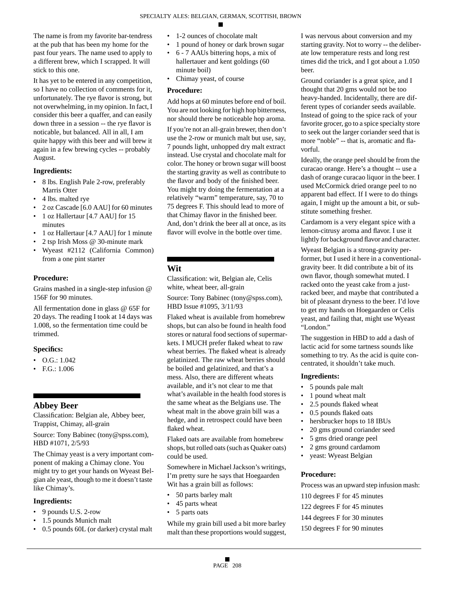The name is from my favorite bar-tendress at the pub that has been my home for the past four years. The name used to apply to a different brew, which I scrapped. It will stick to this one.

It has yet to be entered in any competition, so I have no collection of comments for it, unfortunately. The rye flavor is strong, but not overwhelming, in my opinion. In fact, I consider this beer a quaffer, and can easily down three in a session -- the rye flavor is noticable, but balanced. All in all, I am quite happy with this beer and will brew it again in a few brewing cycles -- probably August.

### **Ingredients:**

- 8 lbs. English Pale 2-row, preferably Marris Otter
- 4 lbs. malted rye
- 2 oz Cascade [6.0 AAU] for 60 minutes
- 1 oz Hallertaur [4.7 AAU] for 15 minutes
- 1 oz Hallertaur [4.7 AAU] for 1 minute
- 2 tsp Irish Moss @ 30-minute mark
- Wyeast #2112 (California Common) from a one pint starter

# **Procedure:**

Grains mashed in a single-step infusion @ 156F for 90 minutes.

All fermentation done in glass @ 65F for 20 days. The reading I took at 14 days was 1.008, so the fermentation time could be trimmed.

### **Specifics:**

- $\bullet$  O.G.: 1.042
- F.G.: 1.006

# **Abbey Beer**

Classification: Belgian ale, Abbey beer, Trappist, Chimay, all-grain

Source: Tony Babinec (tony@spss.com), HBD #1071, 2/5/93

The Chimay yeast is a very important component of making a Chimay clone. You might try to get your hands on Wyeast Belgian ale yeast, though to me it doesn't taste like Chimay's.

### **Ingredients:**

- 9 pounds U.S. 2-row
- 1.5 pounds Munich malt
- 0.5 pounds 60L (or darker) crystal malt
- 1-2 ounces of chocolate malt
- 1 pound of honey or dark brown sugar
- 6 7 AAUs bittering hops, a mix of hallertauer and kent goldings (60 minute boil)
- Chimay yeast, of course

#### **Procedure:**

Add hops at 60 minutes before end of boil. You are not looking for high hop bitterness, nor should there be noticeable hop aroma.

If you're not an all-grain brewer, then don't use the 2-row or munich malt but use, say, 7 pounds light, unhopped dry malt extract instead. Use crystal and chocolate malt for color. The honey or brown sugar will boost the starting gravity as well as contribute to the flavor and body of the finished beer. You might try doing the fermentation at a relatively "warm" temperature, say, 70 to 75 degrees F. This should lead to more of that Chimay flavor in the finished beer. And, don't drink the beer all at once, as its flavor will evolve in the bottle over time.

# **Wit**

Classification: wit, Belgian ale, Celis white, wheat beer, all-grain

Source: Tony Babinec (tony@spss.com), HBD Issue #1095, 3/11/93

Flaked wheat is available from homebrew shops, but can also be found in health food stores or natural food sections of supermarkets. I MUCH prefer flaked wheat to raw wheat berries. The flaked wheat is already gelatinized. The raw wheat berries should be boiled and gelatinized, and that's a mess. Also, there are different wheats available, and it's not clear to me that what's available in the health food stores is the same wheat as the Belgians use. The wheat malt in the above grain bill was a hedge, and in retrospect could have been flaked wheat.

Flaked oats are available from homebrew shops, but rolled oats (such as Quaker oats) could be used.

Somewhere in Michael Jackson's writings, I'm pretty sure he says that Hoegaarden Wit has a grain bill as follows:

- 50 parts barley malt
- 45 parts wheat
- 5 parts oats

While my grain bill used a bit more barley malt than these proportions would suggest, I was nervous about conversion and my starting gravity. Not to worry -- the deliberate low temperature rests and long rest times did the trick, and I got about a 1.050 beer.

Ground coriander is a great spice, and I thought that 20 gms would not be too heavy-handed. Incidentally, there are different types of coriander seeds available. Instead of going to the spice rack of your favorite grocer, go to a spice specialty store to seek out the larger coriander seed that is more "noble" -- that is, aromatic and flavorful.

Ideally, the orange peel should be from the curacao orange. Here's a thought -- use a dash of orange curacao liquor in the beer. I used McCormick dried orange peel to no apparent bad effect. If I were to do things again, I might up the amount a bit, or substitute something fresher.

Cardamom is a very elegant spice with a lemon-citrusy aroma and flavor. I use it lightly for background flavor and character.

Wyeast Belgian is a strong-gravity performer, but I used it here in a conventionalgravity beer. It did contribute a bit of its own flavor, though somewhat muted. I racked onto the yeast cake from a justracked beer, and maybe that contributed a bit of pleasant dryness to the beer. I'd love to get my hands on Hoegaarden or Celis yeast, and failing that, might use Wyeast "London."

The suggestion in HBD to add a dash of lactic acid for some tartness sounds like something to try. As the acid is quite concentrated, it shouldn't take much.

#### **Ingredients:**

- 5 pounds pale malt
- 1 pound wheat malt
- 2.5 pounds flaked wheat
- 0.5 pounds flaked oats
- hersbrucker hops to 18 IBUs
- 20 gms ground coriander seed
- 5 gms dried orange peel
- 2 gms ground cardamom
- yeast: Wyeast Belgian

### **Procedure:**

Process was an upward step infusion mash:

- 110 degrees F for 45 minutes
- 122 degrees F for 45 minutes
- 144 degrees F for 30 minutes
- 150 degrees F for 90 minutes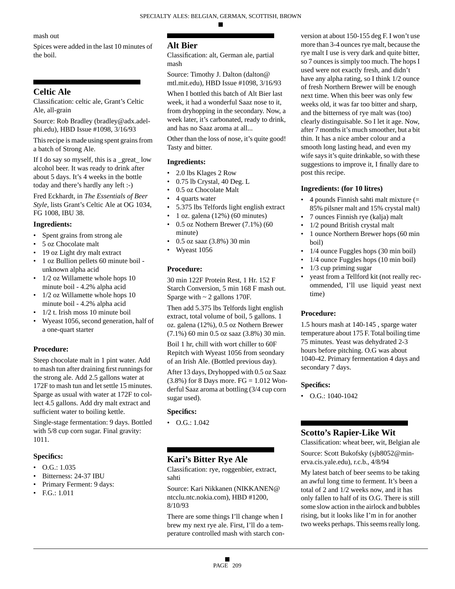### mash out

Spices were added in the last 10 minutes of the boil.

# **Celtic Ale**

Classification: celtic ale, Grant's Celtic Ale, all-grain

Source: Rob Bradley (bradley@adx.adelphi.edu), HBD Issue #1098, 3/16/93

This recipe is made using spent grains from a batch of Strong Ale.

If I do say so myself, this is a \_great\_ low alcohol beer. It was ready to drink after about 5 days. It's 4 weeks in the bottle today and there's hardly any left :-)

Fred Eckhardt, in *The Essentials of Beer Style*, lists Grant's Celtic Ale at OG 1034, FG 1008, IBU 38.

### **Ingredients:**

- Spent grains from strong ale
- 5 oz Chocolate malt
- 19 oz Light dry malt extract
- 1 oz Bullion pellets 60 minute boil unknown alpha acid
- 1/2 oz Willamette whole hops 10 minute boil - 4.2% alpha acid
- 1/2 oz Willamette whole hops 10 minute boil - 4.2% alpha acid
- 1/2 t. Irish moss 10 minute boil
- Wyeast 1056, second generation, half of a one-quart starter

# **Procedure:**

Steep chocolate malt in 1 pint water. Add to mash tun after draining first runnings for the strong ale. Add 2.5 gallons water at 172F to mash tun and let settle 15 minutes. Sparge as usual with water at 172F to collect 4.5 gallons. Add dry malt extract and sufficient water to boiling kettle.

Single-stage fermentation: 9 days. Bottled with  $5/8$  cup corn sugar. Final gravity: 1011.

# **Specifics:**

- $\bullet$  O.G.: 1.035
- Bitterness: 24-37 IBU
- Primary Ferment: 9 days:
- F.G.: 1.011

# **Alt Bier**

Classification: alt, German ale, partial mash

Source: Timothy J. Dalton (dalton@ mtl.mit.edu), HBD Issue #1098, 3/16/93

When I bottled this batch of Alt Bier last week, it had a wonderful Saaz nose to it, from dryhopping in the secondary. Now, a week later, it's carbonated, ready to drink, and has no Saaz aroma at all...

Other than the loss of nose, it's quite good! Tasty and bitter.

### **Ingredients:**

- 2.0 lbs Klages 2 Row
- 0.75 lb Crystal, 40 Deg. L
- 0.5 oz Chocolate Malt
- 4 quarts water
- 5.375 lbs Telfords light english extract
- 1 oz. galena (12%) (60 minutes)
- $\cdot$  0.5 oz Nothern Brewer (7.1%) (60 minute)
- 0.5 oz saaz (3.8%) 30 min
- Wyeast 1056

# **Procedure:**

30 min 122F Protein Rest, 1 Hr. 152 F Starch Conversion, 5 min 168 F mash out. Sparge with  $\sim$  2 gallons 170F.

Then add 5.375 lbs Telfords light english extract, total volume of boil, 5 gallons. 1 oz. galena (12%), 0.5 oz Nothern Brewer (7.1%) 60 min 0.5 oz saaz (3.8%) 30 min.

Boil 1 hr, chill with wort chiller to 60F Repitch with Wyeast 1056 from seondary of an Irish Ale. (Bottled previous day).

After 13 days, Dryhopped with 0.5 oz Saaz  $(3.8\%)$  for 8 Days more. FG = 1.012 Wonderful Saaz aroma at bottling (3/4 cup corn sugar used).

# **Specifics:**

 $\bullet$  O.G.: 1.042

# **Kari's Bitter Rye Ale**

Classification: rye, roggenbier, extract, sahti

Source: Kari Nikkanen (NIKKANEN@ ntcclu.ntc.nokia.com), HBD #1200, 8/10/93

There are some things I'll change when I brew my next rye ale. First, I'll do a temperature controlled mash with starch con-

version at about 150-155 deg F. I won't use more than 3-4 ounces rye malt, because the rye malt I use is very dark and quite bitter, so 7 ounces is simply too much. The hops I used were not exactly fresh, and didn't have any alpha rating, so I think 1/2 ounce of fresh Northern Brewer will be enough next time. When this beer was only few weeks old, it was far too bitter and sharp, and the bitterness of rye malt was (too) clearly distinguisable. So I let it age. Now, after 7 months it's much smoother, but a bit thin. It has a nice amber colour and a smooth long lasting head, and even my wife says it's quite drinkable, so with these suggestions to improve it, I finally dare to post this recipe.

### **Ingredients: (for 10 litres)**

- 4 pounds Finnish sahti malt mixture (= 85% pilsner malt and 15% crystal malt)
- 7 ounces Finnish rye (kalja) malt
- 1/2 pound British crystal malt
- 1 ounce Northern Brewer hops (60 min) boil)
- 1/4 ounce Fuggles hops (30 min boil)
- 1/4 ounce Fuggles hops (10 min boil)
- $1/3$  cup priming sugar
- yeast from a Tellford kit (not really recommended, I'll use liquid yeast next time)

# **Procedure:**

1.5 hours mash at 140-145 , sparge water temperature about 175 F. Total boiling time 75 minutes. Yeast was dehydrated 2-3 hours before pitching. O.G was about 1040-42. Primary fermentation 4 days and secondary 7 days.

### **Specifics:**

• O.G.: 1040-1042

# **Scotto's Rapier-Like Wit**

Classification: wheat beer, wit, Belgian ale Source: Scott Bukofsky (sjb8052@minerva.cis.yale.edu), r.c.b., 4/8/94

My latest batch of beer seems to be taking an awful long time to ferment. It's been a total of 2 and 1/2 weeks now, and it has only fallen to half of its O.G. There is still some slow action in the airlock and bubbles rising, but it looks like I'm in for another two weeks perhaps. This seems really long.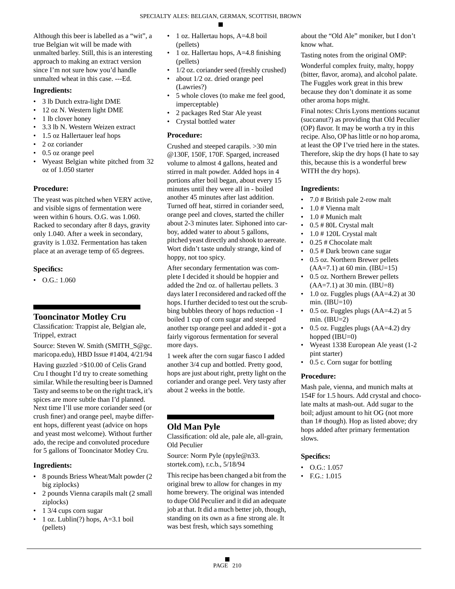Although this beer is labelled as a "wit", a true Belgian wit will be made with unmalted barley. Still, this is an interesting approach to making an extract version since I'm not sure how you'd handle unmalted wheat in this case. ---Ed.

# **Ingredients:**

- 3 lb Dutch extra-light DME
- 12 oz N. Western light DME
- 1 lb clover honey
- 3.3 lb N. Western Weizen extract
- 1.5 oz Hallertauer leaf hops
- 2 oz coriander
- 0.5 oz orange peel
- Wyeast Belgian white pitched from 32 oz of 1.050 starter

# **Procedure:**

The yeast was pitched when VERY active, and visible signs of fermentation were ween within 6 hours. O.G. was 1.060. Racked to secondary after 8 days, gravity only 1.040. After a week in secondary, gravity is 1.032. Fermentation has taken place at an average temp of 65 degrees.

# **Specifics:**

• O.G.: 1.060

# **Tooncinator Motley Cru**

Classification: Trappist ale, Belgian ale, Trippel, extract

Source: Steven W. Smith (SMITH\_S@gc. maricopa.edu), HBD Issue #1404, 4/21/94

Having guzzled >\$10.00 of Celis Grand Cru I thought I'd try to create something similar. While the resulting beer is Damned Tasty and seems to be on the right track, it's spices are more subtle than I'd planned. Next time I'll use more coriander seed (or crush finer) and orange peel, maybe different hops, different yeast (advice on hops and yeast most welcome). Without further ado, the recipe and convoluted procedure for 5 gallons of Tooncinator Motley Cru.

# **Ingredients:**

- 8 pounds Briess Wheat/Malt powder (2 big ziplocks)
- 2 pounds Vienna carapils malt (2 small ziplocks)
- 1 3/4 cups corn sugar
- 1 oz. Lublin(?) hops, A=3.1 boil (pellets)
- 1 oz. Hallertau hops, A=4.8 boil (pellets)
- 1 oz. Hallertau hops, A=4.8 finishing (pellets)
- 1/2 oz. coriander seed (freshly crushed) • about 1/2 oz. dried orange peel
- (Lawries?) • 5 whole cloves (to make me feel good,
- imperceptable) • 2 packages Red Star Ale yeast
- Crystal bottled water

# **Procedure:**

Crushed and steeped carapils. >30 min @130F, 150F, 170F. Sparged, increased volume to almost 4 gallons, heated and stirred in malt powder. Added hops in 4 portions after boil began, about every 15 minutes until they were all in - boiled another 45 minutes after last addition. Turned off heat, stirred in coriander seed, orange peel and cloves, started the chiller about 2-3 minutes later. Siphoned into carboy, added water to about 5 gallons, pitched yeast directly and shook to aereate. Wort didn't taste unduly strange, kind of hoppy, not too spicy.

After secondary fermentation was complete I decided it should be hoppier and added the 2nd oz. of hallertau pellets. 3 days later I reconsidered and racked off the hops. I further decided to test out the scrubbing bubbles theory of hops reduction - I boiled 1 cup of corn sugar and steeped another tsp orange peel and added it - got a fairly vigorous fermentation for several more days.

1 week after the corn sugar fiasco I added another 3/4 cup and bottled. Pretty good, hops are just about right, pretty light on the coriander and orange peel. Very tasty after about 2 weeks in the bottle.

# **Old Man Pyle**

Classification: old ale, pale ale, all-grain, Old Peculier

Source: Norm Pyle (npyle@n33. stortek.com), r.c.b., 5/18/94

This recipe has been changed a bit from the original brew to allow for changes in my home brewery. The original was intended to dupe Old Peculier and it did an adequate job at that. It did a much better job, though, standing on its own as a fine strong ale. It was best fresh, which says something

about the "Old Ale" moniker, but I don't know what.

Tasting notes from the original OMP:

Wonderful complex fruity, malty, hoppy (bitter, flavor, aroma), and alcohol palate. The Fuggles work great in this brew because they don't dominate it as some other aroma hops might.

Final notes: Chris Lyons mentions sucanut (succanut?) as providing that Old Peculier (OP) flavor. It may be worth a try in this recipe. Also, OP has little or no hop aroma, at least the OP I've tried here in the states. Therefore, skip the dry hops (I hate to say this, because this is a wonderful brew WITH the dry hops).

# **Ingredients:**

- 7.0 # British pale 2-row malt
- 1.0 # Vienna malt
- 1.0 # Munich malt
- 0.5 # 80L Crystal malt
- 1.0 # 120L Crystal malt
- 0.25 # Chocolate malt
- 0.5 # Dark brown cane sugar
- 0.5 oz. Northern Brewer pellets  $(AA=7.1)$  at 60 min. (IBU=15)
- 0.5 oz. Northern Brewer pellets (AA=7.1) at 30 min. (IBU=8)
- 1.0 oz. Fuggles plugs (AA=4.2) at 30 min.  $(IBU=10)$
- 0.5 oz. Fuggles plugs (AA=4.2) at 5 min.  $(IBU=2)$
- 0.5 oz. Fuggles plugs (AA=4.2) dry hopped (IBU=0)
- Wyeast 1338 European Ale yeast (1-2 pint starter)
- 0.5 c. Corn sugar for bottling

# **Procedure:**

Mash pale, vienna, and munich malts at 154F for 1.5 hours. Add crystal and chocolate malts at mash-out. Add sugar to the boil; adjust amount to hit OG (not more than 1# though). Hop as listed above; dry hops added after primary fermentation slows.

# **Specifics:**

- O.G.: 1.057
- F.G.: 1.015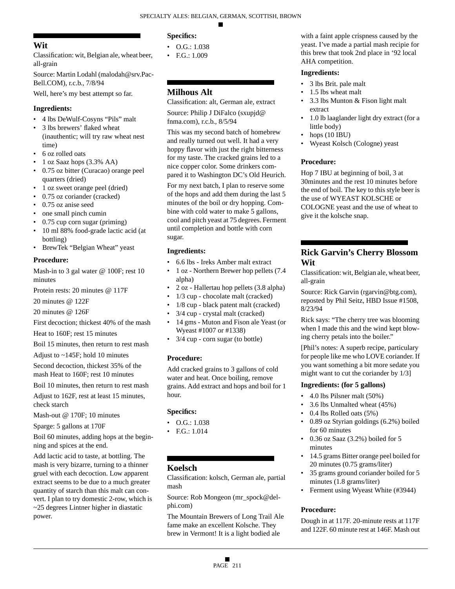# **Wit**

Classification: wit, Belgian ale, wheat beer, all-grain

Source: Martin Lodahl (malodah@srv.Pac-Bell.COM), r.c.b., 7/8/94

Well, here's my best attempt so far.

# **Ingredients:**

- 4 lbs DeWulf-Cosyns "Pils" malt
- 3 lbs brewers' flaked wheat (inauthentic; will try raw wheat nest time)
- 6 oz rolled oats
- 1 oz Saaz hops (3.3% AA)
- 0.75 oz bitter (Curacao) orange peel quarters (dried)
- 1 oz sweet orange peel (dried)
- 0.75 oz coriander (cracked)
- 0.75 oz anise seed
- one small pinch cumin
- 0.75 cup corn sugar (priming)
- 10 ml 88% food-grade lactic acid (at bottling)
- BrewTek "Belgian Wheat" yeast

# **Procedure:**

Mash-in to 3 gal water @ 100F; rest 10 minutes

Protein rests: 20 minutes @ 117F

20 minutes @ 122F

20 minutes @ 126F

First decoction; thickest 40% of the mash

Heat to 160F; rest 15 minutes

Boil 15 minutes, then return to rest mash

Adjust to ~145F; hold 10 minutes

Second decoction, thickest 35% of the mash Heat to 160F; rest 10 minutes

Boil 10 minutes, then return to rest mash

Adjust to 162F, rest at least 15 minutes, check starch

Mash-out @ 170F; 10 minutes

Sparge: 5 gallons at 170F

Boil 60 minutes, adding hops at the beginning and spices at the end.

Add lactic acid to taste, at bottling. The mash is very bizarre, turning to a thinner gruel with each decoction. Low apparent extract seems to be due to a much greater quantity of starch than this malt can convert. I plan to try domestic 2-row, which is ~25 degrees Lintner higher in diastatic power.

# **Specifics:**

- $O.G.: 1.038$
- F.G.: 1.009

# **Milhous Alt**

Classification: alt, German ale, extract Source: Philip J DiFalco (sxupjd@ fnma.com), r.c.b., 8/5/94

This was my second batch of homebrew and really turned out well. It had a very hoppy flavor with just the right bitterness for my taste. The cracked grains led to a nice copper color. Some drinkers compared it to Washington DC's Old Heurich.

For my next batch, I plan to reserve some of the hops and add them during the last 5 minutes of the boil or dry hopping. Combine with cold water to make 5 gallons, cool and pitch yeast at 75 degrees. Ferment until completion and bottle with corn sugar.

# **Ingredients:**

- 6.6 lbs Ireks Amber malt extract
- 1 oz Northern Brewer hop pellets (7.4 alpha)
- 2 oz Hallertau hop pellets (3.8 alpha)
- 1/3 cup chocolate malt (cracked)
- 1/8 cup black patent malt (cracked)
- 3/4 cup crystal malt (cracked)
- 14 gms Muton and Fison ale Yeast (or Wyeast #1007 or #1338)
- 3/4 cup corn sugar (to bottle)

# **Procedure:**

Add cracked grains to 3 gallons of cold water and heat. Once boiling, remove grains. Add extract and hops and boil for 1 hour.

# **Specifics:**

- $\bullet$  O.G.: 1.038
- F.G.: 1.014

# **Koelsch**

Classification: kolsch, German ale, partial mash

Source: Rob Mongeon (mr\_spock@delphi.com)

The Mountain Brewers of Long Trail Ale fame make an excellent Kolsche. They brew in Vermont! It is a light bodied ale

with a faint apple crispness caused by the yeast. I've made a partial mash recipie for this brew that took 2nd place in '92 local AHA competition.

# **Ingredients:**

- 3 lbs Brit. pale malt
- 1.5 lbs wheat malt
- 3.3 lbs Munton & Fison light malt extract
- 1.0 lb laaglander light dry extract (for a little body)
- hops (10 IBU)
- Wyeast Kolsch (Cologne) yeast

# **Procedure:**

Hop 7 IBU at beginning of boil, 3 at 30minutes and the rest 10 minutes before the end of boil. The key to this style beer is the use of WYEAST KOLSCHE or COLOGNE yeast and the use of wheat to give it the kolsche snap.

# **Rick Garvin's Cherry Blossom Wit**

Classification: wit, Belgian ale, wheat beer, all-grain

Source: Rick Garvin (rgarvin@btg.com), reposted by Phil Seitz, HBD Issue #1508, 8/23/94

Rick says: "The cherry tree was blooming when I made this and the wind kept blowing cherry petals into the boiler."

[Phil's notes: A superb recipe, particulary for people like me who LOVE coriander. If you want something a bit more sedate you might want to cut the coriander by 1/3]

# **Ingredients: (for 5 gallons)**

- 4.0 lbs Pilsner malt (50%)
- 3.6 lbs Unmalted wheat (45%)
- 0.4 lbs Rolled oats (5%)
- 0.89 oz Styrian goldings (6.2%) boiled for 60 minutes
- 0.36 oz Saaz (3.2%) boiled for 5 minutes
- 14.5 grams Bitter orange peel boiled for 20 minutes (0.75 grams/liter)
- 35 grams ground coriander boiled for 5 minutes (1.8 grams/liter)
- Ferment using Wyeast White (#3944)

# **Procedure:**

Dough in at 117F. 20-minute rests at 117F and 122F. 60 minute rest at 146F. Mash out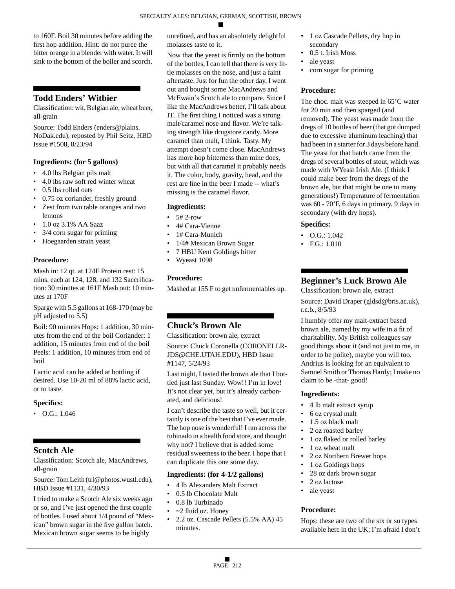to 160F. Boil 30 minutes before adding the first hop addition. Hint: do not puree the bitter orange in a blender with water. It will sink to the bottom of the boiler and scorch.

# **Todd Enders' Witbier**

Classification: wit, Belgian ale, wheat beer, all-grain

Source: Todd Enders (enders@plains. NoDak.edu), reposted by Phil Seitz, HBD Issue #1508, 8/23/94

### **Ingredients: (for 5 gallons)**

- 4.0 lbs Belgian pils malt
- 4.0 lbs raw soft red winter wheat
- 0.5 lbs rolled oats
- 0.75 oz coriander, freshly ground
- Zest from two table oranges and two lemons
- 1.0 oz 3.1% AA Saaz
- 3/4 corn sugar for priming
- Hoegaarden strain yeast

### **Procedure:**

Mash in: 12 qt. at 124F Protein rest: 15 mins. each at 124, 128, and 132 Saccrification: 30 minutes at 161F Mash out: 10 minutes at 170F

Sparge with 5.5 gallons at 168-170 (may be pH adjusted to 5.5)

Boil: 90 minutes Hops: 1 addition, 30 minutes from the end of the boil Coriander: 1 addition, 15 minutes from end of the boil Peels: 1 addition, 10 minutes from end of boil

Lactic acid can be added at bottling if desired. Use 10-20 ml of 88% lactic acid, or to taste.

### **Specifics:**

• O.G.: 1.046

# **Scotch Ale**

Classification: Scotch ale, MacAndrews, all-grain

Source: Tom Leith (trl@photos.wustl.edu), HBD Issue #1131, 4/30/93

I tried to make a Scotch Ale six weeks ago or so, and I've just opened the first couple of bottles. I used about 1/4 pound of "Mexican" brown sugar in the five gallon batch. Mexican brown sugar seems to be highly

unrefined, and has an absolutely delightful molasses taste to it.

Now that the yeast is firmly on the bottom of the bottles, I can tell that there is very little molasses on the nose, and just a faint aftertaste. Just for fun the other day, I went out and bought some MacAndrews and McEwain's Scotch ale to compare. Since I like the MacAndrews better, I'll talk about IT. The first thing I noticed was a strong malt/caramel nose and flavor. We're talking strength like drugstore candy. More caramel than malt, I think. Tasty. My attempt doesn't come close. MacAndrews has more hop bitterness than mine does, but with all that caramel it probably needs it. The color, body, gravity, head, and the rest are fine in the beer I made -- what's missing is the caramel flavor.

### **Ingredients:**

- $\cdot$  5# 2-row
- 4# Cara-Vienne
- 1# Cara-Munich
- 1/4# Mexican Brown Sugar
- 7 HBU Kent Goldings bitter
- Wyeast 1098

### **Procedure:**

Mashed at 155 F to get unfermentables up.

# **Chuck's Brown Ale**

Classification: brown ale, extract

Source: Chuck Coronella (CORONELLR-JDS@CHE.UTAH.EDU), HBD Issue #1147, 5/24/93

Last night, I tasted the brown ale that I bottled just last Sunday. Wow!! I'm in love! It's not clear yet, but it's already carbonated, and delicious!

I can't describe the taste so well, but it certainly is one of the best that I've ever made. The hop nose is wonderful! I ran across the tubinado in a health food store, and thought why not? I believe that is added some residual sweetness to the beer. I hope that I can duplicate this one some day.

### **Ingredients: (for 4-1/2 gallons)**

- 4 lb Alexanders Malt Extract
- 0.5 lb Chocolate Malt
- 0.8 lb Turbinado
- $\sim$ 2 fluid oz. Honey
- 2.2 oz. Cascade Pellets (5.5% AA) 45 minutes.
- 1 oz Cascade Pellets, dry hop in secondary
- 0.5 t. Irish Moss
- ale yeast
- corn sugar for priming

### **Procedure:**

The choc. malt was steeped in 65'C water for 20 min and then sparged (and removed). The yeast was made from the dregs of 10 bottles of beer (that got dumped due to excessive aluminum leaching) that had been in a starter for 3 days before hand. The yeast for that batch came from the dregs of several bottles of stout, which was made with WYeast Irish Ale. (I think I could make beer from the dregs of the brown ale, but that might be one to many generations!) Temperature of fermentation was 60 - 70'F, 6 days in primary, 9 days in secondary (with dry hops).

### **Specifics:**

- $O.G.: 1.042$
- F.G.: 1.010

# **Beginner's Luck Brown Ale**

Classification: brown ale, extract

Source: David Draper (gldsd@bris.ac.uk), r.c.b., 8/5/93

I humbly offer my malt-extract based brown ale, named by my wife in a fit of charitability. My British colleagues say good things about it (and not just to me, in order to be polite), maybe you will too. Andrius is looking for an equivalent to Samuel Smith or Thomas Hardy; I make no claim to be -that- good!

### **Ingredients:**

- 4 lb malt extract syrup
- 6 oz crystal malt
- 1.5 oz black malt
- 2 oz roasted barley
- 1 oz flaked or rolled barley
- 1 oz wheat malt
- 2 oz Northern Brewer hops
- 1 oz Goldings hops
- 28 oz dark brown sugar
- 2 oz lactose
- ale yeast

# **Procedure:**

Hops: these are two of the six or so types available here in the UK; I'm afraid I don't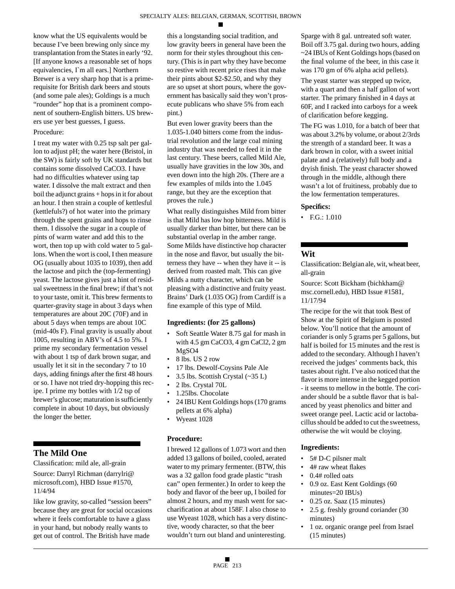know what the US equivalents would be because I've been brewing only since my transplantation from the States in early '92. [If anyone knows a reasonable set of hops equivalencies, I`m all ears.] Northern Brewer is a very sharp hop that is a primerequisite for British dark beers and stouts (and some pale ales); Goldings is a much "rounder" hop that is a prominent component of southern-English bitters. US brewers use yer best guesses, I guess.

### Procedure:

I treat my water with 0.25 tsp salt per gallon to adjust pH; the water here (Bristol, in the SW) is fairly soft by UK standards but contains some dissolved CaCO3. I have had no difficulties whatever using tap water. I dissolve the malt extract and then boil the adjunct grains + hops in it for about an hour. I then strain a couple of kettlesful (kettlefuls?) of hot water into the primary through the spent grains and hops to rinse them. I dissolve the sugar in a couple of pints of warm water and add this to the wort, then top up with cold water to 5 gallons. When the wort is cool, I then measure OG (usually about 1035 to 1039), then add the lactose and pitch the (top-fermenting) yeast. The lactose gives just a hint of residual sweetness in the final brew; if that's not to your taste, omit it. This brew ferments to quarter-gravity stage in about 3 days when temperatures are about 20C (70F) and in about 5 days when temps are about 10C (mid-40s F). Final gravity is usually about 1005, resulting in ABV's of 4.5 to 5%. I prime my secondary fermentation vessel with about 1 tsp of dark brown sugar, and usually let it sit in the secondary 7 to 10 days, adding finings after the first 48 hours or so. I have not tried dry-hopping this recipe. I prime my bottles with 1/2 tsp of brewer's glucose; maturation is sufficiently complete in about 10 days, but obviously the longer the better.

# **The Mild One**

Classification: mild ale, all-grain

Source: Darryl Richman (darrylri@ microsoft.com), HBD Issue #1570, 11/4/94

like low gravity, so-called "session beers" because they are great for social occasions where it feels comfortable to have a glass in your hand, but nobody really wants to get out of control. The British have made

this a longstanding social tradition, and low gravity beers in general have been the norm for their styles throughout this century. (This is in part why they have become so restive with recent price rises that make their pints about \$2-\$2.50, and why they are so upset at short pours, where the government has basically said they won't prosecute publicans who shave 5% from each pint.)

But even lower gravity beers than the 1.035-1.040 bitters come from the industrial revolution and the large coal mining industry that was needed to feed it in the last century. These beers, called Mild Ale, usually have gravities in the low 30s, and even down into the high 20s. (There are a few examples of milds into the 1.045 range, but they are the exception that proves the rule.)

What really distinguishes Mild from bitter is that Mild has low hop bitterness. Mild is usually darker than bitter, but there can be substantial overlap in the amber range. Some Milds have distinctive hop character in the nose and flavor, but usually the bitterness they have -- when they have it -- is derived from roasted malt. This can give Milds a nutty character, which can be pleasing with a distinctive and fruity yeast. Brains' Dark (1.035 OG) from Cardiff is a fine example of this type of Mild.

#### **Ingredients: (for 25 gallons)**

- Soft Seattle Water 8.75 gal for mash in with 4.5 gm CaCO3, 4 gm CaCl2, 2 gm MgSO4
- 8 lbs. US 2 row
- 17 lbs. Dewolf-Coysins Pale Ale
- 3.5 lbs. Scottish Crystal (~35 L)
- 2 lbs. Crystal 70L
- 1.25lbs. Chocolate
- 24 IBU Kent Goldings hops (170 grams pellets at 6% alpha)
- Wyeast 1028

### **Procedure:**

I brewed 12 gallons of 1.073 wort and then added 13 gallons of boiled, cooled, aerated water to my primary fermenter. (BTW, this was a 32 gallon food grade plastic "trash can" open fermenter.) In order to keep the body and flavor of the beer up, I boiled for almost 2 hours, and my mash went for saccharification at about 158F. I also chose to use Wyeast 1028, which has a very distinctive, woody character, so that the beer wouldn't turn out bland and uninteresting.

Sparge with 8 gal. untreated soft water. Boil off 3.75 gal. during two hours, adding ~24 IBUs of Kent Goldings hops (based on the final volume of the beer, in this case it was 170 gm of 6% alpha acid pellets).

The yeast starter was stepped up twice, with a quart and then a half gallon of wort starter. The primary finished in 4 days at 60F, and I racked into carboys for a week of clarification before kegging.

The FG was 1.010, for a batch of beer that was about 3.2% by volume, or about 2/3rds the strength of a standard beer. It was a dark brown in color, with a sweet initial palate and a (relatively) full body and a dryish finish. The yeast character showed through in the middle, although there wasn't a lot of fruitiness, probably due to the low fermentation temperatures.

#### **Specifics:**

• F.G.: 1.010

# **Wit**

Classification: Belgian ale, wit, wheat beer, all-grain

Source: Scott Bickham (bichkham@ msc.cornell.edu), HBD Issue #1581, 11/17/94

The recipe for the wit that took Best of Show at the Spirit of Belgium is posted below. You'll notice that the amount of coriander is only 5 grams per 5 gallons, but half is boiled for 15 minutes and the rest is added to the secondary. Although I haven't received the judges' comments back, this tastes about right. I've also noticed that the flavor is more intense in the kegged portion - it seems to mellow in the bottle. The coriander should be a subtle flavor that is balanced by yeast phenolics and bitter and sweet orange peel. Lactic acid or lactobacillus should be added to cut the sweetness, otherwise the wit would be cloying.

- 5# D-C pilsner malt
- 4# raw wheat flakes
- 0.4# rolled oats
- 0.9 oz. East Kent Goldings (60 minutes=20 IBUs)
- 0.25 oz. Saaz (15 minutes)
- 2.5 g. freshly ground coriander (30 minutes)
- 1 oz. organic orange peel from Israel (15 minutes)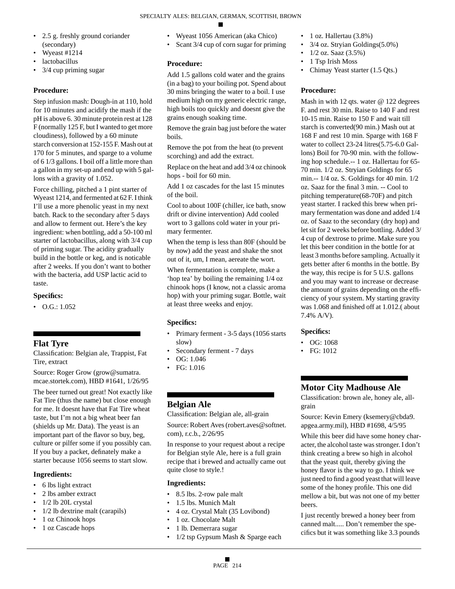- 2.5 g. freshly ground coriander (secondary)
- Wyeast #1214
- **lactobacillus**
- 3/4 cup priming sugar

# **Procedure:**

Step infusion mash: Dough-in at 110, hold for 10 minutes and acidify the mash if the pH is above 6. 30 minute protein rest at 128 F (normally 125 F, but I wanted to get more cloudiness), followed by a 60 minute starch conversion at 152-155 F. Mash out at 170 for 5 minutes, and sparge to a volume of 6 1/3 gallons. I boil off a little more than a gallon in my set-up and end up with 5 gallons with a gravity of 1.052.

Force chilling, pitched a 1 pint starter of Wyeast 1214, and fermented at 62 F. I think I'll use a more phenolic yeast in my next batch. Rack to the secondary after 5 days and allow to ferment out. Here's the key ingredient: when bottling, add a 50-100 ml starter of lactobacillus, along with 3/4 cup of priming sugar. The acidity gradually build in the bottle or keg, and is noticable after 2 weeks. If you don't want to bother with the bacteria, add USP lactic acid to taste.

# **Specifics:**

 $\bullet$  O.G.: 1.052

# **Flat Tyre**

Classification: Belgian ale, Trappist, Fat Tire, extract

Source: Roger Grow (grow@sumatra. mcae.stortek.com), HBD #1641, 1/26/95

The beer turned out great! Not exactly like Fat Tire (thus the name) but close enough for me. It doesnt have that Fat Tire wheat taste, but I'm not a big wheat beer fan (shields up Mr. Data). The yeast is an important part of the flavor so buy, beg, culture or pilfer some if you possibly can. If you buy a packet, definately make a starter because 1056 seems to start slow.

# **Ingredients:**

- 6 lbs light extract
- 2 lbs amber extract
- 1/2 lb 20L crystal
- 1/2 lb dextrine malt (carapils)
- 1 oz Chinook hops
- 1 oz Cascade hops
- Wyeast 1056 American (aka Chico)
- Scant 3/4 cup of corn sugar for priming

# **Procedure:**

Add 1.5 gallons cold water and the grains (in a bag) to your boiling pot. Spend about 30 mins bringing the water to a boil. I use medium high on my generic electric range, high boils too quickly and doesnt give the grains enough soaking time.

Remove the grain bag just before the water boils.

Remove the pot from the heat (to prevent scorching) and add the extract.

Replace on the heat and add 3/4 oz chinook hops - boil for 60 min.

Add 1 oz cascades for the last 15 minutes of the boil.

Cool to about 100F (chiller, ice bath, snow drift or divine intervention) Add cooled wort to 3 gallons cold water in your primary fermenter.

When the temp is less than 80F (should be by now) add the yeast and shake the snot out of it, um, I mean, aereate the wort.

When fermentation is complete, make a 'hop tea' by boiling the remaining 1/4 oz chinook hops (I know, not a classic aroma hop) with your priming sugar. Bottle, wait at least three weeks and enjoy.

# **Specifics:**

- Primary ferment 3-5 days (1056 starts) slow)
- Secondary ferment 7 days
- OG: 1.046
- FG: 1.016

# **Belgian Ale**

Classification: Belgian ale, all-grain

Source: Robert Aves (robert.aves@softnet. com), r.c.b., 2/26/95

In response to your request about a recipe for Belgian style Ale, here is a full grain recipe that i brewed and actually came out quite close to style.!

# **Ingredients:**

- 8.5 lbs. 2-row pale malt
- 1.5 lbs. Munich Malt
- 4 oz. Crystal Malt (35 Lovibond)
- 1 oz. Chocolate Malt
- 1 lb. Demerrara sugar
- 1/2 tsp Gypsum Mash & Sparge each
- 1 oz. Hallertau (3.8%)
- 3/4 oz. Stryian Goldings(5.0%)
- 1/2 oz. Saaz (3.5%)
- 1 Tsp Irish Moss
- Chimay Yeast starter (1.5 Qts.)

# **Procedure:**

Mash in with 12 qts. water @ 122 degrees F. and rest 30 min. Raise to 140 F and rest 10-15 min. Raise to 150 F and wait till starch is converted(90 min.) Mash out at 168 F and rest 10 min. Sparge with 168 F water to collect 23-24 litres(5.75-6.0 Gallons) Boil for 70-90 min. with the following hop schedule.-- 1 oz. Hallertau for 65- 70 min. 1/2 oz. Stryian Goldings for 65 min.-- 1/4 oz. S. Goldings for 40 min. 1/2 oz. Saaz for the final 3 min. -- Cool to pitching temperature(68-70F) and pitch yeast starter. I racked this brew when primary fermentation was done and added 1/4 oz. of Saaz to the secondary (dry hop) and let sit for 2 weeks before bottling. Added 3/ 4 cup of dextrose to prime. Make sure you let this beer condition in the bottle for at least 3 months before sampling. Actually it gets better after 6 months in the bottle. By the way, this recipe is for 5 U.S. gallons and you may want to increase or decrease the amount of grains depending on the efficiency of your system. My starting gravity was 1.068 and finished off at 1.012.( about 7.4% A/V).

# **Specifics:**

- OG: 1068
- FG: 1012

# **Motor City Madhouse Ale**

Classification: brown ale, honey ale, allgrain

Source: Kevin Emery (ksemery@cbda9. apgea.army.mil), HBD #1698, 4/5/95

While this beer did have some honey character, the alcohol taste was stronger. I don't think creating a brew so high in alcohol that the yeast quit, thereby giving the honey flavor is the way to go. I think we just need to find a good yeast that will leave some of the honey profile. This one did mellow a bit, but was not one of my better beers.

I just recently brewed a honey beer from canned malt..... Don't remember the specifics but it was something like 3.3 pounds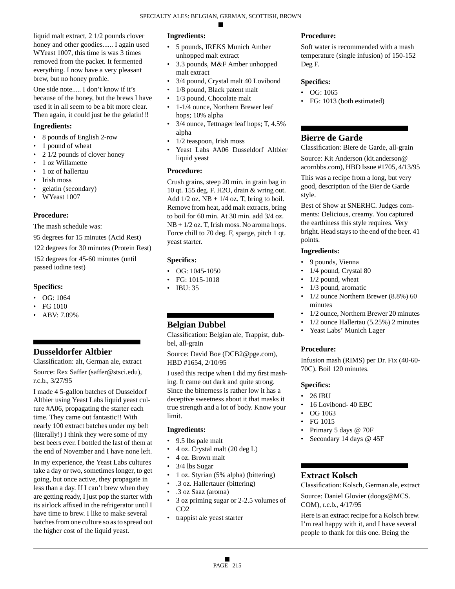liquid malt extract, 2 1/2 pounds clover honey and other goodies...... I again used WYeast 1007, this time is was 3 times removed from the packet. It fermented everything. I now have a very pleasant brew, but no honey profile.

One side note..... I don't know if it's because of the honey, but the brews I have used it in all seem to be a bit more clear. Then again, it could just be the gelatin!!!

### **Ingredients:**

- 8 pounds of English 2-row
- 1 pound of wheat
- 2 1/2 pounds of clover honey
- 1 oz Willamette
- 1 oz of hallertau
- Irish moss
- gelatin (secondary)
- WYeast 1007

### **Procedure:**

The mash schedule was:

95 degrees for 15 minutes (Acid Rest)

122 degrees for 30 minutes (Protein Rest) 152 degrees for 45-60 minutes (until passed iodine test)

### **Specifics:**

- OG: 1064
- FG 1010
- ABV: 7.09%

# **Dusseldorfer Altbier**

Classification: alt, German ale, extract

Source: Rex Saffer (saffer@stsci.edu), r.c.b., 3/27/95

I made 4 5-gallon batches of Dusseldorf Altbier using Yeast Labs liquid yeast culture #A06, propagating the starter each time. They came out fantastic!! With nearly 100 extract batches under my belt (literally!) I think they were some of my best beers ever. I bottled the last of them at the end of November and I have none left.

In my experience, the Yeast Labs cultures take a day or two, sometimes longer, to get going, but once active, they propagate in less than a day. If I can't brew when they are getting ready, I just pop the starter with its airlock affixed in the refrigerator until I have time to brew. I like to make several batches from one culture so as to spread out the higher cost of the liquid yeast.

### **Ingredients:**

- 5 pounds, IREKS Munich Amber unhopped malt extract
- 3.3 pounds, M&F Amber unhopped malt extract
- 3/4 pound, Crystal malt 40 Lovibond
- 1/8 pound, Black patent malt
- 1/3 pound, Chocolate malt
- 1-1/4 ounce, Northern Brewer leaf hops; 10% alpha
- 3/4 ounce, Tettnager leaf hops; T, 4.5% alpha
- 1/2 teaspoon, Irish moss
- Yeast Labs #A06 Dusseldorf Altbier liquid yeast

# **Procedure:**

Crush grains, steep 20 min. in grain bag in 10 qt. 155 deg. F. H2O, drain & wring out. Add  $1/2$  oz. NB +  $1/4$  oz. T, bring to boil. Remove from heat, add malt extracts, bring to boil for 60 min. At 30 min. add 3/4 oz. NB +  $1/2$  oz. T, Irish moss. No aroma hops. Force chill to 70 deg. F, sparge, pitch 1 qt. yeast starter.

# **Specifics:**

- OG: 1045-1050
- FG: 1015-1018
- IBU: 35

# **Belgian Dubbel**

Classification: Belgian ale, Trappist, dubbel, all-grain

Source: David Boe (DCB2@pge.com), HBD #1654, 2/10/95

I used this recipe when I did my first mashing. It came out dark and quite strong. Since the bitterness is rather low it has a deceptive sweetness about it that masks it true strength and a lot of body. Know your limit.

# **Ingredients:**

- 9.5 lbs pale malt
- 4 oz. Crystal malt (20 deg L)
- 4 oz. Brown malt
- 3/4 lbs Sugar
- 1 oz. Styrian (5% alpha) (bittering)
- .3 oz. Hallertauer (bittering)
- .3 oz Saaz (aroma)
- 3 oz priming sugar or 2-2.5 volumes of CO<sub>2</sub>
- trappist ale yeast starter

# **Procedure:**

Soft water is recommended with a mash temperature (single infusion) of 150-152 Deg F.

# **Specifics:**

- OG: 1065
- FG: 1013 (both estimated)

# **Bierre de Garde**

Classification: Biere de Garde, all-grain Source: Kit Anderson (kit.anderson@ acornbbs.com), HBD Issue #1705, 4/13/95

This was a recipe from a long, but very good, description of the Bier de Garde style.

Best of Show at SNERHC. Judges comments: Delicious, creamy. You captured the earthiness this style requires. Very bright. Head stays to the end of the beer. 41 points.

# **Ingredients:**

- 9 pounds, Vienna
- 1/4 pound, Crystal 80
- $1/2$  pound, wheat
- 1/3 pound, aromatic
- 1/2 ounce Northern Brewer (8.8%) 60 minutes
- 1/2 ounce, Northern Brewer 20 minutes
- 1/2 ounce Hallertau (5.25%) 2 minutes
- Yeast Labs' Munich Lager

# **Procedure:**

Infusion mash (RIMS) per Dr. Fix (40-60- 70C). Boil 120 minutes.

# **Specifics:**

- 26 IBU
- 16 Lovibond- 40 EBC
- OG 1063
- FG 1015
- Primary 5 days @ 70F
- Secondary 14 days @ 45F

# **Extract Kolsch**

Classification: Kolsch, German ale, extract Source: Daniel Glovier (doogs@MCS. COM), r.c.b., 4/17/95

Here is an extract recipe for a Kolsch brew. I'm real happy with it, and I have several people to thank for this one. Being the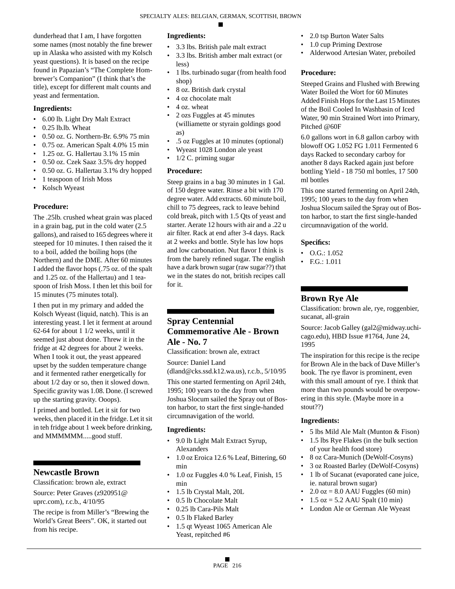dunderhead that I am, I have forgotten some names (most notably the fine brewer up in Alaska who assisted with my Kolsch yeast questions). It is based on the recipe found in Papazian's "The Complete Hombrewer's Companion" (I think that's the title), except for different malt counts and yeast and fermentation.

### **Ingredients:**

- 6.00 lb. Light Dry Malt Extract
- 0.25 lb.lb. Wheat
- 0.50 oz. G. Northern-Br. 6.9% 75 min
- 0.75 oz. American Spalt 4.0% 15 min
- 1.25 oz. G. Hallertau 3.1% 15 min
- 0.50 oz. Czek Saaz 3.5% dry hopped
- 0.50 oz. G. Hallertau 3.1% dry hopped
- 1 teaspoon of Irish Moss
- Kolsch Wyeast

# **Procedure:**

The .25lb. crushed wheat grain was placed in a grain bag, put in the cold water (2.5 gallons), and raised to 165 degrees where it steeped for 10 minutes. I then raised the it to a boil, added the boiling hops (the Northern) and the DME. After 60 minutes I added the flavor hops (.75 oz. of the spalt and 1.25 oz. of the Hallertau) and 1 teaspoon of Irish Moss. I then let this boil for 15 minutes (75 minutes total).

I then put in my primary and added the Kolsch Wyeast (liquid, natch). This is an interesting yeast. I let it ferment at around 62-64 for about 1 1/2 weeks, until it seemed just about done. Threw it in the fridge at 42 degrees for about 2 weeks. When I took it out, the yeast appeared upset by the sudden temperature change and it fermented rather energetically for about 1/2 day or so, then it slowed down. Specific gravity was 1.08. Done. (I screwed up the starting gravity. Ooops).

I primed and bottled. Let it sit for two weeks, then placed it in the fridge. Let it sit in teh fridge about 1 week before drinking, and MMMMMM.....good stuff.

# **Newcastle Brown**

Classification: brown ale, extract Source: Peter Graves (z920951@ uprc.com), r.c.b., 4/10/95

The recipe is from Miller's "Brewing the World's Great Beers". OK, it started out from his recipe.

### **Ingredients:**

- 3.3 lbs. British pale malt extract
- 3.3 lbs. British amber malt extract (or less)
- 1 lbs. turbinado sugar (from health food shop)
- 8 oz. British dark crystal
- 4 oz chocolate malt
- 4 oz. wheat
- 2 ozs Fuggles at 45 minutes (williamette or styrain goldings good as)
- .5 oz Fuggles at 10 minutes (optional)
- Wyeast 1028 London ale yeast
- 1/2 C. priming sugar

### **Procedure:**

Steep grains in a bag 30 minutes in 1 Gal. of 150 degree water. Rinse a bit with 170 degree water. Add extracts. 60 minute boil, chill to 75 degrees, rack to leave behind cold break, pitch with 1.5 Qts of yeast and starter. Aerate 12 hours with air and a .22 u air filter. Rack at end after 3-4 days. Rack at 2 weeks and bottle. Style has low hops and low carbonation. Nut flavor I think is from the barely refined sugar. The english have a dark brown sugar (raw sugar??) that we in the states do not, british recipes call for it.

# **Spray Centennial Commemorative Ale - Brown Ale - No. 7**

Classification: brown ale, extract

Source: Daniel Land

(dland@cks.ssd.k12.wa.us), r.c.b., 5/10/95

This one started fermenting on April 24th, 1995; 100 years to the day from when Joshua Slocum sailed the Spray out of Boston harbor, to start the first single-handed circumnavigation of the world.

### **Ingredients:**

- 9.0 lb Light Malt Extract Syrup, Alexanders
- 1.0 oz Eroica 12.6 % Leaf, Bittering, 60 min
- 1.0 oz Fuggles 4.0 % Leaf, Finish, 15 min
- 1.5 lb Crystal Malt, 20L
- 0.5 lb Chocolate Malt
- 0.25 lb Cara-Pils Malt
- 0.5 lb Flaked Barley
- 1.5 qt Wyeast 1065 American Ale Yeast, repitched #6
- 2.0 tsp Burton Water Salts
- 1.0 cup Priming Dextrose
- Alderwood Artesian Water, preboiled

# **Procedure:**

Steeped Grains and Flushed with Brewing Water Boiled the Wort for 60 Minutes Added Finish Hops for the Last 15 Minutes of the Boil Cooled In Washbasin of Iced Water, 90 min Strained Wort into Primary, Pitched @60F

6.0 gallons wort in 6.8 gallon carboy with blowoff OG 1.052 FG 1.011 Fermented 6 days Racked to secondary carboy for another 8 days Racked again just before bottling Yield - 18 750 ml bottles, 17 500 ml bottles

This one started fermenting on April 24th, 1995; 100 years to the day from when Joshua Slocum sailed the Spray out of Boston harbor, to start the first single-handed circumnavigation of the world.

# **Specifics:**

- $\bullet$  O.G.: 1.052
- F.G.: 1.011

# **Brown Rye Ale**

Classification: brown ale, rye, roggenbier, sucanat, all-grain

Source: Jacob Galley (gal2@midway.uchicago.edu), HBD Issue #1764, June 24, 1995

The inspiration for this recipe is the recipe for Brown Ale in the back of Dave Miller's book. The rye flavor is prominent, even with this small amount of rye. I think that more than two pounds would be overpowering in this style. (Maybe more in a stout??)

- 5 lbs Mild Ale Malt (Munton & Fison)
- 1.5 lbs Rye Flakes (in the bulk section of your health food store)
- 8 oz Cara-Munich (DeWolf-Cosyns)
- 3 oz Roasted Barley (DeWolf-Cosyns)
- 1 lb of Sucanat (evaporated cane juice, ie. natural brown sugar)
- $2.0$  oz = 8.0 AAU Fuggles (60 min)
- $1.5$  oz  $=$  5.2 AAU Spalt (10 min)
- London Ale or German Ale Wyeast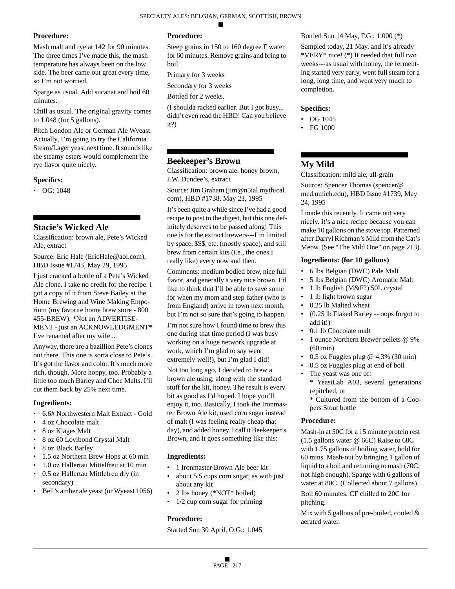### **Procedure:**

Mash malt and rye at 142 for 90 minutes. The three times I've made this, the mash temperature has always been on the low side. The beer came out great every time, so I'm not worried.

Sparge as usual. Add sucanat and boil 60 minutes.

Chill as usual. The original gravity comes to 1.048 (for 5 gallons).

Pitch London Ale or German Ale Wyeast. Actually, I'm going to try the California Steam/Lager yeast next time. It sounds like the steamy esters would complement the rye flavor quite nicely.

### **Specifics:**

• OG: 1048

# **Stacie's Wicked Ale**

Classification: brown ale, Pete's Wicked Ale, extract

Source: Eric Hale (EricHale@aol.com), HBD Issue #1743, May 29, 1995

I just cracked a bottle of a Pete's Wicked Ale clone. I take no credit for the recipe. I got a copy of it from Steve Bailey at the Home Brewing and Wine Making Emporium (my favorite home brew store - 800 455-BREW). \*Not an ADVERTISE-MENT - just an ACKNOWLEDGMENT\* I've renamed after my wife...

Anyway, there are a bazillion Pete's clones out there. This one is sorta close to Pete's. It's got the flavor and color. It's much more rich, though. More hoppy, too. Probably a little too much Barley and Choc Malts. I'll cut them back by 25% next time.

### **Ingredients:**

- 6.6# Northwestern Malt Extract Gold
- 4 oz Chocolate malt
- 8 oz Klages Malt
- 8 oz 60 Lovibond Crystal Malt
- 8 oz Black Barley
- 1.5 oz Northern Brew Hops at 60 min
- 1.0 oz Hallertau Mittelfreu at 10 min • 0.5 oz Hallertau Mittlefreu dry (in
- secondary)
- Bell's amber ale yeast (or Wyeast 1056)

# **Procedure:**

Steep grains in 150 to 160 degree F water for 60 minutes. Remove grains and bring to boil.

Primary for 3 weeks

Secondary for 3 weeks

Bottled for 2 weeks.

(I shoulda racked earlier. But I got busy... didn't even read the HBD! Can you believe it?)

# **Beekeeper's Brown**

Classification: brown ale, honey brown, J.W. Dundee's, extract

Source: Jim Graham (jim@n5ial.mythical. com), HBD #1738, May 23, 1995

It's been quite a while since I've had a good recipe to post to the digest, but this one definitely deserves to be passed along! This one is for the extract brewers---I'm limited by space, \$\$\$, etc. (mostly space), and still brew from certain kits (i.e., the ones I really like) every now and then.

Comments: medium bodied brew, nice full flavor, and generally a very nice brown. I'd like to think that I'll be able to save some for when my mom and step-father (who is from England) arrive in town next month, but I'm not so sure that's going to happen.

I'm not sure how I found time to brew this one during that time period (I was busy working on a huge network upgrade at work, which I'm glad to say went extremely well!), but I'm glad I did!

Not too long ago, I decided to brew a brown ale using, along with the standard stuff for the kit, honey. The result is every bit as good as I'd hoped. I hope you'll enjoy it, too. Basically, I took the Ironmaster Brown Ale kit, used corn sugar instead of malt (I was feeling really cheap that day), and added honey. I call it Beekeeper's Brown, and it goes something like this:

# **Ingredients:**

- 1 Ironmaster Brown Ale beer kit
- about 5.5 cups corn sugar, as with just about any kit
- 2 lbs honey (\*NOT\* boiled)
- 1/2 cup corn sugar for priming

# **Procedure:**

Started Sun 30 April, O.G.: 1.045

Bottled Sun 14 May, F.G.: 1.000 (\*)

Sampled today, 21 May, and it's already \*VERY\* nice! (\*) It needed that full two weeks---as usual with honey, the fermenting started very early, went full steam for a long, long time, and went very much to completion.

### **Specifics:**

- OG 1045
- FG 1000

# **My Mild**

Classification: mild ale, all-grain

Source: Spencer Thomas (spencer@ med.umich.edu), HBD Issue #1739, May 24, 1995

I made this recently. It came out very nicely. It's a nice recipe because you can make 10 gallons on the stove top. Patterned after Darryl Richman's Mild from the Cat's Meow. (See "The Mild One" on page 213).

### **Ingredients: (for 10 gallons)**

- 6 lbs Belgian (DWC) Pale Malt
- 5 lbs Belgian (DWC) Aromatic Malt
- 1 lb English (M&F?) 50L crystal
- 1 lb light brown sugar
- 0.25 lb Malted wheat
- (0.25 lb Flaked Barley -- oops forgot to add it!)
- 0.1 lb Chocolate malt
- 1 ounce Northern Brewer pellets @ 9% (60 min)
- 0.5 oz Fuggles plug  $@$  4.3% (30 min)
- 0.5 oz Fuggles plug at end of boil
	- The yeast was one of: \* YeastLab A03, several generations repitched, or

\* Cultured from the bottom of a Coopers Stout bottle

### **Procedure:**

Mash-in at 50C for a 15 minute protein rest (1.5 gallons water @ 66C) Raise to 68C with 1.75 gallons of boiling water, hold for 60 mins. Mash-out by bringing 1 gallon of liquid to a boil and returning to mash (70C, not high enough). Sparge with 6 gallons of water at 80C. (Collected about 7 gallons).

Boil 60 minutes. CF chilled to 20C for pitching.

Mix with 5 gallons of pre-boiled, cooled & aerated water.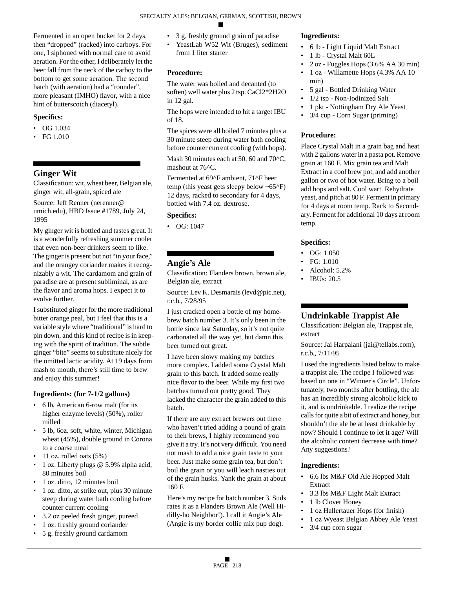Fermented in an open bucket for 2 days, then "dropped" (racked) into carboys. For one, I siphoned with normal care to avoid aeration. For the other, I deliberately let the beer fall from the neck of the carboy to the bottom to get some aeration. The second batch (with aeration) had a "rounder", more pleasant (IMHO) flavor, with a nice hint of butterscotch (diacetyl).

#### **Specifics:**

- OG 1.034
- FG 1.010

# **Ginger Wit**

Classification: wit, wheat beer, Belgian ale, ginger wit, all-grain, spiced ale

Source: Jeff Renner (nerenner@ umich.edu), HBD Issue #1789, July 24, 1995

My ginger wit is bottled and tastes great. It is a wonderfully refreshing summer cooler that even non-beer drinkers seem to like. The ginger is present but not "in your face," and the orangey coriander makes it recognizably a wit. The cardamom and grain of paradise are at present subliminal, as are the flavor and aroma hops. I expect it to evolve further.

I substituted ginger for the more traditional bitter orange peal, but I feel that this is a variable style where "traditional" is hard to pin down, and this kind of recipe is in keeping with the spirit of tradition. The subtle ginger "bite" seems to substitute nicely for the omitted lactic acidity. At 19 days from mash to mouth, there's still time to brew and enjoy this summer!

#### **Ingredients: (for 7-1/2 gallons)**

- 6 lb. American 6-row malt (for its higher enzyme levels) (50%), roller milled
- 5 lb, 6oz. soft, white, winter, Michigan wheat (45%), double ground in Corona to a coarse meal
- 11 oz. rolled oats  $(5%)$
- 1 oz. Liberty plugs @ 5.9% alpha acid, 80 minutes boil
- 1 oz. ditto, 12 minutes boil
- 1 oz. ditto, at strike out, plus 30 minute steep during water bath cooling before counter current cooling
- 3.2 oz peeled fresh ginger, pureed
- 1 oz. freshly ground coriander
- 5 g. freshly ground cardamom
- 3 g. freshly ground grain of paradise
- YeastLab W52 Wit (Bruges), sediment from 1 liter starter

### **Procedure:**

The water was boiled and decanted (to soften) well water plus 2 tsp. CaCl2\*2H2O in 12 gal.

The hops were intended to hit a target IBU of 18.

The spices were all boiled 7 minutes plus a 30 minute steep during water bath cooling before counter current cooling (with hops).

Mash 30 minutes each at 50, 60 and 70<sup>o</sup>C, mashout at 76<sup> $\circ$ </sup>C.

Fermented at 69^F ambient, 71^F beer temp (this yeast gets sleepy below  $\sim 65^{\circ}$ F) 12 days, racked to secondary for 4 days, bottled with 7.4 oz. dextrose.

#### **Specifics:**

• OG: 1047

# **Angie's Ale**

Classification: Flanders brown, brown ale, Belgian ale, extract

Source: Lev K. Desmarais (levd@pic.net), r.c.b., 7/28/95

I just cracked open a bottle of my homebrew batch number 3. It's only been in the bottle since last Saturday, so it's not quite carbonated all the way yet, but damn this beer turned out great.

I have been slowy making my batches more complex. I added some Crystal Malt grain to this batch. It added some really nice flavor to the beer. While my first two batches turned out pretty good. They lacked the character the grain added to this batch.

If there are any extract brewers out there who haven't tried adding a pound of grain to their brews, I highly recommend you give it a try. It's not very difficult. You need not mash to add a nice grain taste to your beer. Just make some grain tea, but don't boil the grain or you will leach nasties out of the grain husks. Yank the grain at about 160 F.

Here's my recipe for batch number 3. Suds rates it as a Flanders Brown Ale (Well Hidilly-ho Neighbor!). I call it Angie's Ale (Angie is my border collie mix pup dog).

#### **Ingredients:**

- 6 lb Light Liquid Malt Extract
- 1 lb Crystal Malt 60L
- 2 oz Fuggles Hops (3.6% AA 30 min)
- 1 oz Willamette Hops (4.3% AA 10 min)
- 5 gal Bottled Drinking Water
- 1/2 tsp Non-Iodinized Salt
- 1 pkt Nottingham Dry Ale Yeast
- 3/4 cup Corn Sugar (priming)

#### **Procedure:**

Place Crystal Malt in a grain bag and heat with 2 gallons water in a pasta pot. Remove grain at 160 F. Mix grain tea and Malt Extract in a cool brew pot, and add another gallon or two of hot water. Bring to a boil add hops and salt. Cool wart. Rehydrate yeast, and pitch at 80 F. Ferment in primary for 4 days at room temp. Rack to Secondary. Ferment for additional 10 days at room temp.

#### **Specifics:**

- OG:  $1.050$
- FG: 1.010
- Alcohol: 5.2%
- IBUs: 20.5

# **Undrinkable Trappist Ale**

Classification: Belgian ale, Trappist ale, extract

Source: Jai Harpalani (jai@tellabs.com), r.c.b., 7/11/95

I used the ingredients listed below to make a trappist ale. The recipe I followed was based on one in "Winner's Circle". Unfortunately, two months after bottling, the ale has an incredibly strong alcoholic kick to it, and is undrinkable. I realize the recipe calls for quite a bit of extract and honey, but shouldn't the ale be at least drinkable by now? Should I continue to let it age? Will the alcoholic content decrease with time? Any suggestions?

- 6.6 lbs M&F Old Ale Hopped Malt Extract
- 3.3 lbs M&F Light Malt Extract
- 1 lb Clover Honey
- 1 oz Hallertauer Hops (for finish)
- 1 oz Wyeast Belgian Abbey Ale Yeast
- 3/4 cup corn sugar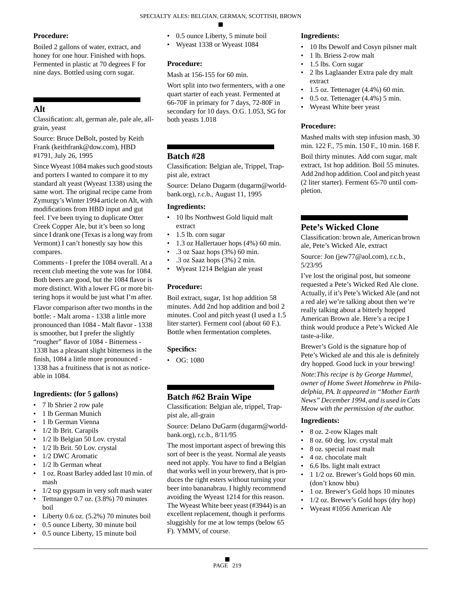### **Procedure:**

Boiled 2 gallons of water, extract, and honey for one hour. Finished with hops. Fermented in plastic at 70 degrees F for nine days. Bottled using corn sugar.

# **Alt**

Classification: alt, german ale, pale ale, allgrain, yeast

Source: Bruce DeBolt, posted by Keith Frank (keithfrank@dow.com), HBD #1791, July 26, 1995

Since Wyeast 1084 makes such good stouts and porters I wanted to compare it to my standard alt yeast (Wyeast 1338) using the same wort. The original recipe came from Zymurgy's Winter 1994 article on Alt, with modifications from HBD input and gut feel. I've been trying to duplicate Otter Creek Copper Ale, but it's been so long since I drank one (Texas is a long way from Vermont) I can't honestly say how this compares.

Comments - I prefer the 1084 overall. At a recent club meeting the vote was for 1084. Both beers are good, but the 1084 flavor is more distinct. With a lower FG or more bittering hops it would be just what I'm after.

Flavor comparison after two months in the bottle: - Malt aroma - 1338 a little more pronounced than 1084 - Malt flavor - 1338 is smoother, but I prefer the slightly "rougher" flavor of 1084 - Bitterness - 1338 has a pleasant slight bitterness in the finish, 1084 a little more pronounced - 1338 has a fruitiness that is not as noticeable in 1084.

### **Ingredients: (for 5 gallons)**

- 7 lb Shrier 2 row pale
- 1 lb German Munich
- 1 lb German Vienna
- 1/2 lb Brit. Carapils
- 1/2 lb Belgian 50 Lov. crystal
- 1/2 lb Brit. 50 Lov. crystal
- 1/2 DWC Aromatic
- 1/2 lb German wheat
- 1 oz. Roast Barley added last 10 min. of mash
- 1/2 tsp gypsum in very soft mash water
- Tettnanger 0.7 oz. (3.8%) 70 minutes boil
- Liberty 0.6 oz. (5.2%) 70 minutes boil
- 0.5 ounce Liberty, 30 minute boil
- 0.5 ounce Liberty, 15 minute boil
- 0.5 ounce Liberty, 5 minute boil
- Wyeast 1338 or Wyeast 1084

# **Procedure:**

Mash at 156-155 for 60 min.

Wort split into two fermenters, with a one quart starter of each yeast. Fermented at 66-70F in primary for 7 days, 72-80F in secondary for 10 days. O.G. 1.053, SG for both yeasts 1.018

# **Batch #28**

Classification: Belgian ale, Trippel, Trappist ale, extract

Source: Delano Dugarm (dugarm@worldbank.org), r.c.b., August 11, 1995

# **Ingredients:**

- 10 lbs Northwest Gold liquid malt extract
- 1.5 lb. corn sugar
- 1.3 oz Hallertauer hops (4%) 60 min.
- .3 oz Saaz hops (3%) 60 min.
- .3 oz Saaz hops (3%) 2 min.
- Wyeast 1214 Belgian ale yeast

# **Procedure:**

Boil extract, sugar, 1st hop addition 58 minutes. Add 2nd hop addition and boil 2 minutes. Cool and pitch yeast (I used a 1.5 liter starter). Ferment cool (about 60 F.). Bottle when fermentation completes.

# **Specifics:**

• OG: 1080

# **Batch #62 Brain Wipe**

Classification: Belgian ale, trippel, Trappist ale, all-grain

Source: Delano DuGarm (dugarm@worldbank.org), r.c.b., 8/11/95

The most important aspect of brewing this sort of beer is the yeast. Normal ale yeasts need not apply. You have to find a Belgian that works well in your brewery, that is produces the right esters without turning your beer into bananabrau. I highly recommend avoiding the Wyeast 1214 for this reason. The Wyeast White beer yeast (#3944) is an excellent replacement, though it performs sluggishly for me at low temps (below 65 F). YMMV, of course.

### **Ingredients:**

- 10 lbs Dewolf and Cosyn pilsner malt
- 1 lb. Briess 2-row malt
- 1.5 lbs. Corn sugar
- 2 lbs Laglaander Extra pale dry malt extract
- 1.5 oz. Tettenager  $(4.4\%)$  60 min.
- 0.5 oz. Tettenager (4.4%) 5 min.
- Wyeast White beer yeast

# **Procedure:**

Mashed malts with step infusion mash, 30 min. 122 F., 75 min. 150 F., 10 min. 168 F.

Boil thirty minutes. Add corn sugar, malt extract, 1st hop addition. Boil 55 minutes. Add 2nd hop addition. Cool and pitch yeast (2 liter starter). Ferment 65-70 until completion.

# **Pete's Wicked Clone**

Classification: brown ale, American brown ale, Pete's Wicked Ale, extract

Source: Jon (jew77@aol.com), r.c.b., 5/23/95

I've lost the original post, but someone requested a Pete's Wicked Red Ale clone. Actually, if it's Pete's Wicked Ale (and not a red ale) we're talking about then we're really talking about a bitterly hopped American Brown ale. Here's a recipe I think would produce a Pete's Wicked Ale taste-a-like.

Brewer's Gold is the signature hop of Pete's Wicked ale and this ale is definitely dry hopped. Good luck in your brewing!

*Note:This recipe is by George Hummel, owner of Home Sweet Homebrew in Philadelphia, PA. It appeared in "Mother Earth News" December 1994, and is used in Cats Meow with the permission of the author.*

- 8 oz. 2-row Klages malt
- 8 oz. 60 deg. lov. crystal malt
- 8 oz. special roast malt
- 4 oz. chocolate malt
- 6.6 lbs. light malt extract
- 1 1/2 oz. Brewer's Gold hops 60 min. (don't know hbu)
- 1 oz. Brewer's Gold hops 10 minutes
- 1/2 oz. Brewer's Gold hops (dry hop)
- Wyeast #1056 American Ale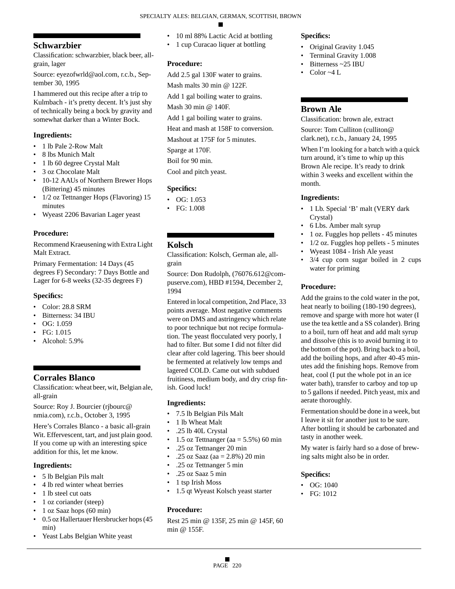# **Schwarzbier**

Classification: schwarzbier, black beer, allgrain, lager

Source: eyezofwrld@aol.com, r.c.b., September 30, 1995

I hammered out this recipe after a trip to Kulmbach - it's pretty decent. It's just shy of technically being a bock by gravity and somewhat darker than a Winter Bock.

### **Ingredients:**

- 1 lb Pale 2-Row Malt
- 8 lbs Munich Malt
- 1 lb 60 degree Crystal Malt
- 3 oz Chocolate Malt
- 10-12 AAUs of Northern Brewer Hops (Bittering) 45 minutes
- 1/2 oz Tettnanger Hops (Flavoring) 15 minutes
- Wyeast 2206 Bavarian Lager yeast

#### **Procedure:**

Recommend Kraeusening with Extra Light Malt Extract.

Primary Fermentation: 14 Days (45 degrees F) Secondary: 7 Days Bottle and Lager for 6-8 weeks (32-35 degrees F)

#### **Specifics:**

- Color: 28.8 SRM
- Bitterness: 34 IBU
- OG: 1.059
- FG: 1.015
- Alcohol: 5.9%

# **Corrales Blanco**

Classification: wheat beer, wit, Belgian ale, all-grain

Source: Roy J. Bourcier (rjbourc@ nmia.com), r.c.b., October 3, 1995

Here's Corrales Blanco - a basic all-grain Wit. Effervescent, tart, and just plain good. If you come up with an interesting spice addition for this, let me know.

### **Ingredients:**

- 5 lb Belgian Pils malt
- 4 lb red winter wheat berries
- 1 lb steel cut oats
- 1 oz coriander (steep)
- 1 oz Saaz hops (60 min)
- 0.5 oz Hallertauer Hersbrucker hops (45 min)
- Yeast Labs Belgian White yeast
- 10 ml 88% Lactic Acid at bottling
- 1 cup Curacao liquer at bottling

#### **Procedure:**

- Add 2.5 gal 130F water to grains.
- Mash malts 30 min @ 122F.
- Add 1 gal boiling water to grains.

Mash 30 min @ 140F.

Add 1 gal boiling water to grains.

Heat and mash at 158F to conversion.

Mashout at 175F for 5 minutes.

Sparge at 170F.

Boil for 90 min.

Cool and pitch yeast.

#### **Specifics:**

- OG: 1.053
- FG: 1.008

#### **Kolsch**

Classification: Kolsch, German ale, allgrain

Source: Don Rudolph, (76076.612@compuserve.com), HBD #1594, December 2, 1994

Entered in local competition, 2nd Place, 33 points average. Most negative comments were on DMS and astringency which relate to poor technique but not recipe formulation. The yeast flocculated very poorly, I had to filter. But some I did not filter did clear after cold lagering. This beer should be fermented at relatively low temps and lagered COLD. Came out with subdued fruitiness, medium body, and dry crisp finish. Good luck!

#### **Ingredients:**

- 7.5 lb Belgian Pils Malt
- 1 lb Wheat Malt
- .25 lb 40L Crystal
- 1.5 oz Tettnanger (aa =  $5.5\%$ ) 60 min
- .25 oz Tettnanger 20 min
- .25 oz Saaz (aa = 2.8%) 20 min
- .25 oz Tettnanger 5 min
- .25 oz Saaz 5 min
- 1 tsp Irish Moss
- 1.5 qt Wyeast Kolsch yeast starter

### **Procedure:**

Rest 25 min @ 135F, 25 min @ 145F, 60 min @ 155F.

#### **Specifics:**

- Original Gravity 1.045
- Terminal Gravity 1.008
- Bitterness ~25 IBU
- Color  $\sim$ 4 L

### **Brown Ale**

Classification: brown ale, extract

Source: Tom Culliton (culliton@ clark.net), r.c.b., January 24, 1995

When I'm looking for a batch with a quick turn around, it's time to whip up this Brown Ale recipe. It's ready to drink within 3 weeks and excellent within the month.

#### **Ingredients:**

- 1 Lb. Special 'B' malt (VERY dark Crystal)
- 6 Lbs. Amber malt syrup
- 1 oz. Fuggles hop pellets 45 minutes
- 1/2 oz. Fuggles hop pellets 5 minutes
- Wyeast 1084 Irish Ale yeast
- 3/4 cup corn sugar boiled in 2 cups water for priming

### **Procedure:**

Add the grains to the cold water in the pot, heat nearly to boiling (180-190 degrees), remove and sparge with more hot water (I use the tea kettle and a SS colander). Bring to a boil, turn off heat and add malt syrup and dissolve (this is to avoid burning it to the bottom of the pot). Bring back to a boil, add the boiling hops, and after 40-45 minutes add the finishing hops. Remove from heat, cool (I put the whole pot in an ice water bath), transfer to carboy and top up to 5 gallons if needed. Pitch yeast, mix and aerate thoroughly.

Fermentation should be done in a week, but I leave it sit for another just to be sure. After bottling it should be carbonated and tasty in another week.

My water is fairly hard so a dose of brewing salts might also be in order.

#### **Specifics:**

- OG: 1040
- FG: 1012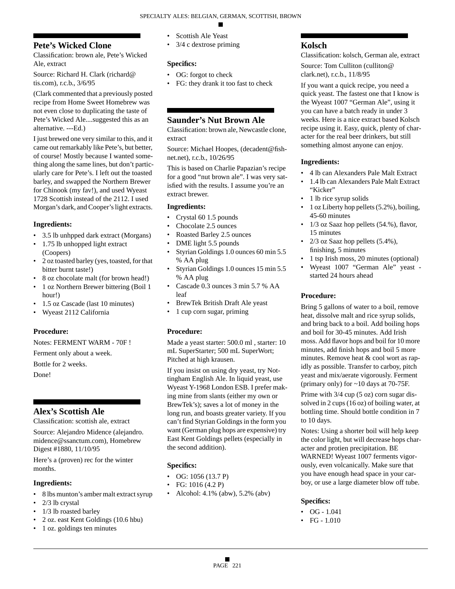# **Pete's Wicked Clone**

Classification: brown ale, Pete's Wicked Ale, extract

Source: Richard H. Clark (richard@ tis.com), r.c.b., 3/6/95

(Clark commented that a previously posted recipe from Home Sweet Homebrew was not even close to duplicating the taste of Pete's Wicked Ale....suggested this as an alternative. ---Ed.)

I just brewed one very similar to this, and it came out remarkably like Pete's, but better, of course! Mostly because I wanted something along the same lines, but don't particularly care for Pete's. I left out the toasted barley, and swapped the Northern Brewer for Chinook (my fav!), and used Wyeast 1728 Scottish instead of the 2112. I used Morgan's dark, and Cooper's light extracts.

# **Ingredients:**

- 3.5 lb unhpped dark extract (Morgans)
- 1.75 lb unhopped light extract (Coopers)
- 2 oz toasted barley (yes, toasted, for that bitter burnt taste!)
- 8 oz chocolate malt (for brown head!)
- 1 oz Northern Brewer bittering (Boil 1 hour!)
- 1.5 oz Cascade (last 10 minutes)
- Wyeast 2112 California

# **Procedure:**

Notes: FERMENT WARM - 70F !

Ferment only about a week.

Bottle for 2 weeks.

Done!

# **Alex's Scottish Ale**

Classification: scottish ale, extract

Source: Alejandro Midence (alejandro. midence@ssanctum.com), Homebrew Digest #1880, 11/10/95

Here's a (proven) rec for the winter months.

# **Ingredients:**

- 8 lbs munton's amber malt extract syrup
- 2/3 lb crystal
- 1/3 lb roasted barley
- 2 oz. east Kent Goldings (10.6 hbu)
- 1 oz. goldings ten minutes
- Scottish Ale Yeast
- 3/4 c dextrose priming

# **Specifics:**

- OG: forgot to check
- FG: they drank it too fast to check

# **Saunder's Nut Brown Ale**

Classification: brown ale, Newcastle clone, extract

Source: Michael Hoopes, (decadent@fishnet.net), r.c.b., 10/26/95

This is based on Charlie Papazian's recipe for a good "nut brown ale". I was very satisfied with the results. I assume you're an extract brewer.

# **Ingredients:**

- Crystal 60 1.5 pounds
- Chocolate 2.5 ounces
- Roasted Barley 2.5 ounces
- DME light 5.5 pounds
- Styrian Goldings 1.0 ounces 60 min 5.5 % AA plug
- Styrian Goldings 1.0 ounces 15 min 5.5 % AA plug
- Cascade 0.3 ounces 3 min 5.7 % AA leaf
- BrewTek British Draft Ale yeast
- 1 cup corn sugar, priming

# **Procedure:**

Made a yeast starter: 500.0 ml , starter: 10 mL SuperStarter; 500 mL SuperWort; Pitched at high krausen.

If you insist on using dry yeast, try Nottingham English Ale. In liquid yeast, use Wyeast Y-1968 London ESB. I prefer making mine from slants (either my own or BrewTek's); saves a lot of money in the long run, and boasts greater variety. If you can't find Styrian Goldings in the form you want (German plug hops are expensive) try East Kent Goldings pellets (especially in the second addition).

# **Specifics:**

- OG: 1056 (13.7 P)
- FG: 1016 (4.2 P)
- Alcohol: 4.1% (abw), 5.2% (abv)

# **Kolsch**

Classification: kolsch, German ale, extract Source: Tom Culliton (culliton@

clark.net), r.c.b., 11/8/95 If you want a quick recipe, you need a quick yeast. The fastest one that I know is the Wyeast 1007 "German Ale", using it you can have a batch ready in under 3

weeks. Here is a nice extract based Kolsch recipe using it. Easy, quick, plenty of character for the real beer drinkers, but still something almost anyone can enjoy.

# **Ingredients:**

- 4 lb can Alexanders Pale Malt Extract
- 1.4 lb can Alexanders Pale Malt Extract "Kicker"
- 1 lb rice syrup solids
- 1 oz Liberty hop pellets (5.2%), boiling, 45-60 minutes
- 1/3 oz Saaz hop pellets (54.%), flavor, 15 minutes
- $2/3$  oz Saaz hop pellets  $(5.4\%)$ , finishing, 5 minutes
- 1 tsp Irish moss, 20 minutes (optional)
- Wyeast 1007 "German Ale" yeast started 24 hours ahead

# **Procedure:**

Bring 5 gallons of water to a boil, remove heat, dissolve malt and rice syrup solids, and bring back to a boil. Add boiling hops and boil for 30-45 minutes. Add Irish moss. Add flavor hops and boil for 10 more minutes, add finish hops and boil 5 more minutes. Remove heat & cool wort as rapidly as possible. Transfer to carboy, pitch yeast and mix/aerate vigorously. Ferment (primary only) for ~10 days at 70-75F.

Prime with 3/4 cup (5 oz) corn sugar dissolved in 2 cups (16 oz) of boiling water, at bottling time. Should bottle condition in 7 to 10 days.

Notes: Using a shorter boil will help keep the color light, but will decrease hops character and protien precipitation. BE WARNED! Wyeast 1007 ferments vigorously, even volcanically. Make sure that you have enough head space in your carboy, or use a large diameter blow off tube.

# **Specifics:**

- OG  $1.041$
- FG 1.010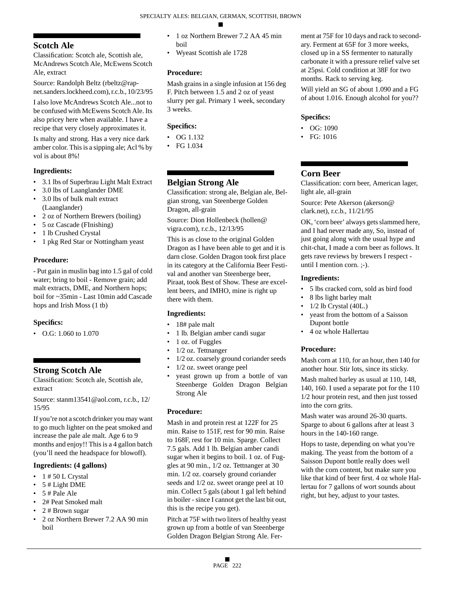# **Scotch Ale**

Classification: Scotch ale, Scottish ale, McAndrews Scotch Ale, McEwens Scotch Ale, extract

Source: Randolph Beltz (rbeltz@rapnet.sanders.lockheed.com), r.c.b., 10/23/95

I also love McAndrews Scotch Ale...not to be confused with McEwens Scotch Ale. Its also pricey here when available. I have a recipe that very closely approximates it.

Is malty and strong. Has a very nice dark amber color. This is a sipping ale; Acl % by vol is about 8%!

### **Ingredients:**

- 3.1 lbs of Superbrau Light Malt Extract
- 3.0 lbs of Laanglander DME
- 3.0 lbs of bulk malt extract (Laanglander)
- 2 oz of Northern Brewers (boiling)
- 5 oz Cascade (FInishing)
- 1 lb Crushed Crystal
- 1 pkg Red Star or Nottingham yeast

# **Procedure:**

- Put gain in muslin bag into 1.5 gal of cold water; bring to boil - Remove grain; add malt extracts, DME, and Northern hops; boil for ~35min - Last 10min add Cascade hops and Irish Moss (1 tb)

### **Specifics:**

• O.G: 1.060 to 1.070

# **Strong Scotch Ale**

Classification: Scotch ale, Scottish ale, extract

Source: stanm13541@aol.com, r.c.b., 12/ 15/95

If you're not a scotch drinker you may want to go much lighter on the peat smoked and increase the pale ale malt. Age 6 to 9 months and enjoy!! This is a 4 gallon batch (you'll need the headspace for blowoff).

### **Ingredients: (4 gallons)**

- $\cdot$  1 # 50 L Crystal
- 5 # Light DME
- $\bullet$  5 # Pale Ale
- 2# Peat Smoked malt
- 2 # Brown sugar
- 2 oz Northern Brewer 7.2 AA 90 min boil
- 1 oz Northern Brewer 7.2 AA 45 min boil
- Wyeast Scottish ale 1728

# **Procedure:**

Mash grains in a single infusion at 156 deg F. Pitch between 1.5 and 2 oz of yeast slurry per gal. Primary 1 week, secondary 3 weeks.

### **Specifics:**

- OG 1.132
- FG 1.034

# **Belgian Strong Ale**

Classification: strong ale, Belgian ale, Belgian strong, van Steenberge Golden Dragon, all-grain

Source: Dion Hollenbeck (hollen@ vigra.com), r.c.b., 12/13/95

This is as close to the original Golden Dragon as I have been able to get and it is darn close. Golden Dragon took first place in its category at the California Beer Festival and another van Steenberge beer, Piraat, took Best of Show. These are excellent beers, and IMHO, mine is right up there with them.

# **Ingredients:**

- 18# pale malt
- 1 lb. Belgian amber candi sugar
- 1 oz. of Fuggles
- 1/2 oz. Tettnanger
- 1/2 oz. coarsely ground coriander seeds
- 1/2 oz. sweet orange peel
- yeast grown up from a bottle of van Steenberge Golden Dragon Belgian Strong Ale

# **Procedure:**

Mash in and protein rest at 122F for 25 min. Raise to 151F, rest for 90 min. Raise to 168F, rest for 10 min. Sparge. Collect 7.5 gals. Add 1 lb. Belgian amber candi sugar when it begins to boil. 1 oz. of Fuggles at 90 min., 1/2 oz. Tettnanger at 30 min. 1/2 oz. coarsely ground coriander seeds and 1/2 oz. sweet orange peel at 10 min. Collect 5 gals (about 1 gal left behind in boiler - since I cannot get the last bit out, this is the recipe you get).

Pitch at 75F with two liters of healthy yeast grown up from a bottle of van Steenberge Golden Dragon Belgian Strong Ale. Ferment at 75F for 10 days and rack to secondary. Ferment at 65F for 3 more weeks, closed up in a SS fermenter to naturally carbonate it with a pressure relief valve set at 25psi. Cold condition at 38F for two months. Rack to serving keg.

Will yield an SG of about 1.090 and a FG of about 1.016. Enough alcohol for you??

### **Specifics:**

- OG: 1090
- FG: 1016

# **Corn Beer**

Classification: corn beer, American lager, light ale, all-grain

Source: Pete Akerson (akerson@ clark.net), r.c.b., 11/21/95

OK, 'corn beer' always gets slammed here, and I had never made any, So, instead of just going along with the usual hype and chit-chat, I made a corn beer as follows. It gets rave reviews by brewers I respect until I mention corn. ;-).

### **Ingredients:**

- 5 lbs cracked corn, sold as bird food
- 8 lbs light barley malt
- $1/2$  lb Crystal  $(40L)$
- yeast from the bottom of a Saisson Dupont bottle
- 4 oz whole Hallertau

# **Procedure:**

Mash corn at 110, for an hour, then 140 for another hour. Stir lots, since its sticky.

Mash malted barley as usual at 110, 148, 140, 160. I used a separate pot for the 110 1/2 hour protein rest, and then just tossed into the corn grits.

Mash water was around 26-30 quarts. Sparge to about 6 gallons after at least 3 hours in the 140-160 range.

Hops to taste, depending on what you're making. The yeast from the bottom of a Saisson Dupont bottle really does well with the corn content, but make sure you like that kind of beer first. 4 oz whole Hallertau for 7 gallons of wort sounds about right, but hey, adjust to your tastes.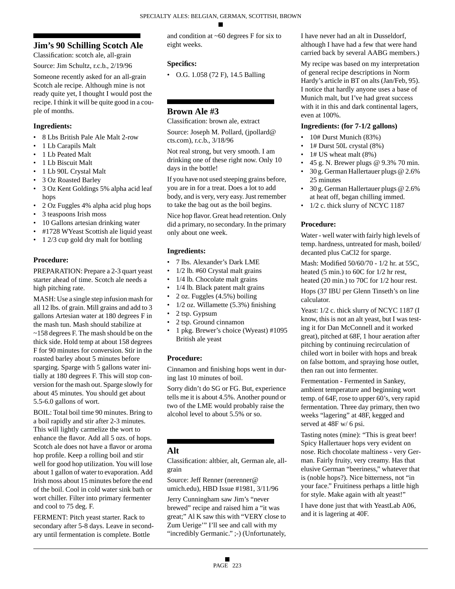# **Jim's 90 Schilling Scotch Ale**

Classification: scotch ale, all-grain

Source: Jim Schultz, r.c.b., 2/19/96

Someone recently asked for an all-grain Scotch ale recipe. Although mine is not ready quite yet, I thought I would post the recipe. I think it will be quite good in a couple of months.

# **Ingredients:**

- 8 Lbs British Pale Ale Malt 2-row
- 1 Lb Carapils Malt
- 1 Lb Peated Malt
- 1 Lb Biscuit Malt
- 1 Lb 90L Crystal Malt
- 3 Oz Roasted Barley
- 3 Oz Kent Goldings 5% alpha acid leaf hops
- 2 Oz Fuggles 4% alpha acid plug hops
- 3 teaspoons Irish moss
- 10 Gallons artesian drinking water
- #1728 WYeast Scottish ale liquid yeast
- 1 2/3 cup gold dry malt for bottling

# **Procedure:**

PREPARATION: Prepare a 2-3 quart yeast starter ahead of time. Scotch ale needs a high pitching rate.

MASH: Use a single step infusion mash for all 12 lbs. of grain. Mill grains and add to 3 gallons Artesian water at 180 degrees F in the mash tun. Mash should stabilize at ~158 degrees F. The mash should be on the thick side. Hold temp at about 158 degrees F for 90 minutes for conversion. Stir in the roasted barley about 5 minutes before sparging. Sparge with 5 gallons water initially at 180 degrees F. This will stop conversion for the mash out. Sparge slowly for about 45 minutes. You should get about 5.5-6.0 gallons of wort.

BOIL: Total boil time 90 minutes. Bring to a boil rapidly and stir after 2-3 minutes. This will lightly carmelize the wort to enhance the flavor. Add all 5 ozs. of hops. Scotch ale does not have a flavor or aroma hop profile. Keep a rolling boil and stir well for good hop utilization. You will lose about 1 gallon of water to evaporation. Add Irish moss about 15 minutes before the end of the boil. Cool in cold water sink bath or wort chiller. Filter into primary fermenter and cool to 75 deg. F.

FERMENT: Pitch yeast starter. Rack to secondary after 5-8 days. Leave in secondary until fermentation is complete. Bottle

and condition at ~60 degrees F for six to eight weeks.

# **Specifics:**

• O.G. 1.058 (72 F), 14.5 Balling

# **Brown Ale #3**

Classification: brown ale, extract

Source: Joseph M. Pollard, (jpollard@ cts.com), r.c.b., 3/18/96

Not real strong, but very smooth. I am drinking one of these right now. Only 10 days in the bottle!

If you have not used steeping grains before, you are in for a treat. Does a lot to add body, and is very, very easy. Just remember to take the bag out as the boil begins.

Nice hop flavor. Great head retention. Only did a primary, no secondary. In the primary only about one week.

# **Ingredients:**

- 7 lbs. Alexander's Dark LME
- 1/2 lb. #60 Crystal malt grains
- 1/4 lb. Chocolate malt grains
- 1/4 lb. Black patent malt grains
- 2 oz. Fuggles (4.5%) boiling
- $1/2$  oz. Willamette  $(5.3%)$  finishing
- 2 tsp. Gypsum
- 2 tsp. Ground cinnamon
- 1 pkg. Brewer's choice (Wyeast) #1095 British ale yeast

# **Procedure:**

Cinnamon and finishing hops went in during last 10 minutes of boil.

Sorry didn't do SG or FG. But, experience tells me it is about 4.5%. Another pound or two of the LME would probably raise the alcohol level to about 5.5% or so.

# **Alt**

Classification: altbier, alt, German ale, allgrain

Source: Jeff Renner (nerenner@ umich.edu), HBD Issue #1981, 3/11/96

Jerry Cunningham saw Jim's "never brewed" recipe and raised him a "it was great;" Al K saw this with "VERY close to Zum Uerige'" I'll see and call with my "incredibly Germanic." ;-) (Unfortunately,

I have never had an alt in Dusseldorf, although I have had a few that were hand carried back by several AABG members.)

My recipe was based on my interpretation of general recipe descriptions in Norm Hardy's article in BT on alts (Jan/Feb, 95). I notice that hardly anyone uses a base of Munich malt, but I've had great success with it in this and dark continental lagers, even at 100%.

# **Ingredients: (for 7-1/2 gallons)**

- 10# Durst Munich (83%)
- 1# Durst 50L crystal (8%)
- 1# US wheat malt (8%)
- 45 g. N. Brewer plugs @ 9.3% 70 min.
- 30 g. German Hallertauer plugs @ 2.6% 25 minutes
- 30 g. German Hallertauer plugs @ 2.6% at heat off, began chilling immed.
- 1/2 c. thick slurry of NCYC 1187

# **Procedure:**

Water - well water with fairly high levels of temp. hardness, untreated for mash, boiled/ decanted plus CaCl2 for sparge.

Mash: Modified 50/60/70 - 1/2 hr. at 55C, heated (5 min.) to 60C for 1/2 hr rest, heated (20 min.) to 70C for 1/2 hour rest.

Hops (37 IBU per Glenn Tinseth's on line calculator.

Yeast:  $1/2$  c. thick slurry of NCYC 1187 (I know, this is not an alt yeast, but I was testing it for Dan McConnell and it worked great), pitched at 68F, 1 hour aeration after pitching by continuing recirculation of chiled wort in boiler with hops and break on false bottom, and spraying hose outlet, then ran out into fermenter.

Fermentation - Fermented in Sankey, ambient temperature and beginning wort temp. of 64F, rose to upper 60's, very rapid fermentation. Three day primary, then two weeks "lagering" at 48F, kegged and served at 48F w/ 6 psi.

Tasting notes (mine): "This is great beer! Spicy Hallertauer hops very evident on nose. Rich chocolate maltiness - very German. Fairly fruity, very creamy. Has that elusive German "beeriness," whatever that is (noble hops?). Nice bitterness, not "in your face." Fruitiness perhaps a little high for style. Make again with alt yeast!"

I have done just that with YeastLab A06, and it is lagering at 40F.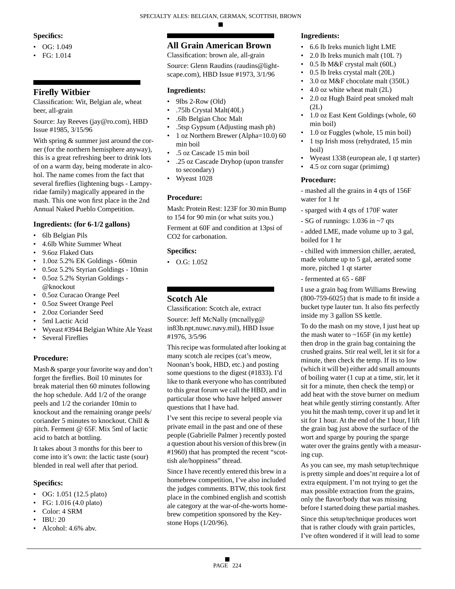### **Specifics:**

- $\bullet$  OG: 1.049
- FG: 1.014

# **Firefly Witbier**

Classification: Wit, Belgian ale, wheat beer, all-grain

Source: Jay Reeves (jay@ro.com), HBD Issue #1985, 3/15/96

With spring  $&$  summer just around the corner (for the northern hemisphere anyway), this is a great refreshing beer to drink lots of on a warm day, being moderate in alcohol. The name comes from the fact that several fireflies (lightening bugs - Lampyridae family) magically appeared in the mash. This one won first place in the 2nd Annual Naked Pueblo Competition.

### **Ingredients: (for 6-1/2 gallons)**

- 6lb Belgian Pils
- 4.6lb White Summer Wheat
- 9.6oz Flaked Oats
- 1.0oz 5.2% EK Goldings 60min
- 0.5oz 5.2% Styrian Goldings 10min
- 0.5oz 5.2% Styrian Goldings @knockout
- 0.5oz Curacao Orange Peel
- 0.5oz Sweet Orange Peel
- 2.0oz Coriander Seed
- 5ml Lactic Acid
- Wyeast #3944 Belgian White Ale Yeast
- Several Fireflies

### **Procedure:**

Mash & sparge your favorite way and don't forget the fireflies. Boil 10 minutes for break material then 60 minutes following the hop schedule. Add 1/2 of the orange peels and 1/2 the coriander 10min to knockout and the remaining orange peels/ coriander 5 minutes to knockout. Chill & pitch. Ferment @ 65F. Mix 5ml of lactic acid to batch at bottling.

It takes about 3 months for this beer to come into it's own: the lactic taste (sour) blended in real well after that period.

### **Specifics:**

- OG: 1.051 (12.5 plato)
- FG: 1.016 (4.0 plato)
- Color: 4 SRM
- IBU: 20
- Alcohol: 4.6% abv.

# **All Grain American Brown**

Classification: brown ale, all-grain Source: Glenn Raudins (raudins@lightscape.com), HBD Issue #1973, 3/1/96

### **Ingredients:**

- 9lbs 2-Row (Old)
- .75lb Crystal Malt(40L)
- .6lb Belgian Choc Malt
- .5tsp Gypsum (Adjusting mash ph)
- 1 oz Northern Brewer (Alpha=10.0) 60 min boil
- .5 oz Cascade 15 min boil
- .25 oz Cascade Dryhop (upon transfer to secondary)
- Wyeast 1028

### **Procedure:**

Mash: Protein Rest: 123F for 30 min Bump to 154 for 90 min (or what suits you.)

Ferment at 60F and condition at 13psi of CO2 for carbonation.

#### **Specifics:**

• O.G: 1.052

# **Scotch Ale**

Classification: Scotch ale, extract

Source: Jeff McNally (mcnallyg@ in83b.npt.nuwc.navy.mil), HBD Issue #1976, 3/5/96

This recipe was formulated after looking at many scotch ale recipes (cat's meow, Noonan's book, HBD, etc.) and posting some questions to the digest (#1833). I'd like to thank everyone who has contributed to this great forum we call the HBD, and in particular those who have helped answer questions that I have had.

I've sent this recipe to several people via private email in the past and one of these people (Gabrielle Palmer ) recently posted a question about his version of this brew (in #1960) that has prompted the recent "scottish ale/hoppiness" thread.

Since I have recently entered this brew in a homebrew competition, I've also included the judges comments. BTW, this took first place in the combined english and scottish ale category at the war-of-the-worts homebrew competition sponsored by the Keystone Hops (1/20/96).

# **Ingredients:**

- 6.6 lb Ireks munich light LME
- 2.0 lb Ireks munich malt (10L ?)
- 0.5 lb M&F crystal malt (60L)
- 0.5 lb Ireks crystal malt (20L)
- 3.0 oz M&F chocolate malt (350L)
- 4.0 oz white wheat malt (2L)
- 2.0 oz Hugh Baird peat smoked malt (2L)
- 1.0 oz East Kent Goldings (whole, 60 min boil)
- 1.0 oz Fuggles (whole, 15 min boil)
- 1 tsp Irish moss (rehydrated, 15 min boil)
- Wyeast 1338 (european ale, 1 qt starter)
- 4.5 oz corn sugar (primimg)

#### **Procedure:**

- mashed all the grains in 4 qts of 156F water for 1 hr

- sparged with 4 qts of 170F water
- SG of runnings: 1.036 in ~7 qts

- added LME, made volume up to 3 gal, boiled for 1 hr

- chilled with immersion chiller, aerated, made volume up to 5 gal, aerated some more, pitched 1 qt starter

- fermented at 65 - 68F

I use a grain bag from Williams Brewing (800-759-6025) that is made to fit inside a bucket type lauter tun. It also fits perfectly inside my 3 gallon SS kettle.

To do the mash on my stove, I just heat up the mash water to  $\sim$ 165F (in my kettle) then drop in the grain bag containing the crushed grains. Stir real well, let it sit for a minute, then check the temp. If its to low (which it will be) either add small amounts of boiling water (1 cup at a time, stir, let it sit for a minute, then check the temp) or add heat with the stove burner on medium heat while gently stirring constantly. After you hit the mash temp, cover it up and let it sit for 1 hour. At the end of the 1 hour, I lift the grain bag just above the surface of the wort and sparge by pouring the sparge water over the grains gently with a measuring cup.

As you can see, my mash setup/technique is pretty simple and does'nt require a lot of extra equipment. I'm not trying to get the max possible extraction from the grains, only the flavor/body that was missing before I started doing these partial mashes. Since this setup/technique produces wort that is rather cloudy with grain particles, I've often wondered if it will lead to some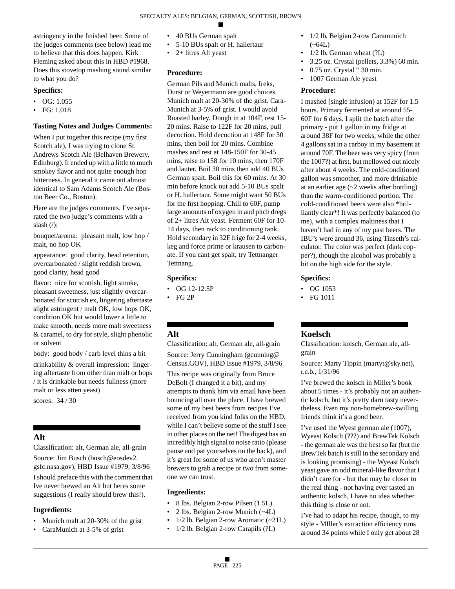astringency in the finished beer. Some of the judges comments (see below) lead me to believe that this does happen. Kirk Fleming asked about this in HBD #1968. Does this stovetop mashing sound similar to what you do?

### **Specifics:**

- OG: 1.055
- FG: 1.018

### **Tasting Notes and Judges Comments:**

When I put together this recipe (my first Scotch ale), I was trying to clone St. Andrews Scotch Ale (Belhaven Brewery, Edinburg). It ended up with a little to much smokey flavor and not quite enough hop bitterness. In general it came out almost identical to Sam Adams Scotch Ale (Boston Beer Co., Boston).

Here are the judges comments. I've separated the two judge's comments with a slash (/):

bouquet/aroma: pleasant malt, low hop / malt, no hop OK

appearance: good clarity, head retention, overcarbonated / slight reddish brown, good clarity, head good

flavor: nice for scottish, light smoke, pleasant sweetness, just slightly overcarbonated for scottish ex, lingering aftertaste slight astringent / malt OK, low hops OK, condition OK but would lower a little to make smooth, needs more malt sweetness & caramel, to dry for style, slight phenolic or solvent

body: good body / carb level thins a bit

drinkability & overall impression: lingering aftertaste from other than malt or hops / it is drinkable but needs fullness (more malt or less atten yeast)

scores: 34 / 30

# **Alt**

Classification: alt, German ale, all-grain

Source: Jim Busch (busch@eosdev2. gsfc.nasa.gov), HBD Issue #1979, 3/8/96 I should preface this with the comment that Ive never brewed an Alt but heres some

suggestions (I really should brew this!).

# **Ingredients:**

- Munich malt at 20-30% of the grist
- CaraMunich at 3-5% of grist
- 40 BUs German spalt
- 5-10 BUs spalt or H. hallertaur
- 2+ litres Alt yeast

### **Procedure:**

German Pils and Munich malts, Ireks, Durst or Weyermann are good choices. Munich malt at 20-30% of the grist. Cara-Munich at 3-5% of grist. I would avoid Roasted barley. Dough in at 104F, rest 15- 20 mins. Raise to 122F for 20 mins, pull decoction. Hold decoction at 148F for 30 mins, then boil for 20 mins. Combine mashes and rest at 148-150F for 30-45 mins, raise to 158 for 10 mins, then 170F and lauter. Boil 30 mins then add 40 BUs German spalt. Boil this for 60 mins. At 30 min before knock out add 5-10 BUs spalt or H. hallertaur. Some might want 50 BUs for the first hopping. Chill to 60F, pump large amounts of oxygen in and pitch dregs of 2+ litres Alt yeast. Ferment 60F for 10- 14 days, then rack to conditioning tank. Hold secondary in 32F frige for 2-4 weeks, keg and force prime or krausen to carbonate. If you cant get spalt, try Tettnanger Tettnang.

### **Specifics:**

- OG 12-12.5P
- FG 2P

# **Alt**

Classification: alt, German ale, all-grain Source: Jerry Cunningham (gcunning@ Census.GOV), HBD Issue #1979, 3/8/96

This recipe was originally from Bruce DeBolt (I changed it a bit), and my attempts to thank him via email have been bouncing all over the place. I have brewed some of my best beers from recipes I've received from you kind folks on the HBD, while I can't believe some of the stuff I see in other places on the net! The digest has an incredibly high signal to noise ratio (please pause and pat yourselves on the back), and it's great for some of us who aren't master brewers to grab a recipe or two from someone we can trust.

### **Ingredients:**

- 8 lbs. Belgian 2-row Pilsen (1.5L)
- 2 lbs. Belgian 2-row Munich (~4L)
- 1/2 lb. Belgian 2-row Aromatic (~21L)
- 1/2 lb. Belgian 2-row Carapils (?L)
- 1/2 lb. Belgian 2-row Caramunich  $(-64L)$
- $1/2$  lb. German wheat  $(?L)$
- 3.25 oz. Crystal (pellets, 3.3%) 60 min.
- 0.75 oz. Crystal " 30 min.
	- 1007 German Ale yeast

### **Procedure:**

I mashed (single infusion) at 152F for 1.5 hours. Primary fermented at around 55- 60F for 6 days. I split the batch after the primary - put 1 gallon in my fridge at around 38F for two weeks, while the other 4 gallons sat in a carboy in my basement at around 70F. The beer was very spicy (from the 1007?) at first, but mellowed out nicely after about 4 weeks. The cold-conditioned gallon was smoother, and more drinkable at an earlier age (~2 weeks after bottling) than the warm-conditioned portion. The cold-conditioned beers were also \*brilliantly clear\*! It was perfectly balanced (to me), with a complex maltiness that I haven't had in any of my past beers. The IBU's were around 36, using Tinseth's calculator. The color was perfect (dark copper?), though the alcohol was probably a bit on the high side for the style.

### **Specifics:**

- OG 1053
- FG 1011

### **Koelsch**

Classification: kolsch, German ale, allgrain

Source: Marty Tippin (martyt@sky.net), r.c.b., 1/31/96

I've brewed the kolsch in Miller's book about 5 times - it's probably not an authentic kolsch, but it's pretty darn tasty nevertheless. Even my non-homebrew-swilling friends think it's a good beer.

I've used the Wyest german ale (1007), Wyeast Kolsch (???) and BrewTek Kolsch - the german ale was the best so far (but the BrewTek batch is still in the secondary and is looking promising) - the Wyeast Kolsch yeast gave an odd mineral-like flavor that I didn't care for - but that may be closer to the real thing - not having ever tasted an authentic kolsch, I have no idea whether this thing is close or not.

I've had to adapt his recipe, though, to my style - MIller's extraction efficiency runs around 34 points while I only get about 28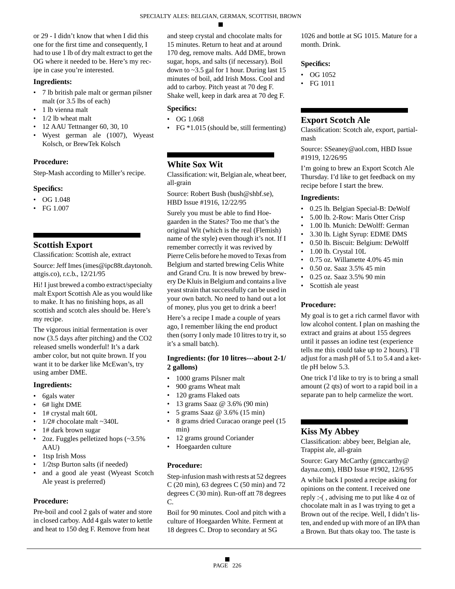or 29 - I didn't know that when I did this one for the first time and consequently, I had to use 1 lb of dry malt extract to get the OG where it needed to be. Here's my recipe in case you're interested.

### **Ingredients:**

- 7 lb british pale malt or german pilsner malt (or 3.5 lbs of each)
- 1 lb vienna malt
- 1/2 lb wheat malt
- 12 AAU Tettnanger 60, 30, 10
- Wyest german ale (1007), Wyeast Kolsch, or BrewTek Kolsch

#### **Procedure:**

Step-Mash according to Miller's recipe.

#### **Specifics:**

- OG 1.048
- FG 1.007

# **Scottish Export**

Classification: Scottish ale, extract

Source: Jeff Imes (imes@ipc88t.daytonoh. attgis.co), r.c.b., 12/21/95

Hi! I just brewed a combo extract/specialty malt Export Scottish Ale as you would like to make. It has no finishing hops, as all scottish and scotch ales should be. Here's my recipe.

The vigorous initial fermentation is over now (3.5 days after pitching) and the CO2 released smells wonderful! It's a dark amber color, but not quite brown. If you want it to be darker like McEwan's, try using amber DME.

### **Ingredients:**

- 6gals water
- 6# light DME
- 1# crystal malt 60L
- 1/2# chocolate malt ~340L
- 1# dark brown sugar
- 2oz. Fuggles pelletized hops (~3.5% AAU)
- 1tsp Irish Moss
- 1/2tsp Burton salts (if needed)
- and a good ale yeast (Wyeast Scotch Ale yeast is preferred)

### **Procedure:**

Pre-boil and cool 2 gals of water and store in closed carboy. Add 4 gals water to kettle and heat to 150 deg F. Remove from heat

and steep crystal and chocolate malts for 15 minutes. Return to heat and at around 170 deg, remove malts. Add DME, brown sugar, hops, and salts (if necessary). Boil down to ~3.5 gal for 1 hour. During last 15 minutes of boil, add Irish Moss. Cool and add to carboy. Pitch yeast at 70 deg F. Shake well, keep in dark area at 70 deg F.

### **Specifics:**

- OG 1.068
- FG \*1.015 (should be, still fermenting)

# **White Sox Wit**

Classification: wit, Belgian ale, wheat beer, all-grain

Source: Robert Bush (bush@shbf.se), HBD Issue #1916, 12/22/95

Surely you must be able to find Hoegaarden in the States? Too me that's the original Wit (which is the real (Flemish) name of the style) even though it's not. If I remember correctly it was revived by Pierre Celis before he moved to Texas from Belgium and started brewing Celis White and Grand Cru. It is now brewed by brewery De Kluis in Belgium and contains a live yeast strain that successfully can be used in your own batch. No need to hand out a lot of money, plus you get to drink a beer!

Here's a recipe I made a couple of years ago, I remember liking the end product then (sorry I only made 10 litres to try it, so it's a small batch).

### **Ingredients: (for 10 litres---about 2-1/ 2 gallons)**

- 1000 grams Pilsner malt
- 900 grams Wheat malt
- 120 grams Flaked oats
- 13 grams Saaz @ 3.6% (90 min)
- 5 grams Saaz @ 3.6% (15 min)
- 8 grams dried Curacao orange peel (15 min)
- 12 grams ground Coriander
- Hoegaarden culture

#### **Procedure:**

Step-infusion mash with rests at 52 degrees C (20 min), 63 degrees C (50 min) and 72 degrees C (30 min). Run-off att 78 degrees C.

Boil for 90 minutes. Cool and pitch with a culture of Hoegaarden White. Ferment at 18 degrees C. Drop to secondary at SG

1026 and bottle at SG 1015. Mature for a month. Drink.

#### **Specifics:**

- OG 1052
- FG 1011

# **Export Scotch Ale**

Classification: Scotch ale, export, partialmash

Source: SSeaney@aol.com, HBD Issue #1919, 12/26/95

I'm going to brew an Export Scotch Ale Thursday. I'd like to get feedback on my recipe before I start the brew.

#### **Ingredients:**

- 0.25 lb. Belgian Special-B: DeWolf
- 5.00 lb. 2-Row: Maris Otter Crisp
- 1.00 lb. Munich: DeWolff: German
- 3.30 lb. Light Syrup: EDME DMS
- 0.50 lb. Biscuit: Belgium: DeWolff
- 1.00 lb. Crystal 10L
- 0.75 oz. Willamette 4.0% 45 min
- 0.50 oz. Saaz 3.5% 45 min
- 0.25 oz. Saaz 3.5% 90 min
- Scottish ale yeast

### **Procedure:**

My goal is to get a rich carmel flavor with low alcohol content. I plan on mashing the extract and grains at about 155 degrees until it passes an iodine test (experience tells me this could take up to 2 hours). I'll adjust for a mash pH of 5.1 to 5.4 and a kettle pH below 5.3.

One trick I'd like to try is to bring a small amount (2 qts) of wort to a rapid boil in a separate pan to help carmelize the wort.

# **Kiss My Abbey**

Classification: abbey beer, Belgian ale, Trappist ale, all-grain

Source: Gary McCarthy (gmccarthy@ dayna.com), HBD Issue #1902, 12/6/95

A while back I posted a recipe asking for opinions on the content. I received one reply :-( , advising me to put like 4 oz of chocolate malt in as I was trying to get a Brown out of the recipe. Well, I didn't listen, and ended up with more of an IPA than a Brown. But thats okay too. The taste is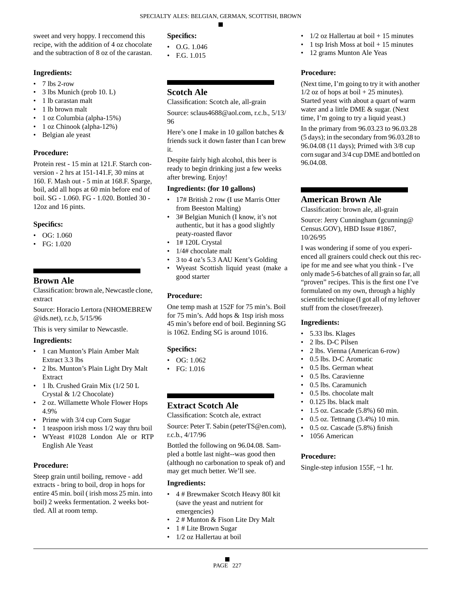### sweet and very hoppy. I reccomend this recipe, with the addition of 4 oz chocolate and the subtraction of 8 oz of the carastan.

### **Ingredients:**

- $\cdot$  7 lbs 2-row
- 3 lbs Munich (prob 10. L)
- 1 lb carastan malt
- 1 lb brown malt
- 1 oz Columbia (alpha-15%)
- 1 oz Chinook (alpha-12%)
- Belgian ale yeast

# **Procedure:**

Protein rest - 15 min at 121.F. Starch conversion - 2 hrs at 151-141.F, 30 mins at 160. F. Mash out - 5 min at 168.F. Sparge, boil, add all hops at 60 min before end of boil. SG - 1.060. FG - 1.020. Bottled 30 - 12oz and 16 pints.

### **Specifics:**

- OG: 1.060
- FG: 1.020

# **Brown Ale**

Classification: brown ale, Newcastle clone, extract

Source: Horacio Lertora (NHOMEBREW @ids.net), r.c.b, 5/15/96

This is very similar to Newcastle.

# **Ingredients:**

- 1 can Munton's Plain Amber Malt Extract 3.3 lbs
- 2 lbs. Munton's Plain Light Dry Malt Extract
- 1 lb. Crushed Grain Mix (1/2 50 L Crystal & 1/2 Chocolate)
- 2 oz. Willamette Whole Flower Hops 4.9%
- Prime with 3/4 cup Corn Sugar
- 1 teaspoon irish moss 1/2 way thru boil
- WYeast #1028 London Ale or RTP English Ale Yeast

# **Procedure:**

Steep grain until boiling, remove - add extracts - bring to boil, drop in hops for entire 45 min. boil ( irish moss 25 min. into boil) 2 weeks fermentation. 2 weeks bottled. All at room temp.

# **Specifics:**

- O.G. 1.046
- F.G. 1.015

# **Scotch Ale**

Classification: Scotch ale, all-grain

Source: sclaus4688@aol.com, r.c.b., 5/13/ 96

Here's one I make in 10 gallon batches & friends suck it down faster than I can brew it.

Despite fairly high alcohol, this beer is ready to begin drinking just a few weeks after brewing. Enjoy!

### **Ingredients: (for 10 gallons)**

- 17# British 2 row (I use Marris Otter from Beeston Malting)
- 3# Belgian Munich (I know, it's not authentic, but it has a good slightly peaty-roasted flavor
- 1# 120L Crystal
- 1/4# chocolate malt
- 3 to 4 oz's 5.3 AAU Kent's Golding
- Wyeast Scottish liquid yeast (make a good starter

# **Procedure:**

One temp mash at 152F for 75 min's. Boil for 75 min's. Add hops & 1tsp irish moss 45 min's before end of boil. Beginning SG is 1062. Ending SG is around 1016.

# **Specifics:**

- OG: 1.062
- FG: 1.016

# **Extract Scotch Ale**

Classification: Scotch ale, extract

Source: Peter T. Sabin (peterTS@en.com), r.c.b., 4/17/96

Bottled the following on 96.04.08. Sampled a bottle last night--was good then (although no carbonation to speak of) and may get much better. We'll see.

### **Ingredients:**

- 4 # Brewmaker Scotch Heavy 80l kit (save the yeast and nutrient for emergencies)
- 2 # Munton & Fison Lite Dry Malt
- 1 # Lite Brown Sugar
- 1/2 oz Hallertau at boil
- $1/2$  oz Hallertau at boil  $+15$  minutes
- 1 tsp Irish Moss at boil  $+15$  minutes
- 12 grams Munton Ale Yeas

# **Procedure:**

(Next time, I'm going to try it with another  $1/2$  oz of hops at boil  $+ 25$  minutes). Started yeast with about a quart of warm water and a little DME & sugar. (Next time, I'm going to try a liquid yeast.)

In the primary from 96.03.23 to 96.03.28 (5 days); in the secondary from 96.03.28 to 96.04.08 (11 days); Primed with 3/8 cup corn sugar and 3/4 cup DME and bottled on 96.04.08.

# **American Brown Ale**

Classification: brown ale, all-grain

Source: Jerry Cunningham (gcunning@ Census.GOV), HBD Issue #1867, 10/26/95

I was wondering if some of you experienced all grainers could check out this recipe for me and see what you think - I've only made 5-6 batches of all grain so far, all "proven" recipes. This is the first one I've formulated on my own, through a highly scientific technique (I got all of my leftover stuff from the closet/freezer).

# **Ingredients:**

- 5.33 lbs. Klages
- 2 lbs. D-C Pilsen
- 2 lbs. Vienna (American 6-row)
- 0.5 lbs. D-C Aromatic
- 0.5 lbs. German wheat
- 0.5 lbs. Caravienne
- 0.5 lbs. Caramunich
- 0.5 lbs. chocolate malt
- 0.125 lbs. black malt
- 1.5 oz. Cascade (5.8%) 60 min.
- 0.5 oz. Tettnang (3.4%) 10 min.
- 0.5 oz. Cascade (5.8%) finish
- 1056 American

### **Procedure:**

Single-step infusion 155F, ~1 hr.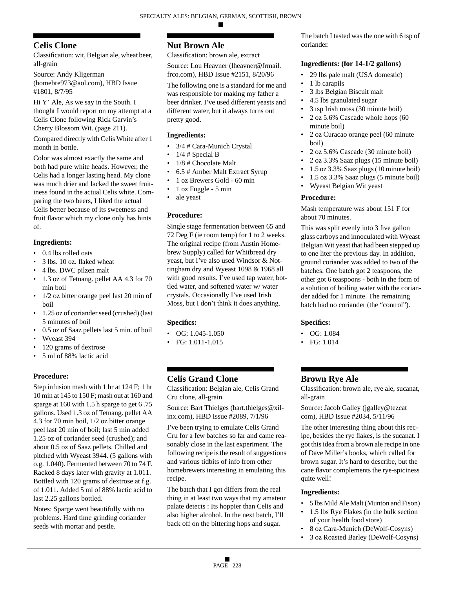# **Celis Clone**

Classification: wit, Belgian ale, wheat beer, all-grain

Source: Andy Kligerman (homebre973@aol.com), HBD Issue #1801, 8/7/95

Hi Y' Ale, As we say in the South. I thought I would report on my attempt at a Celis Clone following Rick Garvin's Cherry Blossom Wit. (page 211).

Compared directly with Celis White after 1 month in bottle.

Color was almost exactly the same and both had pure white heads. However, the Celis had a longer lasting head. My clone was much drier and lacked the sweet fruitiness found in the actual Celis white. Comparing the two beers, I liked the actual Celis better because of its sweetness and fruit flavor which my clone only has hints of.

# **Ingredients:**

- 0.4 lbs rolled oats
- 3 lbs. 10 oz. flaked wheat
- 4 lbs. DWC pilzen malt
- 1.3 oz of Tetnang. pellet AA 4.3 for 70 min boil
- 1/2 oz bitter orange peel last 20 min of boil
- 1.25 oz of coriander seed (crushed) (last 5 minutes of boil
- 0.5 oz of Saaz pellets last 5 min. of boil
- Wyeast 394
- 120 grams of dextrose
- 5 ml of 88% lactic acid

# **Procedure:**

Step infusion mash with 1 hr at 124 F; 1 hr 10 min at 145 to 150 F; mash out at 160 and sparge at 160 with 1.5 h sparge to get 6 .75 gallons. Used 1.3 oz of Tetnang. pellet AA 4.3 for 70 min boil, 1/2 oz bitter orange peel last 20 min of boil; last 5 min added 1.25 oz of coriander seed (crushed); and about 0.5 oz of Saaz pellets. Chilled and pitched with Wyeast 3944. (5 gallons with o.g. 1.040). Fermented between 70 to 74 F. Racked 8 days later with gravity at 1.011. Bottled with 120 grams of dextrose at f.g. of 1.011. Added 5 ml of 88% lactic acid to last 2.25 gallons bottled.

Notes: Sparge went beautifully with no problems. Hard time grinding coriander seeds with mortar and pestle.

# **Nut Brown Ale**

Classification: brown ale, extract

Source: Lou Heavner (lheavner@frmail. frco.com), HBD Issue #2151, 8/20/96

The following one is a standard for me and was responsible for making my father a beer drinker. I've used different yeasts and different water, but it always turns out pretty good.

# **Ingredients:**

- 3/4 # Cara-Munich Crystal
- $1/4$  # Special B
- 1/8 # Chocolate Malt
- 6.5 # Amber Malt Extract Syrup
- 1 oz Brewers Gold 60 min
- 1 oz Fuggle 5 min
- ale yeast

# **Procedure:**

Single stage fermentation between 65 and 72 Deg F (ie room temp) for 1 to 2 weeks. The original recipe (from Austin Homebrew Supply) called for Whitbread dry yeast, but I've also used Windsor & Nottingham dry and Wyeast 1098 & 1968 all with good results. I've used tap water, bottled water, and softened water w/ water crystals. Occasionally I've used Irish Moss, but I don't think it does anything.

# **Specifics:**

- OG:  $1.045 1.050$
- FG: 1.011-1.015

# **Celis Grand Clone**

Classification: Belgian ale, Celis Grand Cru clone, all-grain

Source: Bart Thielges (bart.thielges@xilinx.com), HBD Issue #2089, 7/1/96

I've been trying to emulate Celis Grand Cru for a few batches so far and came reasonably close in the last experiment. The following recipe is the result of suggestions and various tidbits of info from other homebrewers interesting in emulating this recipe.

The batch that I got differs from the real thing in at least two ways that my amateur palate detects : Its hoppier than Celis and also higher alcohol. In the next batch, I'll back off on the bittering hops and sugar.

The batch I tasted was the one with 6 tsp of coriander.

# **Ingredients: (for 14-1/2 gallons)**

- 29 lbs pale malt (USA domestic)
- 1 lb carapils
- 3 lbs Belgian Biscuit malt
- 4.5 lbs granulated sugar
- 3 tsp Irish moss (30 minute boil)
- 2 oz 5.6% Cascade whole hops (60 minute boil)
- 2 oz Curacao orange peel (60 minute boil)
- 2 oz 5.6% Cascade (30 minute boil)
- 2 oz 3.3% Saaz plugs (15 minute boil)
- 1.5 oz 3.3% Saaz plugs (10 minute boil)
- 1.5 oz 3.3% Saaz plugs (5 minute boil)
- Wyeast Belgian Wit yeast

# **Procedure:**

Mash temperature was about 151 F for about 70 minutes.

This was split evenly into 3 five gallon glass carboys and innoculated with Wyeast Belgian Wit yeast that had been stepped up to one liter the previous day. In addition, ground coriander was added to two of the batches. One batch got 2 teaspoons, the other got 6 teaspoons - both in the form of a solution of boiling water with the coriander added for 1 minute. The remaining batch had no coriander (the "control").

# **Specifics:**

- OG: 1.084
- FG: 1.014

# **Brown Rye Ale**

Classification: brown ale, rye ale, sucanat, all-grain

Source: Jacob Galley (jgalley@tezcat com), HBD Issue #2034, 5/11/96

The other interesting thing about this recipe, besides the rye flakes, is the sucanat. I got this idea from a brown ale recipe in one of Dave Miller's books, which called for brown sugar. It's hard to describe, but the cane flavor complements the rye-spiciness quite well!

- 5 lbs Mild Ale Malt (Munton and Fison)
- 1.5 lbs Rye Flakes (in the bulk section of your health food store)
- 8 oz Cara-Munich (DeWolf-Cosyns)
- 3 oz Roasted Barley (DeWolf-Cosyns)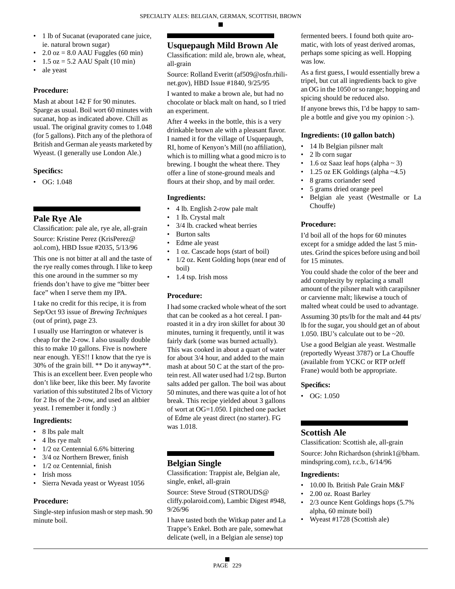- 1 lb of Sucanat (evaporated cane juice, ie. natural brown sugar)
- $2.0$  oz = 8.0 AAU Fuggles (60 min)
- $\bullet$  1.5 oz = 5.2 AAU Spalt (10 min)
- ale yeast

### **Procedure:**

Mash at about 142 F for 90 minutes. Sparge as usual. Boil wort 60 minutes with sucanat, hop as indicated above. Chill as usual. The original gravity comes to 1.048 (for 5 gallons). Pitch any of the plethora of British and German ale yeasts marketed by Wyeast. (I generally use London Ale.)

# **Specifics:**

 $\bullet$  OG: 1.048

# **Pale Rye Ale**

Classification: pale ale, rye ale, all-grain

Source: Kristine Perez (KrisPerez@ aol.com), HBD Issue #2035, 5/13/96

This one is not bitter at all and the taste of the rye really comes through. I like to keep this one around in the summer so my friends don't have to give me "bitter beer face" when I serve them my IPA.

I take no credit for this recipe, it is from Sep/Oct 93 issue of *Brewing Techniques* (out of print), page 23.

I usually use Harrington or whatever is cheap for the 2-row. I also usually double this to make 10 gallons. Five is nowhere near enough. YES!! I know that the rye is 30% of the grain bill. \*\* Do it anyway\*\*. This is an excellent beer. Even people who don't like beer, like this beer. My favorite variation of this substituted 2 lbs of Victory for 2 lbs of the 2-row, and used an altbier yeast. I remember it fondly :)

# **Ingredients:**

- 8 lbs pale malt
- 4 lbs rye malt
- 1/2 oz Centennial 6.6% bittering
- 3/4 oz Northern Brewer, finish
- 1/2 oz Centennial, finish
- Irish moss
- Sierra Nevada yeast or Wyeast 1056

# **Procedure:**

Single-step infusion mash or step mash. 90 minute boil.

# **Usquepaugh Mild Brown Ale**

Classification: mild ale, brown ale, wheat, all-grain

Source: Rolland Everitt (af509@osfn.rhilinet.gov), HBD Issue #1840, 9/25/95

I wanted to make a brown ale, but had no chocolate or black malt on hand, so I tried an experiment.

After 4 weeks in the bottle, this is a very drinkable brown ale with a pleasant flavor. I named it for the village of Usquepaugh, RI, home of Kenyon's Mill (no affiliation), which is to milling what a good micro is to brewing. I bought the wheat there. They offer a line of stone-ground meals and flours at their shop, and by mail order.

# **Ingredients:**

- 4 lb. English 2-row pale malt
- 1 lb. Crystal malt
- 3/4 lb. cracked wheat berries
- Burton salts
- Edme ale yeast
- 1 oz. Cascade hops (start of boil)
- 1/2 oz. Kent Golding hops (near end of boil)
- 1.4 tsp. Irish moss

# **Procedure:**

I had some cracked whole wheat of the sort that can be cooked as a hot cereal. I panroasted it in a dry iron skillet for about 30 minutes, turning it frequently, until it was fairly dark (some was burned actually). This was cooked in about a quart of water for about 3/4 hour, and added to the main mash at about 50 C at the start of the protein rest. All water used had 1/2 tsp. Burton salts added per gallon. The boil was about 50 minutes, and there was quite a lot of hot break. This recipe yielded about 3 gallons of wort at OG=1.050. I pitched one packet of Edme ale yeast direct (no starter). FG was 1.018.

# **Belgian Single**

Classification: Trappist ale, Belgian ale, single, enkel, all-grain

Source: Steve Stroud (STROUDS@ cliffy.polaroid.com), Lambic Digest #948, 9/26/96

I have tasted both the Witkap pater and La Trappe's Enkel. Both are pale, somewhat delicate (well, in a Belgian ale sense) top

fermented beers. I found both quite aromatic, with lots of yeast derived aromas, perhaps some spicing as well. Hopping was low.

As a first guess, I would essentially brew a tripel, but cut all ingredients back to give an OG in the 1050 or so range; hopping and spicing should be reduced also.

If anyone brews this, I'd be happy to sample a bottle and give you my opinion :-).

# **Ingredients: (10 gallon batch)**

- 14 lb Belgian pilsner malt
- 2 lb corn sugar
- 1.6 oz Saaz leaf hops (alpha  $\sim$  3)
- 1.25 oz EK Goldings (alpha ~4.5)
- 8 grams coriander seed
- 5 grams dried orange peel
- Belgian ale yeast (Westmalle or La Chouffe)

# **Procedure:**

I'd boil all of the hops for 60 minutes except for a smidge added the last 5 minutes. Grind the spices before using and boil for 15 minutes.

You could shade the color of the beer and add complexity by replacing a small amount of the pilsner malt with carapilsner or carvienne malt; likewise a touch of malted wheat could be used to advantage.

Assuming 30 pts/lb for the malt and 44 pts/ lb for the sugar, you should get an of about 1.050. IBU's calculate out to be ~20.

Use a good Belgian ale yeast. Westmalle (reportedly Wyeast 3787) or La Chouffe (available from YCKC or RTP orJeff Frane) would both be appropriate.

# **Specifics:**

• OG: 1.050

# **Scottish Ale**

Classification: Scottish ale, all-grain

Source: John Richardson (shrink1@bham. mindspring.com), r.c.b., 6/14/96

- 10.00 lb. British Pale Grain M&F
- 2.00 oz. Roast Barley
- 2/3 ounce Kent Goldings hops (5.7% alpha, 60 minute boil)
- Wyeast #1728 (Scottish ale)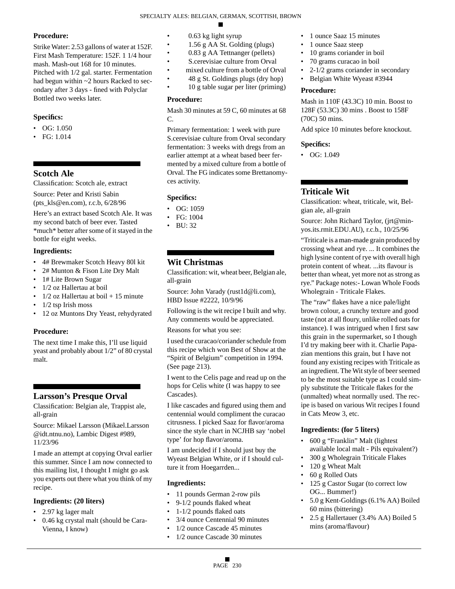### **Procedure:**

Strike Water: 2.53 gallons of water at 152F. First Mash Temperature: 152F. 1 1/4 hour mash. Mash-out 168 for 10 minutes. Pitched with 1/2 gal. starter. Fermentation had begun within ~2 hours Racked to secondary after 3 days - fined with Polyclar Bottled two weeks later.

### **Specifics:**

- $\bullet$  OG: 1.050
- FG: 1.014

# **Scotch Ale**

Classification: Scotch ale, extract

Source: Peter and Kristi Sabin (pts\_kls@en.com), r.c.b, 6/28/96

Here's an extract based Scotch Ale. It was my second batch of beer ever. Tasted \*much\* better after some of it stayed in the bottle for eight weeks.

### **Ingredients:**

- 4# Brewmaker Scotch Heavy 80l kit
- 2# Munton & Fison Lite Dry Malt
- 1# Lite Brown Sugar
- 1/2 oz Hallertau at boil
- $1/2$  oz Hallertau at boil  $+15$  minute
- 1/2 tsp Irish moss
- 12 oz Muntons Dry Yeast, rehydyrated

### **Procedure:**

The next time I make this, I'll use liquid yeast and probably about 1/2" of 80 crystal malt.

# **Larsson's Presque Orval**

Classification: Belgian ale, Trappist ale, all-grain

Source: Mikael Larsson (Mikael.Larsson @idt.ntnu.no), Lambic Digest #989, 11/23/96

I made an attempt at copying Orval earlier this summer. Since I am now connected to this mailing list, I thought I might go ask you experts out there what you think of my recipe.

#### **Ingredients: (20 liters)**

- 2.97 kg lager malt
- 0.46 kg crystal malt (should be Cara-Vienna, I know)
- 0.63 kg light syrup
- 1.56 g AA St. Golding (plugs)
	- 0.83 g AA Tettnanger (pellets)
- S.cerevisiae culture from Orval
- mixed culture from a bottle of Orval
- 48 g St. Goldings plugs (dry hop)
- 10 g table sugar per liter (priming)

#### **Procedure:**

Mash 30 minutes at 59 C, 60 minutes at 68 C.

Primary fermentation: 1 week with pure S.cerevisiae culture from Orval secondary fermentation: 3 weeks with dregs from an earlier attempt at a wheat based beer fermented by a mixed culture from a bottle of Orval. The FG indicates some Brettanomyces activity.

### **Specifics:**

- $\bullet$  OG: 1059
- FG: 1004
- BU: 32

# **Wit Christmas**

Classification: wit, wheat beer, Belgian ale, all-grain

Source: John Varady (rust1d@li.com), HBD Issue #2222, 10/9/96

Following is the wit recipe I built and why. Any comments would be appreciated.

Reasons for what you see:

I used the curacao/coriander schedule from this recipe which won Best of Show at the "Spirit of Belgium" competition in 1994. (See page 213).

I went to the Celis page and read up on the hops for Celis white (I was happy to see Cascades).

I like cascades and figured using them and centennial would compliment the curacao citrusness. I picked Saaz for flavor/aroma since the style chart in NCJHB say 'nobel type' for hop flavor/aroma.

I am undecided if I should just buy the Wyeast Belgian White, or if I should culture it from Hoegarrden...

#### **Ingredients:**

- 11 pounds German 2-row pils
- 9-1/2 pounds flaked wheat
- 1-1/2 pounds flaked oats
- 3/4 ounce Centennial 90 minutes
- 1/2 ounce Cascade 45 minutes
- 1/2 ounce Cascade 30 minutes
- 1 ounce Saaz 15 minutes
- 1 ounce Saaz steep
- 10 grams coriander in boil
- 70 grams curacao in boil
- 2-1/2 grams coriander in secondary
- Belgian White Wyeast #3944

#### **Procedure:**

Mash in 110F (43.3C) 10 min. Boost to 128F (53.3C) 30 mins . Boost to 158F (70C) 50 mins.

Add spice 10 minutes before knockout.

#### **Specifics:**

• OG: 1.049

# **Triticale Wit**

Classification: wheat, triticale, wit, Belgian ale, all-grain

Source: John Richard Taylor, (jrt@minyos.its.rmit.EDU.AU), r.c.b., 10/25/96

"Triticale is a man-made grain produced by crossing wheat and rye. ... It combines the high lysine content of rye with overall high protein content of wheat. ...its flavour is better than wheat, yet more not as strong as rye." Package notes:- Lowan Whole Foods Wholegrain - Triticale Flakes.

The "raw" flakes have a nice pale/light brown colour, a crunchy texture and good taste (not at all floury, unlike rolled oats for instance). I was intrigued when I first saw this grain in the supermarket, so I though I'd try making beer with it. Charlie Papazian mentions this grain, but I have not found any existing recipes with Triticale as an ingredient. The Wit style of beer seemed to be the most suitable type as I could simply substitute the Triticale flakes for the (unmalted) wheat normally used. The recipe is based on various Wit recipes I found in Cats Meow 3, etc.

#### **Ingredients: (for 5 liters)**

- 600 g "Franklin" Malt (lightest available local malt - Pils equivalent?)
- 300 g Wholegrain Triticale Flakes
- 120 g Wheat Malt
- 60 g Rolled Oats
- 125 g Castor Sugar (to correct low OG... Bummer!)
- 5.0 g Kent-Goldings (6.1% AA) Boiled 60 mins (bittering)
- 2.5 g Hallertauer (3.4% AA) Boiled 5 mins (aroma/flavour)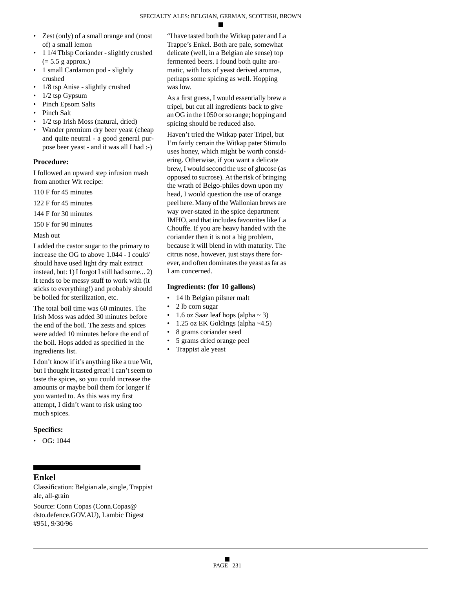- Zest (only) of a small orange and (most of) a small lemon
- 1 1/4 Tblsp Coriander slightly crushed  $(= 5.5$  g approx.)
- 1 small Cardamon pod slightly crushed
- 1/8 tsp Anise slightly crushed
- $\cdot$  1/2 tsp Gypsum
- Pinch Epsom Salts
- Pinch Salt
- 1/2 tsp Irish Moss (natural, dried)
- Wander premium dry beer yeast (cheap and quite neutral - a good general purpose beer yeast - and it was all I had :-)

### **Procedure:**

I followed an upward step infusion mash from another Wit recipe:

110 F for 45 minutes

122 F for 45 minutes

144 F for 30 minutes

150 F for 90 minutes

Mash out

I added the castor sugar to the primary to increase the OG to above 1.044 - I could/ should have used light dry malt extract instead, but: 1) I forgot I still had some... 2) It tends to be messy stuff to work with (it sticks to everything!) and probably should be boiled for sterilization, etc.

The total boil time was 60 minutes. The Irish Moss was added 30 minutes before the end of the boil. The zests and spices were added 10 minutes before the end of the boil. Hops added as specified in the ingredients list.

I don't know if it's anything like a true Wit, but I thought it tasted great! I can't seem to taste the spices, so you could increase the amounts or maybe boil them for longer if you wanted to. As this was my first attempt, I didn't want to risk using too much spices.

# **Specifics:**

•  $OG: 1044$ 

# **Enkel**

Classification: Belgian ale, single, Trappist ale, all-grain

Source: Conn Copas (Conn.Copas@ dsto.defence.GOV.AU), Lambic Digest #951, 9/30/96

"I have tasted both the Witkap pater and La Trappe's Enkel. Both are pale, somewhat delicate (well, in a Belgian ale sense) top fermented beers. I found both quite aromatic, with lots of yeast derived aromas, perhaps some spicing as well. Hopping was low.

As a first guess, I would essentially brew a tripel, but cut all ingredients back to give an OG in the 1050 or so range; hopping and spicing should be reduced also.

Haven't tried the Witkap pater Tripel, but I'm fairly certain the Witkap pater Stimulo uses honey, which might be worth considering. Otherwise, if you want a delicate brew, I would second the use of glucose (as opposed to sucrose). At the risk of bringing the wrath of Belgo-philes down upon my head, I would question the use of orange peel here. Many of the Wallonian brews are way over-stated in the spice department IMHO, and that includes favourites like La Chouffe. If you are heavy handed with the coriander then it is not a big problem, because it will blend in with maturity. The citrus nose, however, just stays there forever, and often dominates the yeast as far as I am concerned.

# **Ingredients: (for 10 gallons)**

- 14 lb Belgian pilsner malt
- 2 lb corn sugar
- 1.6 oz Saaz leaf hops (alpha  $\sim$  3)
- 1.25 oz EK Goldings (alpha ~4.5)
- 8 grams coriander seed
- 5 grams dried orange peel
- Trappist ale yeast